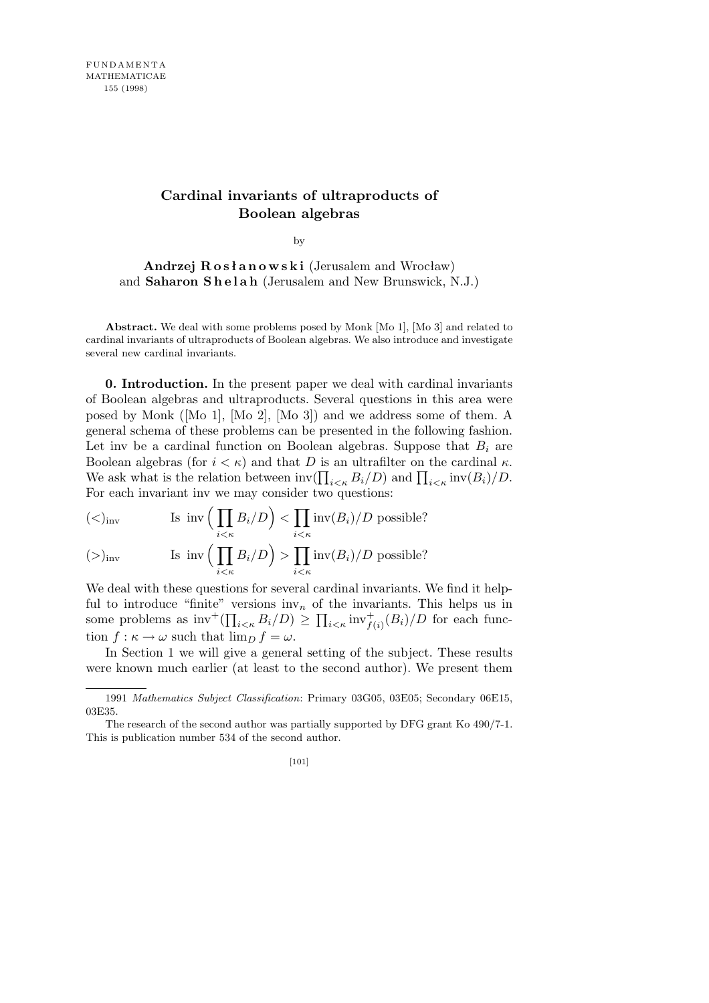# **Cardinal invariants of ultraproducts of Boolean algebras**

by

**Andrzej R o s ł a n o w s k i** (Jerusalem and Wrocław) and **Saharon Shelah** (Jerusalem and New Brunswick, N.J.)

**Abstract.** We deal with some problems posed by Monk [Mo 1], [Mo 3] and related to cardinal invariants of ultraproducts of Boolean algebras. We also introduce and investigate several new cardinal invariants.

**0. Introduction.** In the present paper we deal with cardinal invariants of Boolean algebras and ultraproducts. Several questions in this area were posed by Monk ([Mo 1], [Mo 2], [Mo 3]) and we address some of them. A general schema of these problems can be presented in the following fashion. Let inv be a cardinal function on Boolean algebras. Suppose that  $B_i$  are Boolean algebras (for  $i < \kappa$ ) and that *D* is an ultrafilter on the cardinal  $\kappa$ . boolean algebras (for  $i < \kappa$ ) and that D is an ultrainter on the cardinal  $\kappa$ .<br>We ask what is the relation between  $\text{inv}(\prod_{i<\kappa} B_i/D)$  and  $\prod_{i<\kappa} \text{inv}(B_i)/D$ . For each invariant inv we may consider two questions:

$$
(<)_{\text{inv}}
$$
 Is inv $\Big(\prod_{i < \kappa} B_i/D\Big) < \prod_{i < \kappa} \text{inv}(B_i)/D \text{ possible?}$ \n
$$
(\gt)_{\text{inv}}
$$
 Is inv $\Big(\prod_{i < \kappa} B_i/D\Big) > \prod_{i < \kappa} \text{inv}(B_i)/D \text{ possible?}$ 

We deal with these questions for several cardinal invariants. We find it helpful to introduce "finite" versions inv<sub>n</sub> of the invariants. This helps us in some problems as  $\text{inv}^+(\prod_{i<\kappa} B_i/D) \ge \prod_{i<\kappa} \text{inv}^+_{f(i)}(B_i)/D$  for each function  $f: \kappa \to \omega$  such that  $\lim_{D} f = \omega$ .

In Section 1 we will give a general setting of the subject. These results were known much earlier (at least to the second author). We present them

<sup>1991</sup> *Mathematics Subject Classification*: Primary 03G05, 03E05; Secondary 06E15, 03E35.

The research of the second author was partially supported by DFG grant Ko 490/7-1. This is publication number 534 of the second author.

<sup>[101]</sup>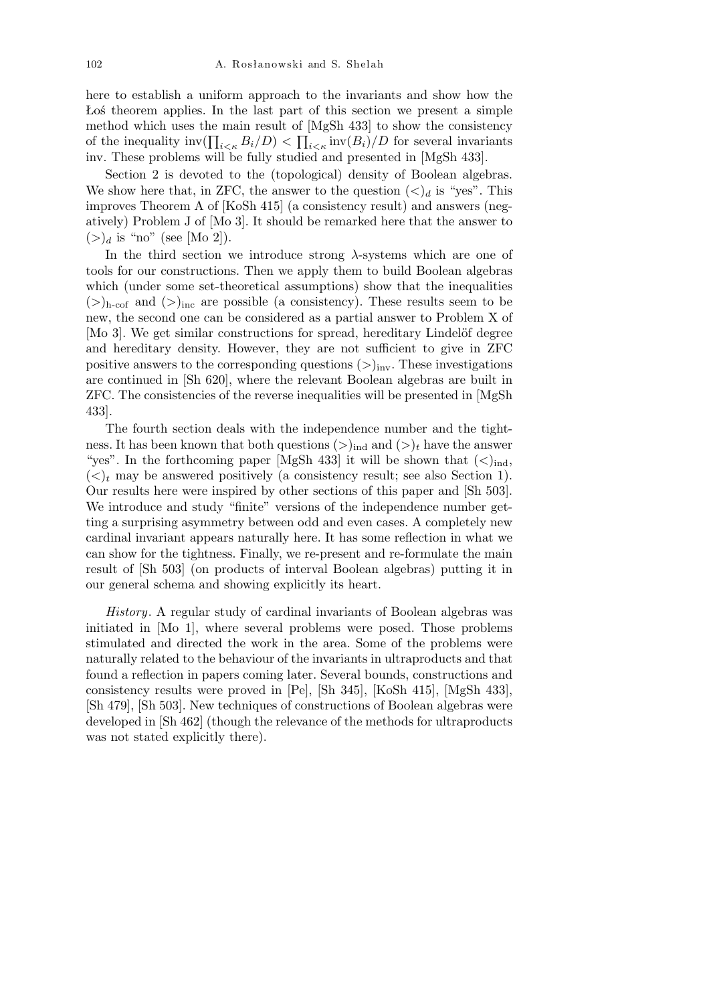here to establish a uniform approach to the invariants and show how the Łoś theorem applies. In the last part of this section we present a simple method which uses the main result of  $[MgSh 433]$  to show the consistency of the inequality  $\text{inv}(\prod_{i \leq \kappa} B_i/D) < \prod_{i \leq \kappa} \text{inv}(B_i)/D$  for several invariants inv. These problems will be fully studied and presented in [MgSh 433].

Section 2 is devoted to the (topological) density of Boolean algebras. We show here that, in ZFC, the answer to the question  $\langle \langle \rangle_d$  is "yes". This improves Theorem A of [KoSh 415] (a consistency result) and answers (negatively) Problem J of [Mo 3]. It should be remarked here that the answer to  $(>)_d$  is "no" (see [Mo 2]).

In the third section we introduce strong *λ*-systems which are one of tools for our constructions. Then we apply them to build Boolean algebras which (under some set-theoretical assumptions) show that the inequalities  $($ >)<sub>h-cof</sub> and  $($ >)<sub>inc</sub> are possible (a consistency). These results seem to be new, the second one can be considered as a partial answer to Problem X of [Mo 3]. We get similar constructions for spread, hereditary Lindelöf degree and hereditary density. However, they are not sufficient to give in ZFC positive answers to the corresponding questions  $(>\)_{inv}$ . These investigations are continued in [Sh 620], where the relevant Boolean algebras are built in ZFC. The consistencies of the reverse inequalities will be presented in [MgSh 433].

The fourth section deals with the independence number and the tightness. It has been known that both questions  $(>\)_{ind}$  and  $(>\)_{t}$  have the answer "yes". In the forthcoming paper [MgSh 433] it will be shown that  $(<)_{\text{ind}}$ ,  $(\langle \rangle_t)$  may be answered positively (a consistency result; see also Section 1). Our results here were inspired by other sections of this paper and [Sh 503]. We introduce and study "finite" versions of the independence number getting a surprising asymmetry between odd and even cases. A completely new cardinal invariant appears naturally here. It has some reflection in what we can show for the tightness. Finally, we re-present and re-formulate the main result of [Sh 503] (on products of interval Boolean algebras) putting it in our general schema and showing explicitly its heart.

*History*. A regular study of cardinal invariants of Boolean algebras was initiated in [Mo 1], where several problems were posed. Those problems stimulated and directed the work in the area. Some of the problems were naturally related to the behaviour of the invariants in ultraproducts and that found a reflection in papers coming later. Several bounds, constructions and consistency results were proved in [Pe], [Sh 345], [KoSh 415], [MgSh 433], [Sh 479], [Sh 503]. New techniques of constructions of Boolean algebras were developed in [Sh 462] (though the relevance of the methods for ultraproducts was not stated explicitly there).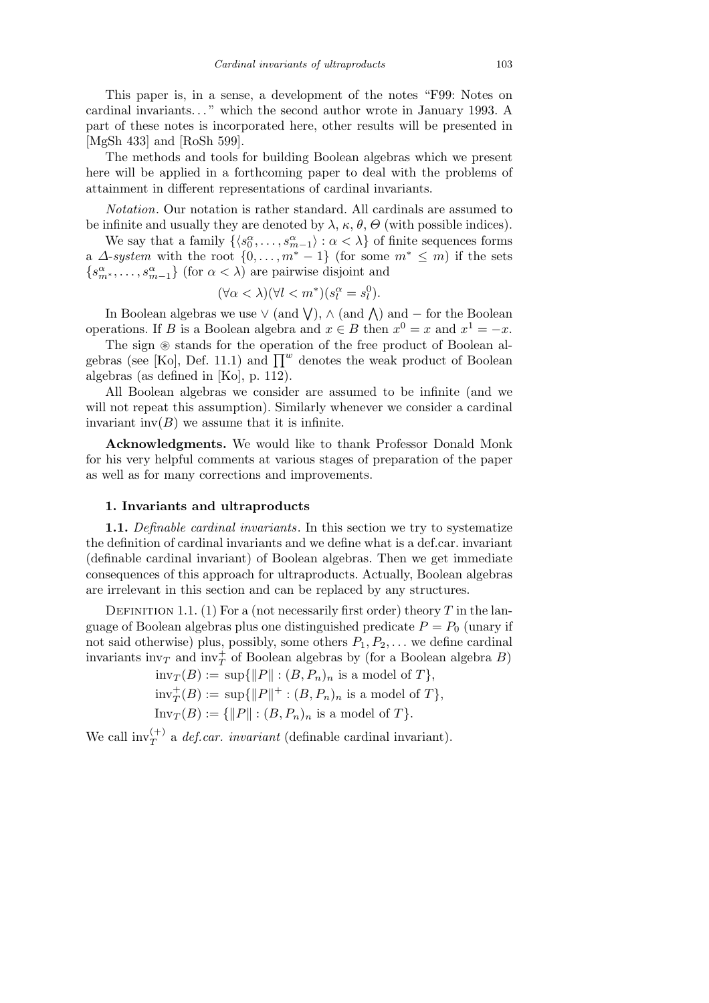This paper is, in a sense, a development of the notes "F99: Notes on cardinal invariants*. . .* " which the second author wrote in January 1993. A part of these notes is incorporated here, other results will be presented in [MgSh 433] and [RoSh 599].

The methods and tools for building Boolean algebras which we present here will be applied in a forthcoming paper to deal with the problems of attainment in different representations of cardinal invariants.

*Notation*. Our notation is rather standard. All cardinals are assumed to be infinite and usually they are denoted by  $\lambda$ ,  $\kappa$ ,  $\theta$ ,  $\Theta$  (with possible indices).

We say that a family  $\{\langle s_0^\alpha, \ldots, s_{m-1}^\alpha \rangle : \alpha < \lambda\}$  of finite sequences forms a *∆*-*system* with the root  $\{0, \ldots, m^* - 1\}$  (for some  $m^* \leq m$ ) if the sets  ${s_{m^*}^{\alpha}, \ldots, s_{m-1}^{\alpha}}$  (for  $\alpha < \lambda$ ) are pairwise disjoint and

$$
(\forall \alpha < \lambda)(\forall l < m^*)(s_l^{\alpha} = s_l^0).
$$

In Boolean algebras we use  $\vee$  (and  $\vee$ ),  $\wedge$  (and  $\wedge$ ) and *−* for the Boolean operations. If *B* is a Boolean algebra and  $x \in B$  then  $x^0 = x$  and  $x^1 = -x$ .

The sign  $\circledast$  stands for the operation of the free product of Boolean al-The sign  $\otimes$  stands for the operation of the free product of Boolean algebras (see [Ko], Def. 11.1) and  $\prod^w$  denotes the weak product of Boolean algebras (as defined in [Ko], p. 112).

All Boolean algebras we consider are assumed to be infinite (and we will not repeat this assumption). Similarly whenever we consider a cardinal invariant inv $(B)$  we assume that it is infinite.

**Acknowledgments.** We would like to thank Professor Donald Monk for his very helpful comments at various stages of preparation of the paper as well as for many corrections and improvements.

#### **1. Invariants and ultraproducts**

**1.1.** *Definable cardinal invariants*. In this section we try to systematize the definition of cardinal invariants and we define what is a def.car. invariant (definable cardinal invariant) of Boolean algebras. Then we get immediate consequences of this approach for ultraproducts. Actually, Boolean algebras are irrelevant in this section and can be replaced by any structures.

DEFINITION 1.1. (1) For a (not necessarily first order) theory  $T$  in the language of Boolean algebras plus one distinguished predicate  $P = P_0$  (unary if not said otherwise) plus, possibly, some others *P*1*, P*2*, . . .* we define cardinal invariants  $inv_T$  and  $inv_T^+$  of Boolean algebras by (for a Boolean algebra *B*)

 $inv_T(B) := \sup\{\|P\| : (B, P_n)_n \text{ is a model of } T\},\$ 

 $\text{inv}_{T}^{+}(B) := \text{sup}\{\|P\|^{+} : (B, P_n)_n \text{ is a model of } T\},$ 

$$
\text{Inv}_T(B) := \{ ||P|| : (B, P_n)_n \text{ is a model of } T \}.
$$

We call  $\text{inv}_{T}^{(+)}$  a *def.car. invariant* (definable cardinal invariant).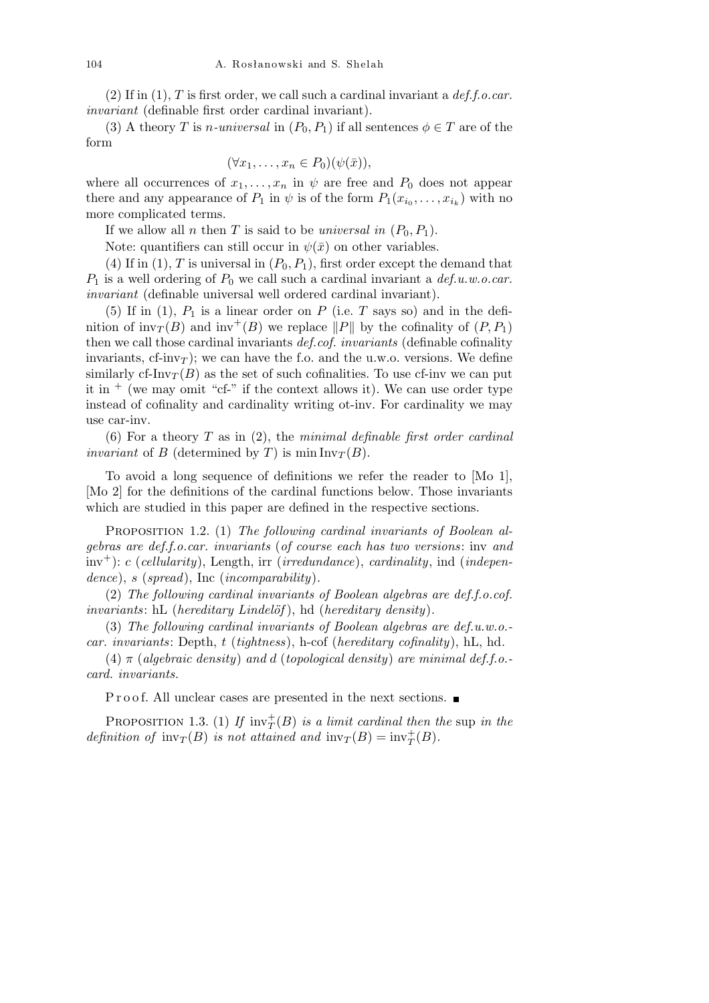(2) If in (1), *T* is first order, we call such a cardinal invariant a *def.f.o.car. invariant* (definable first order cardinal invariant).

(3) A theory *T* is *n-universal* in  $(P_0, P_1)$  if all sentences  $\phi \in T$  are of the form

$$
(\forall x_1, \ldots, x_n \in P_0)(\psi(\bar{x})),
$$

where all occurrences of  $x_1, \ldots, x_n$  in  $\psi$  are free and  $P_0$  does not appear there and any appearance of  $P_1$  in  $\psi$  is of the form  $P_1(x_{i_0}, \ldots, x_{i_k})$  with no more complicated terms.

If we allow all *n* then *T* is said to be *universal in*  $(P_0, P_1)$ .

Note: quantifiers can still occur in  $\psi(\bar{x})$  on other variables.

(4) If in (1),  $T$  is universal in  $(P_0, P_1)$ , first order except the demand that *P*<sup>1</sup> is a well ordering of *P*<sup>0</sup> we call such a cardinal invariant a *def.u.w.o.car. invariant* (definable universal well ordered cardinal invariant).

(5) If in (1),  $P_1$  is a linear order on  $P$  (i.e.  $T$  says so) and in the definition of  $inv_T(B)$  and  $inv^+(B)$  we replace  $||P||$  by the cofinality of  $(P, P_1)$ then we call those cardinal invariants *def.cof. invariants* (definable cofinality invariants,  $cf\text{-}inv<sub>T</sub>$ ); we can have the f.o. and the u.w.o. versions. We define similarly cf-Inv $T(B)$  as the set of such cofinalities. To use cf-inv we can put it in  $+$  (we may omit "cf-" if the context allows it). We can use order type instead of cofinality and cardinality writing ot-inv. For cardinality we may use car-inv.

(6) For a theory *T* as in (2), the *minimal definable first order cardinal invariant* of *B* (determined by *T*) is min  $Inv_T(B)$ .

To avoid a long sequence of definitions we refer the reader to [Mo 1], [Mo 2] for the definitions of the cardinal functions below. Those invariants which are studied in this paper are defined in the respective sections.

Proposition 1.2. (1) *The following cardinal invariants of Boolean algebras are def.f.o.car. invariants* (*of course each has two versions*: inv *and* inv<sup>+</sup>): *c* (*cellularity*), Length, irr (*irredundance*), *cardinality*, ind (*independence*), *s* (*spread*), Inc (*incomparability*)*.*

(2) *The following cardinal invariants of Boolean algebras are def.f.o.cof. invariants*: hL (*hereditary Lindelöf*), hd (*hereditary density*).

(3) *The following cardinal invariants of Boolean algebras are def.u.w.o. car. invariants*: Depth, *t* (*tightness*), h-cof (*hereditary cofinality*), hL, hd*.*

(4) *π* (*algebraic density*) *and d* (*topological density*) *are minimal def.f.o. card. invariants.*

P r o o f. All unclear cases are presented in the next sections.

PROPOSITION 1.3. (1) If  $inv_T^+(B)$  *is a limit cardinal then the* sup *in the definition of*  $inv_T(B)$  *is not attained and*  $inv_T(B) = inv_T^+(B)$ *.*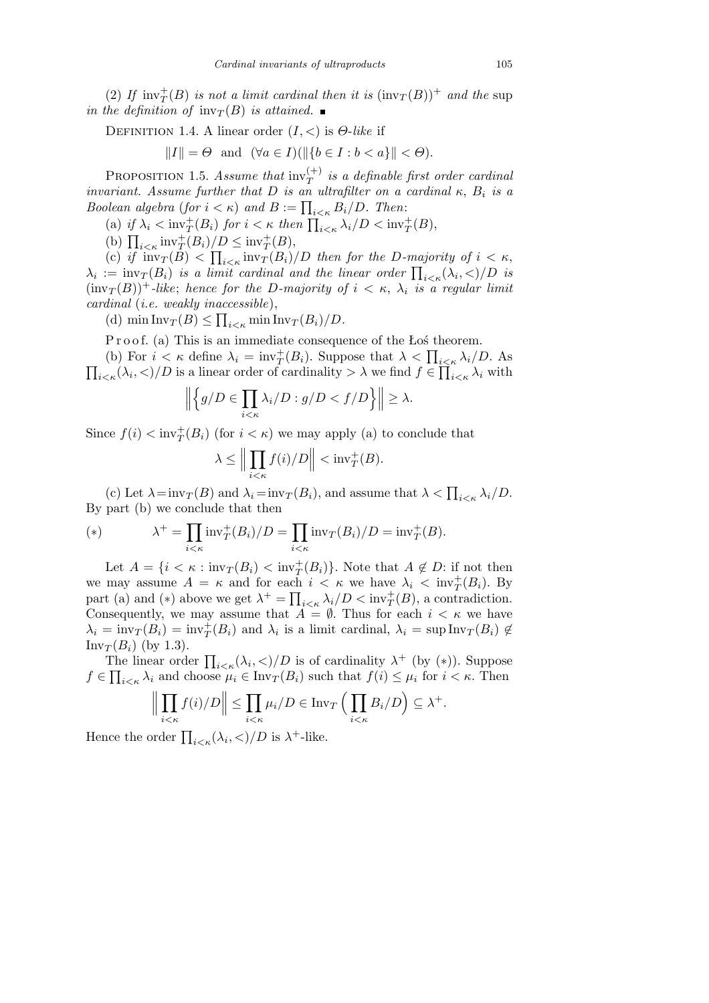(2) If  $\text{inv}_T^+(B)$  *is not a limit cardinal then it is*  $(\text{inv}_T(B))^+$  *and the* sup *in the definition of*  $inv_T(B)$  *is attained.* 

Definition 1.4. A linear order (*I, <*) is *Θ*-*like* if

$$
||I|| = \Theta \text{ and } (\forall a \in I)(||\{b \in I : b < a\}|| < \Theta).
$$

PROPOSITION 1.5. *Assume that*  $\text{inv}_{T}^{(+)}$  *is a definable first order cardinal invariant.* Assume further that  $D$  *is an ultrafilter on a cardinal*  $\kappa$ ,  $B_i$  *is a Boolean algebra* (*for*  $i < \kappa$ ) *and*  $B := \prod_{i < \kappa} B_i/D$ . *Then*:

(a) if  $\lambda_i < \text{inv}_T^+(B_i)$  for  $i < \kappa$  then  $\prod_{i<\kappa} \lambda_i/D < \text{inv}_T^+(B)$ ,

(a)  $\iint_{i<\kappa} \text{inv}_T(D_i)$  for  $i<\kappa$  are<br>
(b)  $\prod_{i<\kappa} \text{inv}_T^+(B_i)/D \leq \text{inv}_T^+(B)$ ,

(c) *if*  $\text{inv}_T(B) < \prod_{i \leq \kappa} \text{inv}_T(B_i)/D$  *then for the D-majority of*  $i \leq \kappa$ , (c) *i*<sub>1</sub>  $\text{inv}_T(D) \leq \prod_{i \leq \kappa} \text{inv}_T(D_i)/D$  *inen for the D-majority of*  $i \leq \kappa$ ,<br>  $\lambda_i := \text{inv}_T(B_i)$  *is a limit cardinal and the linear order*  $\prod_{i \leq \kappa} (\lambda_i, \leq)/D$  *is*  $(\text{inv}_T(B))^+$ -like; hence for the D-majority of  $i < \kappa$ ,  $\lambda_i$  is a regular limit *cardinal* (*i.e. weakly inaccessible*), Q

(d)  $\min \text{Inv}_T(B) \le \prod_{i \le \kappa} \min \text{Inv}_T(B_i)/D$ .

P r o o f. (a) This is an immediate consequence of the Łoś theorem.

**F** 1001. (a) This is an immediate consequence of the Los theorem.<br>
(b) For  $i < \kappa$  define  $\lambda_i = \text{inv}_T^+(B_i)$ . Suppose that  $\lambda < \prod_{i \leq \kappa} \lambda_i/D$ . As  $\overline{ }$  $\iota_{\leq \kappa}(\lambda_i, \leq)/D$  is a linear order of cardinality  $> \lambda$  we find  $f \in \prod_{i \leq \kappa} \lambda_i$  with

$$
\left\| \left\{ g/D \in \prod_{i < \kappa} \lambda_i / D : g/D < f/D \right\} \right\| \ge \lambda.
$$

Since  $f(i) < \text{inv}_T^+(B_i)$  (for  $i < \kappa$ ) we may apply (a) to conclude that

$$
\lambda \le \Big\| \prod_{i < \kappa} f(i) / D \Big\| < \mathrm{inv}_T^+(B).
$$

(c) Let  $\lambda = \text{inv}_T(B)$  and  $\lambda_i = \text{inv}_T(B_i)$ , and assume that  $\lambda < \prod_{i \leq \kappa} \lambda_i/D$ . By part (b) we conclude that then

(\*) 
$$
\lambda^+ = \prod_{i < \kappa} \text{inv}_T^+(B_i)/D = \prod_{i < \kappa} \text{inv}_T(B_i)/D = \text{inv}_T^+(B).
$$

Let  $A = \{i \leq \kappa : \text{inv}_T(B_i) \leq \text{inv}_T^+(B_i)\}\.$  Note that  $A \notin D$ : if not then we may assume  $A = \kappa$  and for each  $i < \kappa$  we have  $\lambda_i < \text{inv}_T^+(B_i)$ . By we may assume  $A = \kappa$  and for each  $i < \kappa$  we have  $\lambda_i < \text{inv}_T(D_i)$ . By part (a) and (\*) above we get  $\lambda^+ = \prod_{i < \kappa} \lambda_i/D < \text{inv}_T^+(B)$ , a contradiction. Consequently, we may assume that  $\overrightarrow{A} = \emptyset$ . Thus for each  $i < \kappa$  we have  $\lambda_i = \text{inv}_T(B_i) = \text{inv}_T^+(B_i)$  and  $\lambda_i$  is a limit cardinal,  $\lambda_i = \text{sup} \text{Inv}_T(B_i) \notin$  $Inv_T(B_i)$  (by 1.3).

The linear order  $\prod_{i<\kappa}(\lambda_i,\langle)/D$  is of cardinality  $\lambda^+$  (by (\*)). Suppose  $f \in \prod_{i \leq \kappa} \lambda_i$  and choose  $\mu_i \in \text{Inv}_T(B_i)$  such that  $f(i) \leq \mu_i$  for  $i \leq \kappa$ . Then

$$
\left\| \prod_{i < \kappa} f(i)/D \right\| \leq \prod_{i < \kappa} \mu_i/D \in \text{Inv}_T \left( \prod_{i < \kappa} B_i/D \right) \subseteq \lambda^+.
$$

Hence the order  $\prod_{i<\kappa}(\lambda_i,\langle)/D$  is  $\lambda^+$ -like.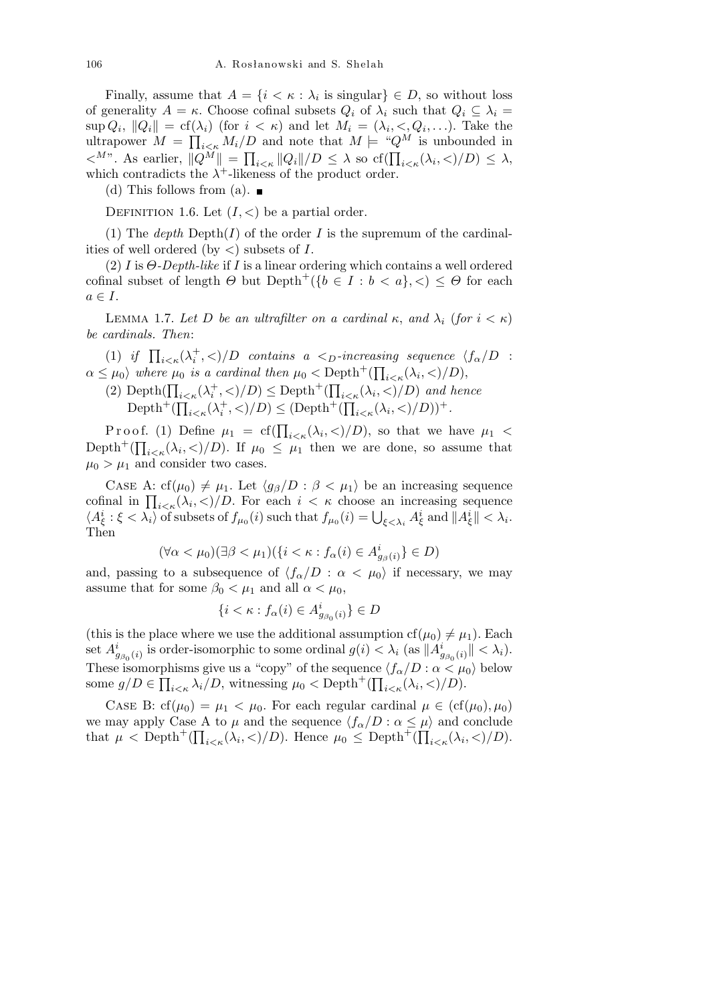Finally, assume that  $A = \{i \leq \kappa : \lambda_i \text{ is singular}\}\in D$ , so without loss of generality  $A = \kappa$ . Choose cofinal subsets  $Q_i$  of  $\lambda_i$  such that  $Q_i \subseteq \lambda_i$  $\sup Q_i, \|Q_i\| = \text{cf}(\lambda_i) \text{ (for } i < \kappa) \text{ and let } M_i = (\lambda_i, \langle Q_i, \ldots) \text{. Take the }$ ultrapower  $M = \prod_{i \le k} M_i/D$  and note that  $M \models {}^{\omega}Q^M$  is unbounded in  $\langle A^{Mn} \rangle$ . As earlier,  $||Q^M|| = \prod_{i \leq \kappa} ||Q_i||/D \leq \lambda$  so  $cf(\prod_{i \leq \kappa} (\lambda_i, \leq)/D) \leq \lambda$ , which contradicts the  $\lambda^+$ -likeness of the product order.

(d) This follows from (a).  $\blacksquare$ 

DEFINITION 1.6. Let  $(I, <)$  be a partial order.

(1) The *depth*  $\text{Depth}(I)$  of the order *I* is the supremum of the cardinalities of well ordered (by *<*) subsets of *I*.

(2) *I* is *Θ-Depth-like* if *I* is a linear ordering which contains a well ordered cofinal subset of length  $\Theta$  but  $Depth^+(\{b \in I : b < a\}, <) \leq \Theta$  for each  $a \in I$ .

LEMMA 1.7. Let D be an ultrafilter on a cardinal  $κ$ , and  $λ$ <sub>*i*</sub> (for  $i < κ$ ) *be cardinals. Then*:

(1) *if*  $\prod_{i \leq \kappa} (\lambda_i^+, \leq)/D$  *contains a*  $\leq_D$ *-increasing sequence*  $\langle f_\alpha/D \rangle$ :  $\alpha \leq \mu_0$  *where*  $\mu_0$  *is a cardinal then*  $\mu_0 < \text{Depth}^+(\prod_{i \leq \kappa}(\lambda_i, <)/D)$ ,

(2) Depth $(\prod_{i<\kappa}(\lambda_i^+,\langle)/D) \leq$  Depth<sup>+</sup> $(\prod_{i<\kappa}(\lambda_i,\langle)/D)$  and hence  $\mathrm{Depth}^+{}(\prod_{{\mathcal{C}}}\,$  $\lim_{i \leq \kappa} (\lambda_i^+, \leq)/D) \leq \text{Depth}^+([\prod_{i \leq \kappa}$  $\lambda_i \langle \lambda_i, \langle \rangle/D)$ <sup>+</sup>.

Proof. (1) Define  $\mu_1 = cf(\prod_{i<\kappa}(\lambda_i,<)/D)$ , so that we have  $\mu_1 <$ Depth<sup>+</sup>( $\prod_{i<\kappa}(\lambda_i,\langle)/D)$ ). If  $\mu_0 \leq \mu_1$  then we are done, so assume that  $\mu_0 > \mu_1$  and consider two cases.

CASE A: cf( $\mu_0$ )  $\neq \mu_1$ . Let  $\langle g_\beta/D : \beta < \mu_1 \rangle$  be an increasing sequence CASE A:  $c_1(\mu_0) \neq \mu_1$ . Let  $(g_\beta/D : \beta < \mu_1)$  be an increasing sequence<br>cofinal in  $\prod_{i \leq \kappa} (\lambda_i, \leq)/D$ . For each  $i < \kappa$  choose an increasing sequence contract in  $\prod_{i\leq \kappa}\langle \lambda_i, \langle \lambda_i, \langle \rangle \rangle$ . For each  $i < \kappa$  choose an increasing sequence  $\langle A^i_{\xi} : \xi < \lambda_i \rangle$  of subsets of  $f_{\mu_0}(i)$  such that  $f_{\mu_0}(i) = \bigcup_{\xi < \lambda_i} A^i_{\xi}$  and  $||A^i_{\xi}|| < \lambda_i$ . Then

$$
(\forall \alpha < \mu_0)(\exists \beta < \mu_1)(\{i < \kappa : f_\alpha(i) \in A^i_{g_\beta(i)}\} \in D)
$$

and, passing to a subsequence of  $\langle f_{\alpha}/D : \alpha < \mu_0 \rangle$  if necessary, we may assume that for some  $\beta_0 < \mu_1$  and all  $\alpha < \mu_0$ ,

$$
\{i < \kappa : f_\alpha(i) \in A^i_{g_{\beta_0}(i)}\} \in D
$$

(this is the place where we use the additional assumption  $cf(\mu_0) \neq \mu_1$ ). Each set  $A^i_{g_{\beta_0}(i)}$  is order-isomorphic to some ordinal  $g(i) < \lambda_i$  (as  $||A^i_{g_{\beta_0}(i)}|| < \lambda_i$ ). These isomorphisms give us a "copy" of the sequence  $\langle f_{\alpha}/D : \alpha \langle \mu_0 \rangle$  below some  $g/D \in \prod_{i \le \kappa} \lambda_i/D$ , witnessing  $\mu_0 < \text{Depth}^+(\prod_{i \le \kappa} (\lambda_i, <)/D)$ .

CASE B: cf( $\mu_0$ ) =  $\mu_1 < \mu_0$ . For each regular cardinal  $\mu \in (cf(\mu_0), \mu_0)$ we may apply Case A to  $\mu$  and the sequence  $\langle f_{\alpha}/D : \alpha \leq \mu \rangle$  and conclude that  $\mu < \text{Depth}^+(\prod_{i<\kappa}(\lambda_i,<)/D)$ . Hence  $\mu_0 \leq \text{Depth}^+(\prod_{i<\kappa}(\lambda_i,<)/D)$ .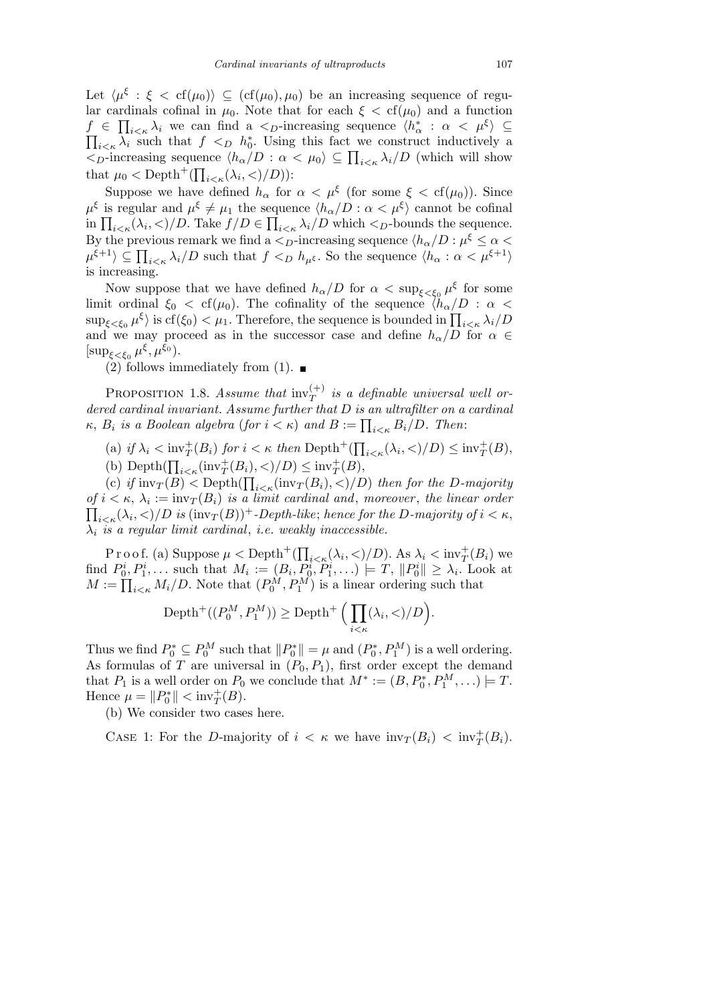Let  $\langle \mu^{\xi} : \xi < \text{cf}(\mu_0) \rangle \subseteq (\text{cf}(\mu_0), \mu_0)$  be an increasing sequence of regular cardinals cofinal in  $\mu_0$ . Note that for each  $\xi < \text{cf}(\mu_0)$  and a function  $f \in \prod_{i \leq \kappa} \lambda_i$  we can find a  $\leq_D$ -increasing sequence  $\langle h^*_{\alpha} : \alpha < \mu^{\xi} \rangle \subseteq$  $i \lt_k \lambda_i$  such that  $f \lt_D h_0^*$ . Using this fact we construct inductively a  $\prod_{i \leq \kappa} \lambda_i$  such that  $f \leq D$   $h_0$ . Using this fact we construct inductively a<br>  $\langle D \rangle$ -increasing sequence  $\langle h_\alpha/D : \alpha \langle \mu_0 \rangle \subseteq \prod_{i \leq \kappa} \lambda_i/D$  (which will show that  $\mu_0 < \text{Depth}^+(\prod_{i<\kappa}(\lambda_i, <)/D))$ :

Suppose we have defined  $h_{\alpha}$  for  $\alpha < \mu^{\xi}$  (for some  $\xi < \text{cf}(\mu_0)$ ). Since  $\mu^{\xi}$  is regular and  $\mu^{\xi} \neq \mu_1$  the sequence  $\langle h_{\alpha}/D : \alpha < \mu^{\xi} \rangle$  cannot be cofinal  $\mu^s$  is regular and  $\mu^s \neq \mu_1$  the sequence  $\langle n_{\alpha}/D : \alpha < \mu^s \rangle$  cannot be connaitin  $\prod_{i \leq \kappa} (\lambda_i, \langle)/D$ . Take  $f/D \in \prod_{i \leq \kappa} \lambda_i/D$  which  $\langle D \rangle$ -bounds the sequence. By the previous remark we find a  $\lt_D$ -increasing sequence  $\langle h_\alpha/D:\mu^\xi\leq\alpha<\pi\rangle$ *by* the previous remark we find a  $\langle D$ -increasing sequence  $\langle h_{\alpha} \rangle D : \mu^s \leq \alpha \langle \mu_{\beta+1} \rangle$ <br> $\mu^{\xi+1} \rangle \subseteq \prod_{i \leq \kappa} \lambda_i/D$  such that  $f \langle D \rangle h_{\mu^{\xi}}$ . So the sequence  $\langle h_{\alpha} : \alpha \langle \mu_{\beta+1} \rangle$ is increasing.

Now suppose that we have defined  $h_{\alpha}/D$  for  $\alpha < \sup_{\xi < \xi_0} \mu^{\xi}$  for some limit ordinal  $\xi_0 <$  cf( $\mu_0$ ). The cofinality of the sequence  $\langle h_\alpha/D : \alpha$  $\sup_{\xi \leq \xi_0} \mu^{\xi}$  is cf( $\xi_0$ )  $\lt \mu_1$ . Therefore, the sequence is bounded in  $\prod_{i \leq \kappa} \lambda_i/D$ and we may proceed as in the successor case and define  $h_{\alpha}/D$  for  $\alpha \in$  $[\sup_{\xi < \xi_0} \mu^{\xi}, \mu^{\xi_0}).$ 

(2) follows immediately from (1).  $\blacksquare$ 

PROPOSITION 1.8. *Assume that*  $\text{inv}_{T}^{(+)}$  *is a definable universal well ordered cardinal invariant. Assume further that D is an ultrafilter on a cardinal k*, *B*<sub>*i*</sub> is a Boolean algebra (for  $i < \kappa$ ) and  $B := \prod_{i < \kappa} B_i/D$ . Then:

(a) *if*  $\lambda_i < \text{inv}_T^+(B_i)$  *for*  $i < \kappa$  *then* Depth<sup>+</sup>( $\prod$  $\sum_{i \leq \kappa} (\lambda_i, \langle)/D) \leq \text{inv}_T^+(B)$ ,

(b) Depth $(\prod_{i<\kappa}(\text{inv}_T^+(B_i),<)/D) \leq \text{inv}_T^+(B)$ ,

(c)  $if \text{inv}_T(B) < \text{Depth}(\prod_{i \le \kappa}(\text{inv}_T(B_i), <)/D)$  *then for the D-majority*  $of$   $i < \kappa$ ,  $\lambda_i := \text{inv}_T(B_i)$  *is a limit cardinal and, moreover, the linear order*  $\sum_{i \leq \kappa} (\lambda_i, \langle \rangle / D \text{ is } (\text{inv}_T(B))^+$ -Depth-like; *hence for the D*-majority of  $i < \kappa$ , *λi is a regular limit cardinal*, *i.e. weakly inaccessible.*

P r o o f. (a) Suppose  $\mu < \text{Depth}^+(\prod)$  $\lambda_i \langle \lambda_i, \langle \rangle/D$ . As  $\lambda_i \langle \text{inv}_T^+(B_i) \rangle$  we find  $P_0^i, P_1^i, \ldots$  such that  $M_i := (B_i, P_0^i, P_1^i, \ldots) \models T, ||P_0^i|| \ge \lambda_i$ . Look at  $M := \prod_{i \le \kappa} M_i/D$ . Note that  $(P_0^M, P_1^M)$  is a linear ordering such that

$$
\text{Depth}^+\big((P_0^M, P_1^M)\big) \ge \text{Depth}^+\Big(\prod_{i < \kappa} (\lambda_i, <)/D\Big)
$$

*.*

Thus we find  $P_0^* \subseteq P_0^M$  such that  $||P_0^*|| = \mu$  and  $(P_0^*, P_1^M)$  is a well ordering. As formulas of *T* are universal in  $(P_0, P_1)$ , first order except the demand that  $P_1$  is a well order on  $P_0$  we conclude that  $M^* := (B, P_0^*, P_1^M, \ldots) \models T$ . Hence  $\mu = \|P_0^*\| < \text{inv}_T^+(B)$ .

(b) We consider two cases here.

CASE 1: For the *D*-majority of  $i < \kappa$  we have  $inv_T(B_i) < inv_T^+(B_i)$ .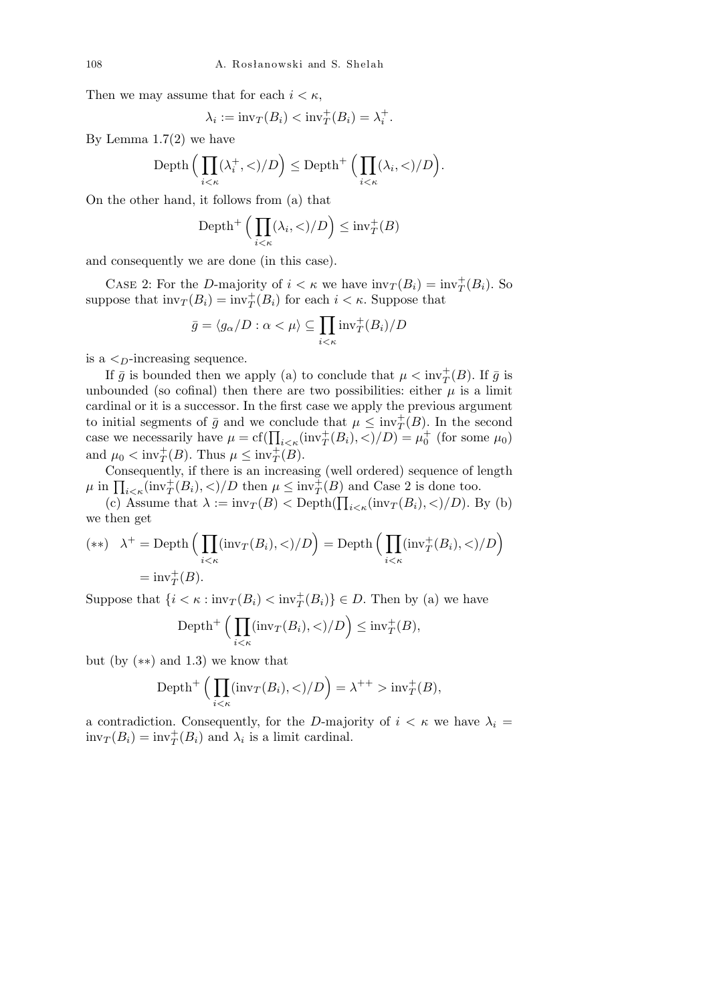Then we may assume that for each  $i < \kappa$ ,

$$
\lambda_i := \text{inv}_T(B_i) < \text{inv}_T^+(B_i) = \lambda_i^+.
$$

By Lemma  $1.7(2)$  we have

Depth 
$$
\Big(\prod_{i<\kappa}(\lambda_i^+,<)/D\Big) \leq \text{Depth}^+\Big(\prod_{i<\kappa}(\lambda_i,<)/D\Big).
$$

On the other hand, it follows from (a) that

Depth<sup>+</sup> 
$$
\Big( \prod_{i < \kappa} (\lambda_i, \langle \rangle / D \Big) \leq \text{inv}_T^+(B)
$$

and consequently we are done (in this case).

CASE 2: For the *D*-majority of  $i < \kappa$  we have  $\text{inv}_T(B_i) = \text{inv}_T^+(B_i)$ . So suppose that  $\text{inv}_T(B_i) = \text{inv}_T^+(B_i)$  for each  $i < \kappa$ . Suppose that

$$
\bar{g} = \langle g_{\alpha}/D : \alpha < \mu \rangle \subseteq \prod_{i < \kappa} \text{inv}_T^+(B_i)/D
$$

is a *<D*-increasing sequence.

If  $\bar{g}$  is bounded then we apply (a) to conclude that  $\mu < \text{inv}_{T}^{+}(B)$ . If  $\bar{g}$  is unbounded (so cofinal) then there are two possibilities: either  $\mu$  is a limit cardinal or it is a successor. In the first case we apply the previous argument to initial segments of  $\bar{g}$  and we conclude that  $\mu \leq inv_T^+(B)$ . In the second case we necessarily have  $\mu = cf(\prod_{i<\kappa}(\text{inv}_T^+(B_i),<)/D) = \mu_0^+$  (for some  $\mu_0$ ) and  $\mu_0 < \text{inv}_T^+(B)$ . Thus  $\mu \leq \text{inv}_T^+(B)$ .

Consequently, if there is an increasing (well ordered) sequence of length Consequently, if there is an increasing (went ordered) sequence of  $\mu$  in  $\prod_{i \le \kappa}(\text{inv}_T^+(B_i), <) / D$  then  $\mu \le \text{inv}_T^+(B)$  and Case 2 is done too.

(c) Assume that  $\lambda := \text{inv}_T(B) < \text{Depth}(\prod_{i \le \kappa}(\text{inv}_T(B_i), <)/D)$ . By (b) we then get

(\*\*) 
$$
\lambda^+ = \text{Depth}\Big(\prod_{i<\kappa}(\text{inv}_T(B_i),<)/D\Big) = \text{Depth}\Big(\prod_{i<\kappa}(\text{inv}_T^+(B_i),<)/D\Big)
$$
  
= inv\_T^+(B).

Suppose that  $\{i < \kappa : \text{inv}_T(B_i) < \text{inv}_T^+(B_i)\} \in D$ . Then by (a) we have

Depth<sup>+</sup> 
$$
\Big( \prod_{i < \kappa} (\text{inv}_T(B_i), <)/D \Big) \leq \text{inv}_T^+(B),
$$

but (by (*∗∗*) and 1.3) we know that

Depth<sup>+</sup>
$$
\left(\prod_{i<\kappa}(\text{inv}_T(B_i),<)/D\right)=\lambda^{++}>\text{inv}_T^+(B),
$$

a contradiction. Consequently, for the *D*-majority of  $i < \kappa$  we have  $\lambda_i =$  $\text{inv}_T(B_i) = \text{inv}_T^+(B_i)$  and  $\lambda_i$  is a limit cardinal.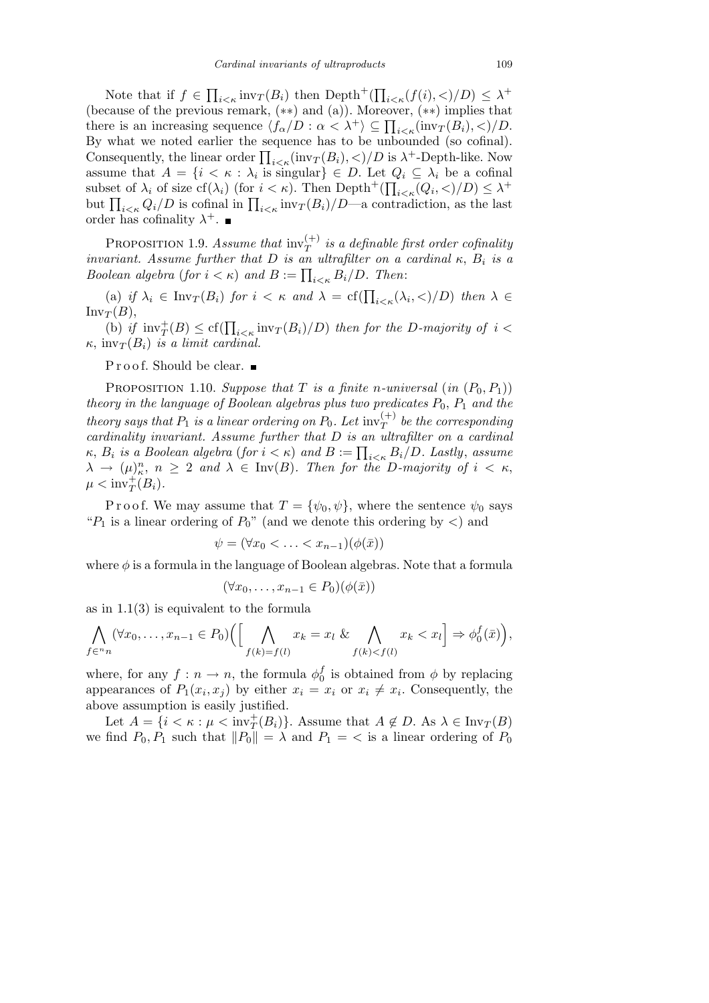Note that if *f ∈*  $\prod_{i \leq \kappa} \text{inv}_T(B_i)$  then  $\text{Depth}^+(\prod)$  $\lambda_i \leq \kappa(f(i), \leq)/D) \leq \lambda^+$ (because of the previous remark, (*∗∗*) and (a)). Moreover, (*∗∗*) implies that (because of the previous remark,  $(**)$  and  $(a)$ ). Moreover,  $(**)$  implies that there is an increasing sequence  $\langle f_{\alpha}/D : \alpha < \lambda^+ \rangle \subseteq \prod_{i<\kappa}(\text{inv}_T(B_i),<) / D$ . By what we noted earlier the sequence has to be unbounded (so cofinal). **Consequently, the linear order**  $\prod_{i \lt k}(\text{inv}_T(B_i), \lt)/D$  **is**  $\lambda^+$ **-Depth-like. Now** assume that  $A = \{i \le \kappa : \lambda_i \text{ is singular}\}\in D$ . Let  $Q_i \subseteq \lambda_i$  be a cofinal subset of  $\lambda_i$  of size  $cf(\lambda_i)$  (for  $i < \kappa$ ). Then  $\text{Depth}^+(\prod_{i<\kappa}(Q_i,<)/D) \leq \lambda^+$ but  $\prod_{i\leq \kappa} Q_i/D$  is cofinal in  $\prod_{i\leq \kappa} \text{inv}_T(B_i)/D$ —a contradiction, as the last order has cofinality  $\lambda^+$ .

PROPOSITION 1.9. *Assume that*  $\text{inv}_{T}^{(+)}$  *is a definable first order cofinality invariant.* Assume further that  $D$  *is an ultrafilter on a cardinal*  $\kappa$ ,  $B_i$  *is a Boolean algebra* (*for*  $i < \kappa$ ) *and*  $B := \prod_{i<\kappa} B_i/D$ . Then:

(a) *if*  $\lambda_i \in \text{Inv}_T(B_i)$  *for*  $i < \kappa$  *and*  $\lambda = \text{cf}(\prod_{i < \kappa} (\lambda_i, <) / D)$  *then*  $\lambda \in$  $Inv<sub>T</sub>(B)$ ,

 $T^{(D)}$ ,<br>
(b) *if*  $\text{inv}_{T}^{+}(B) \leq \text{cf}(\prod_{i \leq \kappa} \text{inv}_{T}(B_i)/D)$  *then for the D-majority of*  $i <$  $\kappa$ , inv $T(B_i)$  *is a limit cardinal.* 

 ${\bf P}$ r o o f. Should be clear. $\blacksquare$ 

PROPOSITION 1.10. *Suppose that T is a finite n-universal* (*in*  $(P_0, P_1)$ ) *theory in the language of Boolean algebras plus two predicates*  $P_0$ ,  $P_1$  *and the theory says that*  $P_1$  *is a linear ordering on*  $P_0$ *. Let*  $\text{inv}_{T}^{(+)}$  *be the corresponding cardinality invariant. Assume further that D is an ultrafilter on a cardinal κ*,  $B_i$  is a Boolean algebra (for  $i < \kappa$ ) and  $B := \prod_{i < \kappa} B_i/D$ . Lastly, assume  $\lambda \rightarrow (\mu)^n_{\kappa}, n \geq 2$  and  $\lambda \in \text{Inv}(B)$ *. Then for the D-majority of*  $i < \kappa$ ,  $\mu < \text{inv}_T^+(B_i)$ .

P r o o f. We may assume that  $T = {\psi_0, \psi}$ , where the sentence  $\psi_0$  says " $P_1$  is a linear ordering of  $P_0$ " (and we denote this ordering by  $\langle$ ) and

$$
\psi = (\forall x_0 < \ldots < x_{n-1})(\phi(\bar{x}))
$$

where  $\phi$  is a formula in the language of Boolean algebras. Note that a formula

$$
(\forall x_0, \dots, x_{n-1} \in P_0)(\phi(\bar{x}))
$$

as in 1.1(3) is equivalent to the formula

$$
\bigwedge_{f\in{}^{n}n} (\forall x_0,\ldots,x_{n-1}\in P_0)\Big(\Big[\bigwedge_{f(k)=f(l)} x_k=x_l\ \&\ \bigwedge_{f(k)
$$

where, for any  $f: n \to n$ , the formula  $\phi_0^f$  $\eta_0^J$  is obtained from  $\phi$  by replacing appearances of  $P_1(x_i, x_j)$  by either  $x_i = x_i$  or  $x_i \neq x_i$ . Consequently, the above assumption is easily justified.

Let  $A = \{i \le \kappa : \mu \le \text{inv}_T^+(B_i)\}$ . Assume that  $A \notin D$ . As  $\lambda \in \text{Inv}_T(B)$ we find  $P_0, P_1$  such that  $||P_0|| = \lambda$  and  $P_1 = \langle$  is a linear ordering of  $P_0$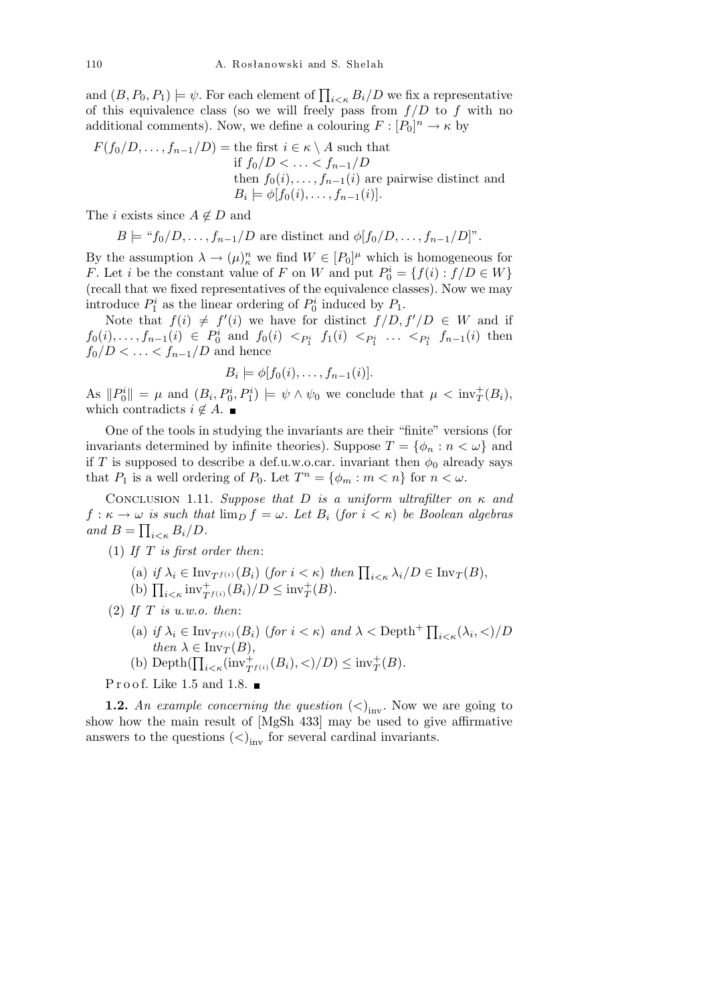and  $(B, P_0, P_1) \models \psi$ . For each element of  $\prod_{i \leq \kappa} B_i/D$  we fix a representative of this equivalence class (so we will freely pass from  $f/D$  to  $f$  with no additional comments). Now, we define a colouring  $F: [P_0]^n \to \kappa$  by

$$
F(f_0/D, \ldots, f_{n-1}/D) = \text{the first } i \in \kappa \setminus A \text{ such that}
$$
  
if  $f_0/D < \ldots < f_{n-1}/D$   
then  $f_0(i), \ldots, f_{n-1}(i)$  are pairwise distinct and  
 $B_i \models \phi[f_0(i), \ldots, f_{n-1}(i)].$ 

The *i* exists since  $A \notin D$  and

$$
B \models "f_0/D, \ldots, f_{n-1}/D
$$
 are distinct and  $\phi[f_0/D, \ldots, f_{n-1}/D]$ 

By the assumption  $\lambda \to (\mu)^n_{\kappa}$  we find  $W \in [P_0]^{\mu}$  which is homogeneous for *F*. Let *i* be the constant value of *F* on *W* and put  $P_0^i = \{f(i) : f/D \in W\}$ (recall that we fixed representatives of the equivalence classes). Now we may introduce  $P_1^i$  as the linear ordering of  $P_0^i$  induced by  $P_1$ .

Note that  $f(i) \neq f'(i)$  we have for distinct  $f/D, f'/D \in W$  and if  $f_0(i),..., f_{n-1}(i) \in P_0^i$  and  $f_0(i) <_{P_1^i} f_1(i) <_{P_1^i} ... <_{P_1^i} f_{n-1}(i)$  then  $f_0/D < \ldots < f_{n-1}/D$  and hence

$$
B_i \models \phi[f_0(i), \ldots, f_{n-1}(i)].
$$

As  $||P_0^i|| = \mu$  and  $(B_i, P_0^i, P_1^i) \models \psi \land \psi_0$  we conclude that  $\mu < \text{inv}_T^+(B_i)$ , which contradicts  $i \notin A$ .

One of the tools in studying the invariants are their "finite" versions (for invariants determined by infinite theories). Suppose  $T = \{\phi_n : n < \omega\}$  and if *T* is supposed to describe a def.u.w.o.car. invariant then  $\phi_0$  already says that  $P_1$  is a well ordering of  $P_0$ . Let  $T^n = \{\phi_m : m < n\}$  for  $n < \omega$ .

Conclusion 1.11. *Suppose that D is a uniform ultrafilter on κ and*  $f: \kappa \to \omega$  *is such that*  $\lim_{D} f = \omega$ *. Let*  $B_i$  (*for*  $i < \kappa$ ) *be Boolean algebras and*  $B = \prod_{i \leq \kappa} B_i/D$ .

- (1) *If T is first order then*:
	- (a) *if*  $\lambda_i \in \text{Inv}_{T^{f(i)}}(B_i)$  (for  $i < \kappa$ ) then  $\prod_{i < \kappa} \lambda_i/D \in \text{Inv}_T(B)$ ,
	- (a)  $Q \times R = \text{Inv}_{T^{f(i)}}(B_i) / D \leq \text{inv}_{T}^{+}(B_i).$ <br>
	(b)  $\prod_{i \leq \kappa} \text{inv}_{T^{f(i)}}(B_i) / D \leq \text{inv}_{T}^{+}(B).$

(2) *If T is u.w.o. then*:

- (a) *if*  $\lambda_i \in \text{Inv}_{T^{f(i)}}(B_i)$  (*for*  $i < \kappa$ ) *and*  $\lambda < \text{Depth}^+ \prod_{i < \kappa} (\lambda_i, <) / D$ *then*  $\lambda \in \text{Inv}_T(B)$ ,
- (b) Depth $(\prod_{i \le \kappa}(\text{inv}_{T}^+(i)(B_i), <)/D) \le \text{inv}_T^+(B)$ .

Proof. Like 1.5 and 1.8.  $\blacksquare$ 

**1.2.** An example concerning the question  $(<)_{\text{inv}}$ . Now we are going to show how the main result of [MgSh 433] may be used to give affirmative answers to the questions  $(<)_{\text{inv}}$  for several cardinal invariants.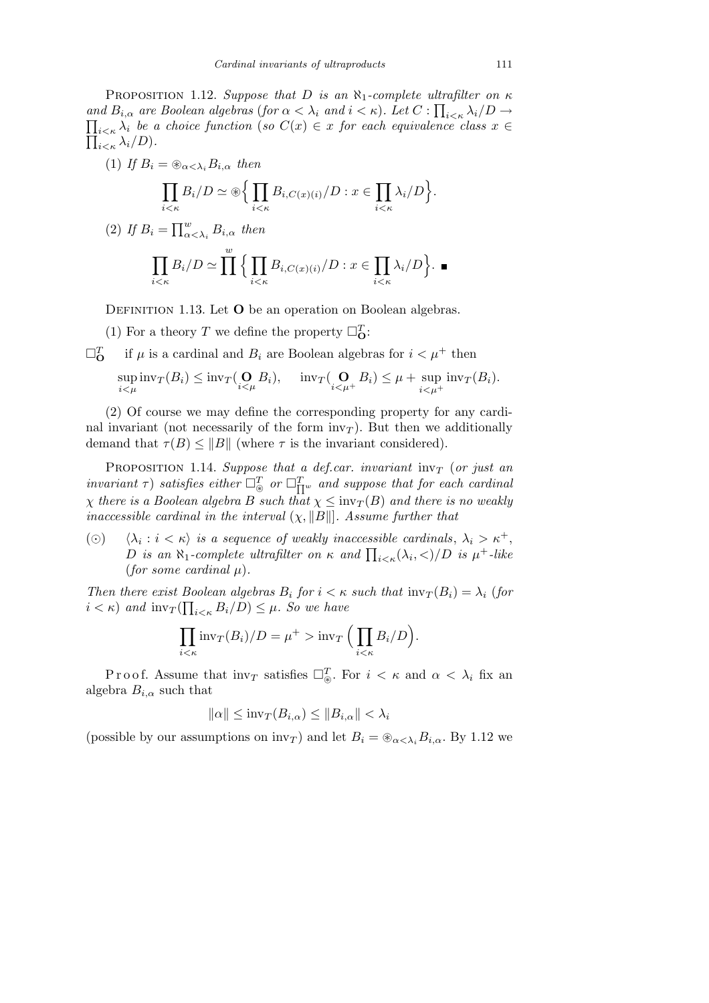PROPOSITION 1.12. *Suppose that D is an*  $\aleph_1$ *-complete ultrafilter on*  $\kappa$ *and*  $B_{i,\alpha}$  *are Boolean algebras* (*for*  $\alpha < \lambda_i$  *and*  $i < \kappa$ ). Let  $C: \prod_{i < \kappa} \lambda_i/D \to \prod_{i \leq \kappa} \lambda_i/D$  $\prod_{i \leq \kappa} \lambda_i$  *be a choice function* (*so*  $C(x) \in x$  *for each equivalence class*  $x \in$  $\prod_{i<\kappa}\lambda_i/D$ .

(1) If 
$$
B_i = \bigotimes_{\alpha < \lambda_i} B_{i,\alpha}
$$
 then  
\n
$$
\prod_{i < \kappa} B_i/D \simeq \bigotimes \Biggl\{ \prod_{i < \kappa} B_{i,C(x)(i)}/D : x \in \prod_{i < \kappa} \lambda_i/D \Biggr\}.
$$
\n(2) If  $B_i = \prod_{\alpha < \lambda_i} B_{i,\alpha}$  then  
\n
$$
\prod_{i < \kappa} B_i/D \simeq \prod_{i < \kappa}^w \Biggl\{ \prod_{i < \kappa} B_{i,C(x)(i)}/D : x \in \prod_{i < \kappa} \lambda_i/D \Biggr\}.
$$

DEFINITION 1.13. Let **O** be an operation on Boolean algebras.

(1) For a theory *T* we define the property  $\square_{\mathbf{O}}^T$ :

 $\square^T$ if  $\mu$  is a cardinal and  $B_i$  are Boolean algebras for  $i < \mu^+$  then sup  $\sup_{i \leq \mu} \text{inv}_T(B_i) \leq \text{inv}_T(\bigodot_{i \leq \mu} B_i), \quad \text{inv}_T(\bigodot_{i \leq \mu^+} B_i) \leq \mu + \sup_{i \leq \mu^+}$  $i<\mu^+$  $inv_T(B_i)$ .

(2) Of course we may define the corresponding property for any cardinal invariant (not necessarily of the form  $inv<sub>T</sub>$ ). But then we additionally demand that  $\tau(B) \leq \|B\|$  (where  $\tau$  is the invariant considered).

Proposition 1.14. *Suppose that a def.car. invariant* inv*<sup>T</sup>* (*or just an*  $invariant \tau$ ) *satisfies either*  $\Box^T_{\circledast}$  *or*  $\Box^T_{\Pi^w}$  *and suppose that for each cardinal χ there is a Boolean algebra B such that*  $\chi \leq inv_T(B)$  *and there is no weakly inaccessible cardinal in the interval*  $(\chi, \|B\|)$ *. Assume further that* 

(O)  $\langle \lambda_i : i \lt k \rangle$  *is a sequence of weakly inaccessible cardinals*,  $\lambda_i > \kappa^+$ , *D is* an  $\aleph_1$ -complete ultrafilter on  $\kappa$  and  $\prod_{i<\kappa}(\lambda_i,\langle)/D$  *is*  $\mu^+$ -like *(for some cardinal*  $\mu$ *)*.

*Then there exist Boolean algebras*  $B_i$  *for*  $i < \kappa$  *such that*  $\text{inv}_T(B_i) = \lambda_i$  (*for*)  $i < \kappa$ ) *and*  $\text{inv}_T(\prod_{i<\kappa} B_i/D) \leq \mu$ . So we have

$$
\prod_{i<\kappa} \text{inv}_T(B_i)/D = \mu^+ > \text{inv}_T \Big( \prod_{i<\kappa} B_i/D \Big).
$$

Proof. Assume that  $\text{inv}_T$  satisfies  $\Box_{\circledast}^T$ . For  $i < \kappa$  and  $\alpha < \lambda_i$  fix an algebra  $B_{i,\alpha}$  such that

$$
\|\alpha\| \leq \mathrm{inv}_T(B_{i,\alpha}) \leq \|B_{i,\alpha}\| < \lambda_i
$$

(possible by our assumptions on  $\text{inv}_T$ ) and let  $B_i = \bigotimes_{\alpha < \lambda_i} B_{i,\alpha}$ . By 1.12 we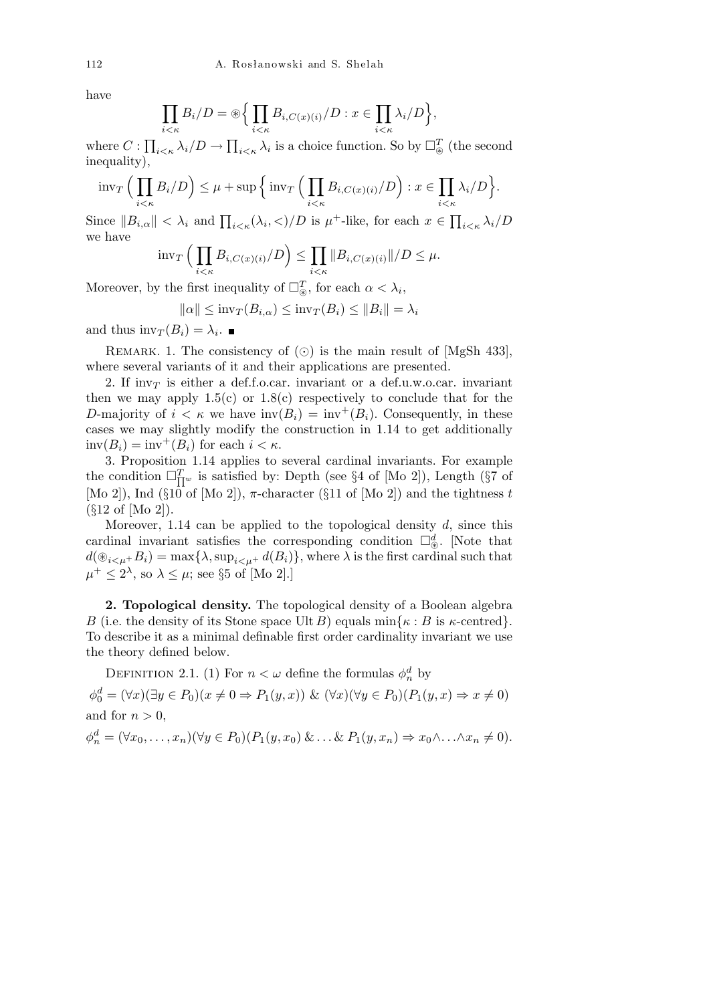have

$$
\prod_{i<\kappa} B_i/D = \bigcirc \Big\{ \prod_{i<\kappa} B_{i,C(x)(i)}/D : x \in \prod_{i<\kappa} \lambda_i/D \Big\},\,
$$

where *C* :  $\overline{ }$  $\lambda_i$ <sub>*i*</sub>  $\langle D \rangle$  →  $i<\kappa$   $\lambda_i$  is a choice function. So by  $\square_{\circledast}^T$  (the second inequality),

$$
\mathrm{inv}_T\Big(\prod_{i<\kappa}B_i/D\Big)\leq \mu+\mathrm{sup}\Big\{\mathrm{inv}_T\Big(\prod_{i<\kappa}B_{i,C(x)(i)}/D\Big):x\in\prod_{i<\kappa}\lambda_i/D\Big\}.
$$

Since  $||B_{i,\alpha}|| < \lambda_i$  and  $\prod_{i<\kappa}(\lambda_i, <)/D$  is  $\mu^+$ -like, for each  $x \in \prod$ *i<κ λi/D* we have  $\sqrt{1}$  $\overline{y}$ 

$$
\mathrm{inv}_T\Big(\prod_{i<\kappa}B_{i,C(x)(i)}/D\Big)\leq \prod_{i<\kappa}||B_{i,C(x)(i)}||/D\leq\mu.
$$

Moreover, by the first inequality of  $\square_{\circledast}^T$ , for each  $\alpha < \lambda_i$ ,

$$
\|\alpha\| \leq \mathrm{inv}_T(B_{i,\alpha}) \leq \mathrm{inv}_T(B_i) \leq \|B_i\| = \lambda_i
$$

and thus  $\text{inv}_T(B_i) = \lambda_i$ .

REMARK. 1. The consistency of  $\circled{\circ}$  is the main result of [MgSh 433], where several variants of it and their applications are presented.

2. If inv<sub>T</sub> is either a def.f.o.car. invariant or a def.u.w.o.car. invariant then we may apply  $1.5(c)$  or  $1.8(c)$  respectively to conclude that for the *D*-majority of  $i < \kappa$  we have  $inv(B_i) = inv^+(B_i)$ . Consequently, in these cases we may slightly modify the construction in 1.14 to get additionally  $inv(B_i) = inv^+(B_i)$  for each  $i < \kappa$ .

3. Proposition 1.14 applies to several cardinal invariants. For example the condition  $\Box_{\Pi^w}^T$  is satisfied by: Depth (see §4 of [Mo 2]), Length (§7 of [Mo 2]), Ind ( $\S 10$  of [Mo 2]),  $\pi$ -character ( $\S 11$  of [Mo 2]) and the tightness *t* (*§*12 of [Mo 2]).

Moreover, 1.14 can be applied to the topological density *d*, since this cardinal invariant satisfies the corresponding condition  $\square_{\circledast}^d$ . [Note that  $d(\mathcal{D}_{i \leq \mu} + B_i) = \max\{\lambda, \sup_{i \leq \mu^+} d(B_i)\}\$ , where  $\lambda$  is the first cardinal such that  $\mu^+ \leq 2^{\lambda}$ , so  $\lambda \leq \mu$ ; see *§*5 of [Mo 2].]

**2. Topological density.** The topological density of a Boolean algebra *B* (i.e. the density of its Stone space Ult *B*) equals  $\min\{\kappa : B \text{ is } \kappa\text{-center}\}.$ To describe it as a minimal definable first order cardinality invariant we use the theory defined below.

DEFINITION 2.1. (1) For  $n < \omega$  define the formulas  $\phi_n^d$  by

 $\phi_0^d = (\forall x)(\exists y \in P_0)(x \neq 0 \Rightarrow P_1(y, x)) \& (\forall x)(\forall y \in P_0)(P_1(y, x) \Rightarrow x \neq 0)$ and for  $n > 0$ ,

$$
\phi_n^d = (\forall x_0, \dots, x_n)(\forall y \in P_0)(P_1(y, x_0) \& \dots \& P_1(y, x_n) \Rightarrow x_0 \wedge \dots \wedge x_n \neq 0).
$$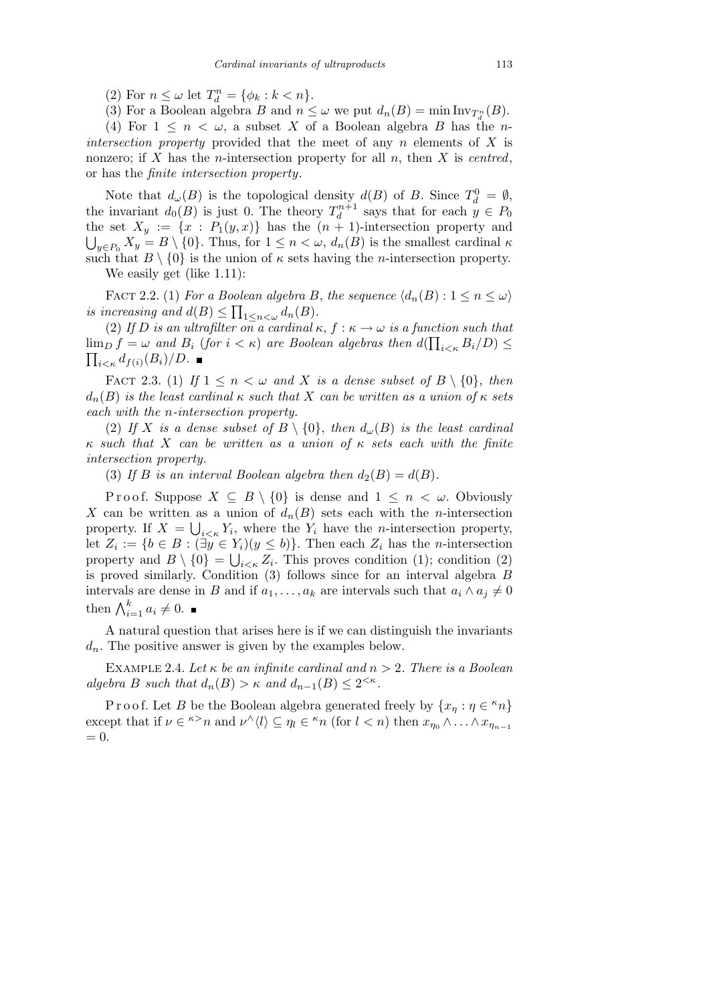(2) For  $n \leq \omega$  let  $T_d^n = {\phi_k : k < n}.$ 

(3) For a Boolean algebra *B* and  $n \leq \omega$  we put  $d_n(B) = \min \text{Inv}_{T_d^n}(B)$ .

(4) For  $1 \leq n \leq \omega$ , a subset X of a Boolean algebra B has the *nintersection property* provided that the meet of any *n* elements of *X* is nonzero; if *X* has the *n*-intersection property for all *n*, then *X* is *centred*, or has the *finite intersection property*.

Note that  $d_{\omega}(B)$  is the topological density  $d(B)$  of *B*. Since  $T_d^0 = \emptyset$ , the invariant  $d_0(B)$  is just 0. The theory  $T_d^{n+1}$  says that for each  $y \in P_0$ the set  $X_y := \{x : P_1(y, x)\}$  has the  $(n + 1)$ -intersection property and  $y \in P_0$   $X_y = B \setminus \{0\}$ . Thus, for  $1 \leq n \lt \omega$ ,  $d_n(B)$  is the smallest cardinal  $\kappa$ such that  $B \setminus \{0\}$  is the union of  $\kappa$  sets having the *n*-intersection property. We easily get (like 1.11):

FACT 2.2. (1) *For a Boolean algebra B*, *the sequence*  $\langle d_n(B) : 1 \leq n \leq \omega \rangle$ *is increasing and*  $d(B) \le \prod_{1 \le n \le \omega} d_n(B)$ .

(2) If *D* is an ultrafilter on a cardinal  $\kappa$ ,  $f : \kappa \to \omega$  is a function such that  $\lim_{D} f = \omega$  and  $B_i$  (for  $i < \kappa$ ) are Boolean algebras then  $d(\prod_{i<\kappa} B_i/D) \leq$  $\sum_{i \leq \kappa} d_{f(i)}(B_i)/D$ .

FACT 2.3. (1) If  $1 \leq n \leq \omega$  and X is a dense subset of  $B \setminus \{0\}$ , then  $d_n(B)$  *is the least cardinal*  $\kappa$  *such that*  $X$  *can be written as a union of*  $\kappa$  *sets each with the n-intersection property.*

(2) If *X* is a dense subset of  $B \setminus \{0\}$ , then  $d_{\omega}(B)$  is the least cardinal *κ such that X can be written as a union of κ sets each with the finite intersection property.*

(3) If *B* is an interval Boolean algebra then  $d_2(B) = d(B)$ .

Proof. Suppose  $X \subseteq B \setminus \{0\}$  is dense and  $1 \leq n \leq \omega$ . Obviously *X* can be written as a union of  $d_n(B)$  sets each with the *n*-intersection property. If  $X = \bigcup_{i \leq \kappa} Y_i$ , where the  $Y_i$  have the *n*-intersection property, let  $Z_i := \{b \in B : (\exists y \in Y_i)(y \leq b)\}.$  Then each  $Z_i$  has the *n*-intersection property and  $B \setminus \{0\} = \bigcup_{i \leq \kappa} Z_i$ . This proves condition (1); condition (2) is proved similarly. Condition (3) follows since for an interval algebra *B* intervals are dense in *B* and if  $a_1, \ldots, a_k$  are intervals such that  $a_i \wedge a_j \neq 0$ then  $\bigwedge_{i=1}^k a_i \neq 0$ .

A natural question that arises here is if we can distinguish the invariants  $d_n$ . The positive answer is given by the examples below.

EXAMPLE 2.4. Let  $\kappa$  be an infinite cardinal and  $n > 2$ . There is a Boolean *algebra B such that*  $d_n(B) > \kappa$  *and*  $d_{n-1}(B) \leq 2^{<\kappa}$ *.* 

Proof. Let *B* be the Boolean algebra generated freely by  $\{x_\eta : \eta \in \kappa n\}$ except that if  $\nu \in \kappa > n$  and  $\nu^{\wedge} \langle l \rangle \subseteq \eta_l \in \kappa n$  (for  $l < n$ ) then  $x_{\eta_0} \wedge \ldots \wedge x_{\eta_{n-1}}$  $= 0.$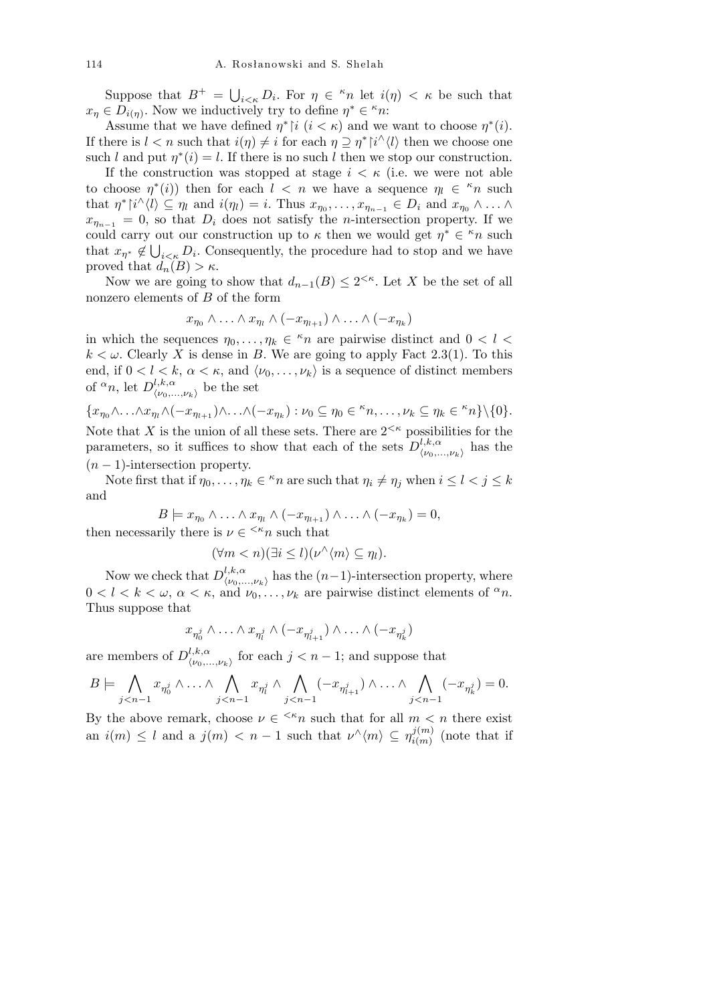Suppose that  $B^+ = \bigcup$  $i \leq k} D_i$ . For  $\eta \in \kappa n$  let  $i(\eta) < \kappa$  be such that  $x_{\eta} \in D_{i(\eta)}$ . Now we inductively try to define  $\eta^* \in \kappa n$ :

Assume that we have defined  $\eta^*{\restriction}i$  ( $i < \kappa$ ) and we want to choose  $\eta^*(i)$ . If there is  $l < n$  such that  $i(\eta) \neq i$  for each  $\eta \supseteq \eta^* \upharpoonright i \wedge \langle l \rangle$  then we choose one such *l* and put  $\eta^*(i) = l$ . If there is no such *l* then we stop our construction.

If the construction was stopped at stage  $i < \kappa$  (i.e. we were not able to choose  $\eta^*(i)$ ) then for each  $l \leq n$  we have a sequence  $\eta_l \in \kappa_n$  such that  $\eta^* |i^{\wedge} \langle l \rangle \subseteq \eta_l$  and  $i(\eta_l) = i$ . Thus  $x_{\eta_0}, \ldots, x_{\eta_{n-1}} \in D_i$  and  $x_{\eta_0} \wedge \ldots \wedge x_{\eta_{n-1}}$  $x_{\eta_{n-1}} = 0$ , so that  $D_i$  does not satisfy the *n*-intersection property. If we could carry out our construction up to  $\kappa$  then we would get  $\eta^* \in \kappa_n$  such that  $x_{\eta^*} \notin \bigcup_{i \leq \kappa} D_i$ . Consequently, the procedure had to stop and we have proved that  $d_n(B) > \kappa$ .

Now we are going to show that  $d_{n-1}(B) \leq 2^{< \kappa}$ . Let *X* be the set of all nonzero elements of *B* of the form

$$
x_{\eta_0} \wedge \ldots \wedge x_{\eta_l} \wedge (-x_{\eta_{l+1}}) \wedge \ldots \wedge (-x_{\eta_k})
$$

in which the sequences  $\eta_0, \ldots, \eta_k \in \kappa_n$  are pairwise distinct and  $0 < l <$  $k < \omega$ . Clearly *X* is dense in *B*. We are going to apply Fact 2.3(1). To this end, if  $0 < l < k$ ,  $\alpha < \kappa$ , and  $\langle \nu_0, \ldots, \nu_k \rangle$  is a sequence of distinct members of  $\alpha_n$ , let  $D^{l,k,\alpha}_{\mu}$  $\langle \nu_0,...,\nu_k \rangle$  be the set

$$
\{x_{\eta_0}\wedge\ldots\wedge x_{\eta_l}\wedge(-x_{\eta_{l+1}})\wedge\ldots\wedge(-x_{\eta_k}): \nu_0\subseteq\eta_0\in{}^{\kappa}n,\ldots,\nu_k\subseteq\eta_k\in{}^{\kappa}n\}\backslash\{0\}.
$$

Note that *X* is the union of all these sets. There are  $2^{< \kappa}$  possibilities for the parameters, so it suffices to show that each of the sets  $D^{l,k,\alpha}_{\mu\nu}$  $\langle \nu_0, \ldots, \nu_k \rangle$  has the (*n −* 1)-intersection property.

Note first that if  $\eta_0, \ldots, \eta_k \in \kappa_n$  are such that  $\eta_i \neq \eta_j$  when  $i \leq l < j \leq k$ and

$$
B \models x_{\eta_0} \land \ldots \land x_{\eta_l} \land (-x_{\eta_{l+1}}) \land \ldots \land (-x_{\eta_k}) = 0,
$$

then necessarily there is  $\nu \in \langle k_n \rangle$  such that

$$
(\forall m < n)(\exists i \leq l)(\nu^{\wedge}\langle m \rangle \subseteq \eta_l).
$$

Now we check that  $D^{l,k,\alpha}_{\mu}$  $\langle \mu_0, \ldots, \mu_k \rangle$  has the  $(n-1)$ -intersection property, where  $0 < l < k < \omega, \ \alpha < \kappa, \text{ and } \nu_0, \ldots, \nu_k \text{ are pairwise distinct elements of } \alpha n.$ Thus suppose that

$$
x_{\eta^j_0}\wedge\ldots\wedge x_{\eta^j_l}\wedge (-x_{\eta^j_{l+1}})\wedge\ldots\wedge (-x_{\eta^j_k})
$$

are members of  $D^{l,k,\alpha}_{\mu}$  $\langle v_0, v_1, v_k \rangle$  for each  $j < n-1$ ; and suppose that

$$
B \models \bigwedge_{j
$$

By the above remark, choose  $\nu \in \langle k_n \rangle$  such that for all  $m \langle n \rangle$  there exist an  $i(m) \leq l$  and a  $j(m) < n-1$  such that  $\nu^{\wedge} \langle m \rangle \subseteq \eta^{j(m)}_{i(m)}$  $\binom{j(m)}{i(m)}$  (note that if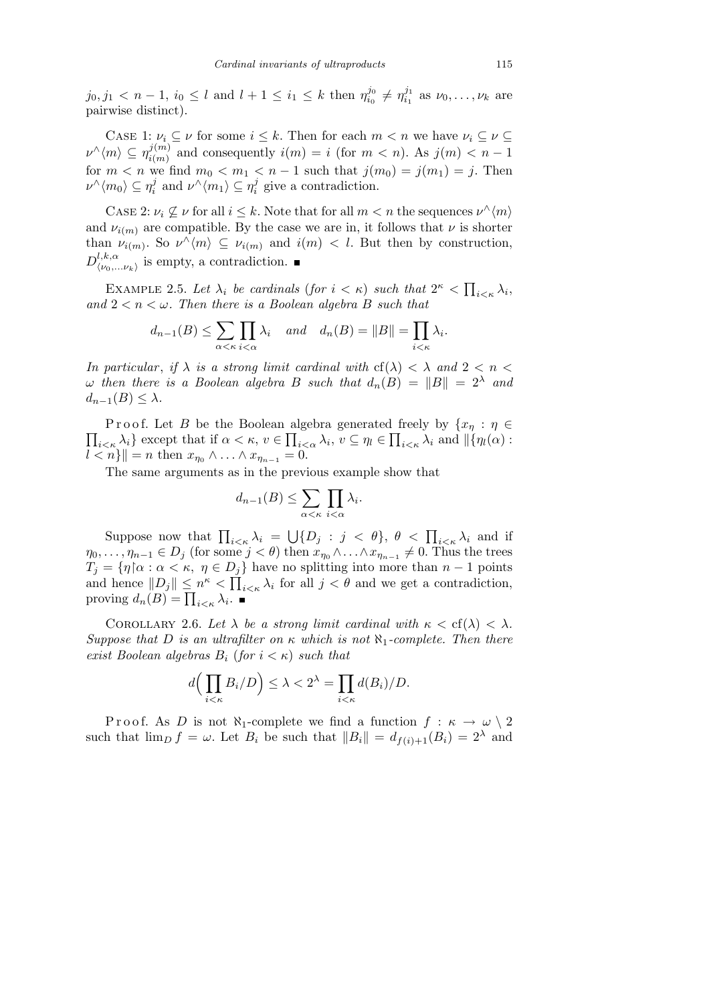$j_0, j_1 < n-1$ ,  $i_0 \leq l$  and  $l+1 \leq i_1 \leq k$  then  $\eta_{i_0}^{j_0}$  $\eta_{i_0}^{j_0} \neq \eta_{i_1}^{j_1}$  $v_{i_1}^{j_1}$  as  $\nu_0, \ldots, \nu_k$  are pairwise distinct).

CASE 1:  $\nu_i \subseteq \nu$  for some  $i \leq k$ . Then for each  $m < n$  we have  $\nu_i \subseteq \nu \subseteq$  $\nu^{\wedge}\langle m \rangle \subseteq \eta^{j(m)}_{i(m)}$  $i^{j(m)}_{i(m)}$  and consequently  $i(m) = i$  (for  $m < n$ ). As  $j(m) < n - 1$ for  $m < n$  we find  $m_0 < m_1 < n - 1$  such that  $j(m_0) = j(m_1) = j$ . Then  $\nu^{\wedge}\langle m_{0}\rangle\subseteq\eta_{i}^{j}$  $\sum_{i}^{j}$  and  $\nu^{\wedge} \langle m_1 \rangle \subseteq \eta_i^j$  $i$ <sup>
g</sup> ive a contradiction.

CASE 2:  $\nu_i \nsubseteq \nu$  for all  $i \leq k$ . Note that for all  $m < n$  the sequences  $\nu^{\wedge} \langle m \rangle$ and  $\nu_{i(m)}$  are compatible. By the case we are in, it follows that  $\nu$  is shorter than  $\nu_{i(m)}$ . So  $\nu^{\wedge}\langle m \rangle \subseteq \nu_{i(m)}$  and  $i(m) < l$ . But then by construction,  $D^{l,k,\alpha}_{\prime\prime\prime\circ}$  $\langle \nu_0,...\nu_k \rangle$  is empty, a contradiction.

EXAMPLE 2.5. Let  $\lambda_i$  be cardinals (for  $i < \kappa$ ) such that  $2^{\kappa} < \prod$  $i<\kappa$   $\lambda_i$ *and*  $2 < n < \omega$ *. Then there is a Boolean algebra B such that* 

$$
d_{n-1}(B) \le \sum_{\alpha < \kappa} \prod_{i < \alpha} \lambda_i \quad \text{and} \quad d_n(B) = ||B|| = \prod_{i < \kappa} \lambda_i.
$$

*In particular, if*  $\lambda$  *is a strong limit cardinal with*  $cf(\lambda) < \lambda$  *and*  $2 < n <$  $\omega$  *then there is a Boolean algebra B such that*  $d_n(B) = ||B|| = 2^{\lambda}$  *and*  $d_{n-1}(B) \leq \lambda$ .

 $\overline{ }$ Proof. Let *B* be the Boolean algebra generated freely by  $\{x_n : n \in \mathbb{R}^n\}$  $\{i\leq \kappa \lambda_i\}$  except that if  $\alpha < \kappa$ ,  $v \in \prod_{i<\alpha} \lambda_i$ ,  $v \subseteq \eta_i \in \prod_{i<\kappa} \lambda_i$  and  $||\{\eta_i(\alpha):$  $|l < n$ <sup>k</sup> $|| = n$  then  $x_{\eta_0} \wedge \ldots \wedge x_{\eta_{n-1}} = 0.$ 

The same arguments as in the previous example show that

$$
d_{n-1}(B) \le \sum_{\alpha < \kappa} \prod_{i < \alpha} \lambda_i.
$$

Suppose now that  $\prod_{i \leq \kappa} \lambda_i$  =  $\bigcup \{D_j : j < \theta\}, \theta < \prod_{i < \kappa} \lambda_i \text{ and if}$  $\eta_0, \ldots, \eta_{n-1} \in D_j$  (for some  $j < \theta$ ) then  $x_{\eta_0} \wedge \ldots \wedge x_{\eta_{n-1}} \neq 0$ . Thus the trees  $T_j = \{ \eta | \alpha : \alpha < \kappa, \ \eta \in D_j \}$  have no splitting into more than  $n-1$  points and hence  $||D_j|| \leq n^{\kappa} < \prod_{i < \kappa} \lambda_i$  for all  $j < \theta$  and we get a contradiction,  $\text{array of } d_n(B) = \prod_{i \leq \kappa} \lambda_i.$ 

COROLLARY 2.6. Let  $\lambda$  be a strong limit cardinal with  $\kappa < \text{cf}(\lambda) < \lambda$ . *Suppose that D is an ultrafilter on*  $κ$  *which is not*  $\aleph_1$ *-complete. Then there exist Boolean algebras*  $B_i$  (*for*  $i < \kappa$ *) such that* 

$$
d\Big(\prod_{i<\kappa}B_i/D\Big)\leq\lambda<2^{\lambda}=\prod_{i<\kappa}d(B_i)/D.
$$

Proof. As *D* is not  $\aleph_1$ -complete we find a function  $f : \kappa \to \omega \setminus 2$ such that  $\lim_{D} f = \omega$ . Let  $B_i$  be such that  $||B_i|| = d_{f(i)+1}(B_i) = 2^{\lambda}$  and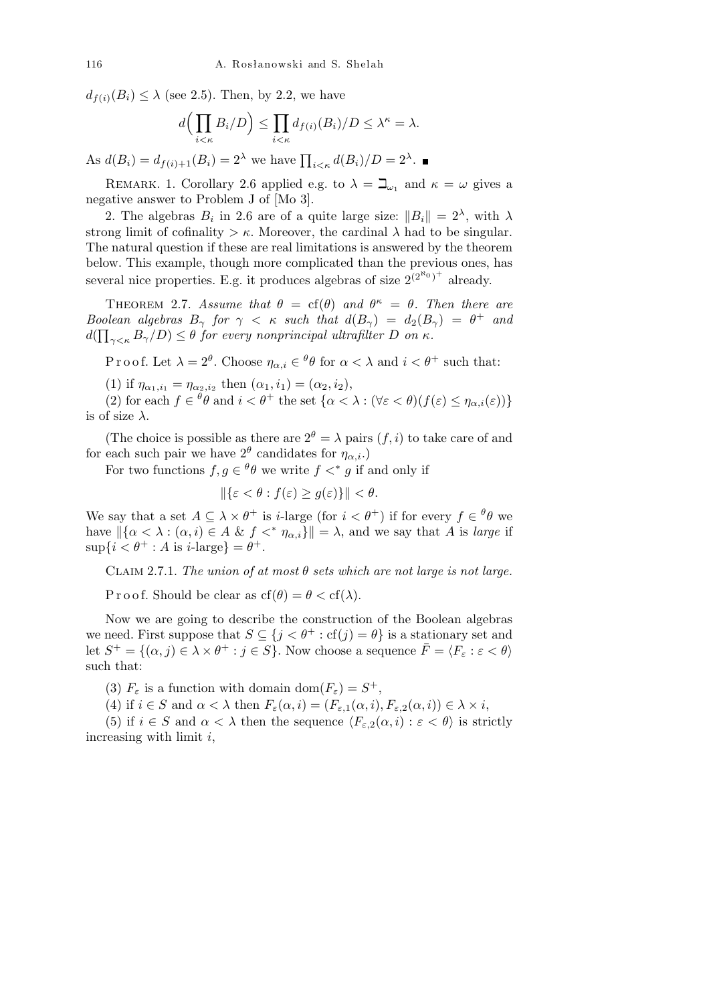$d_{f(i)}(B_i) \leq \lambda$  (see 2.5). Then, by 2.2, we have

$$
d\Big(\prod_{i<\kappa}B_i/D\Big)\leq \prod_{i<\kappa}d_{f(i)}(B_i)/D\leq \lambda^{\kappa}=\lambda.
$$

As  $d(B_i) = d_{f(i)+1}(B_i) = 2^{\lambda}$  we have  $\prod_{i < \kappa} d(B_i)/D = 2^{\lambda}$ .

REMARK. 1. Corollary 2.6 applied e.g. to  $\lambda = \beth_{\omega_1}$  and  $\kappa = \omega$  gives a negative answer to Problem J of [Mo 3].

2. The algebras  $B_i$  in 2.6 are of a quite large size:  $||B_i|| = 2^{\lambda}$ , with  $\lambda$ strong limit of cofinality  $>\kappa$ . Moreover, the cardinal  $\lambda$  had to be singular. The natural question if these are real limitations is answered by the theorem below. This example, though more complicated than the previous ones, has several nice properties. E.g. it produces algebras of size  $2^{(2^{k_0})^+}$  already.

THEOREM 2.7. *Assume that*  $\theta = cf(\theta)$  *and*  $\theta^{\kappa} = \theta$ *. Then there are Boolean algebras*  $B_{\gamma}$  *for*  $\gamma < \kappa$  *such that*  $d(B_{\gamma}) = d_2(B_{\gamma}) = \theta^+$  *and*  $d(\prod_{\gamma<\kappa}B_{\gamma}/D)\leq\theta$  *for every nonprincipal ultrafilter D on*  $\kappa$ *.* 

Proof. Let  $\lambda = 2^{\theta}$ . Choose  $\eta_{\alpha,i} \in {}^{\theta}\theta$  for  $\alpha < \lambda$  and  $i < \theta^+$  such that:

(1) if  $\eta_{\alpha_1,i_1} = \eta_{\alpha_2,i_2}$  then  $(\alpha_1,i_1) = (\alpha_2,i_2),$ 

(2) for each  $f \in {}^{\theta}\theta$  and  $i < \theta^+$  the set  $\{\alpha < \lambda : (\forall \varepsilon < \theta)(f(\varepsilon) \leq \eta_{\alpha,i}(\varepsilon))\}$ is of size *λ*.

(The choice is possible as there are  $2^{\theta} = \lambda$  pairs  $(f, i)$  to take care of and for each such pair we have  $2^{\theta}$  candidates for  $\eta_{\alpha,i}$ .)

For two functions  $f, g \in \theta \theta$  we write  $f \lt^* g$  if and only if

$$
\|\{\varepsilon < \theta : f(\varepsilon) \ge g(\varepsilon)\}\| < \theta.
$$

We say that a set  $A \subseteq \lambda \times \theta^+$  is *i*-large (for  $i < \theta^+$ ) if for every  $f \in {}^{\theta}\theta$  we have  $\|\{\alpha < \lambda : (\alpha, i) \in A \& f <^* \eta_{\alpha, i}\}\| = \lambda$ , and we say that *A* is *large* if  $\sup\{i < \theta^+ : A \text{ is } i\text{-large}\} = \theta^+.$ 

CLAIM 2.7.1. *The union of at most*  $\theta$  *sets which are not large is not large.* 

P r o o f. Should be clear as  $cf(\theta) = \theta < cf(\lambda)$ .

Now we are going to describe the construction of the Boolean algebras we need. First suppose that  $S \subseteq \{j < \theta^+ : \text{cf}(j) = \theta\}$  is a stationary set and let  $S^+ = \{(\alpha, j) \in \lambda \times \theta^+ : j \in S\}$ . Now choose a sequence  $\overline{F} = \langle F_\varepsilon : \varepsilon < \theta \rangle$ such that:

(3)  $F_{\varepsilon}$  is a function with domain dom $(F_{\varepsilon}) = S^{+}$ ,

(4) if  $i \in S$  and  $\alpha < \lambda$  then  $F_{\varepsilon}(\alpha, i) = (F_{\varepsilon,1}(\alpha, i), F_{\varepsilon,2}(\alpha, i)) \in \lambda \times i$ ,

(5) if  $i \in S$  and  $\alpha < \lambda$  then the sequence  $\langle F_{\varepsilon,2}(\alpha,i) : \varepsilon < \theta \rangle$  is strictly increasing with limit *i*,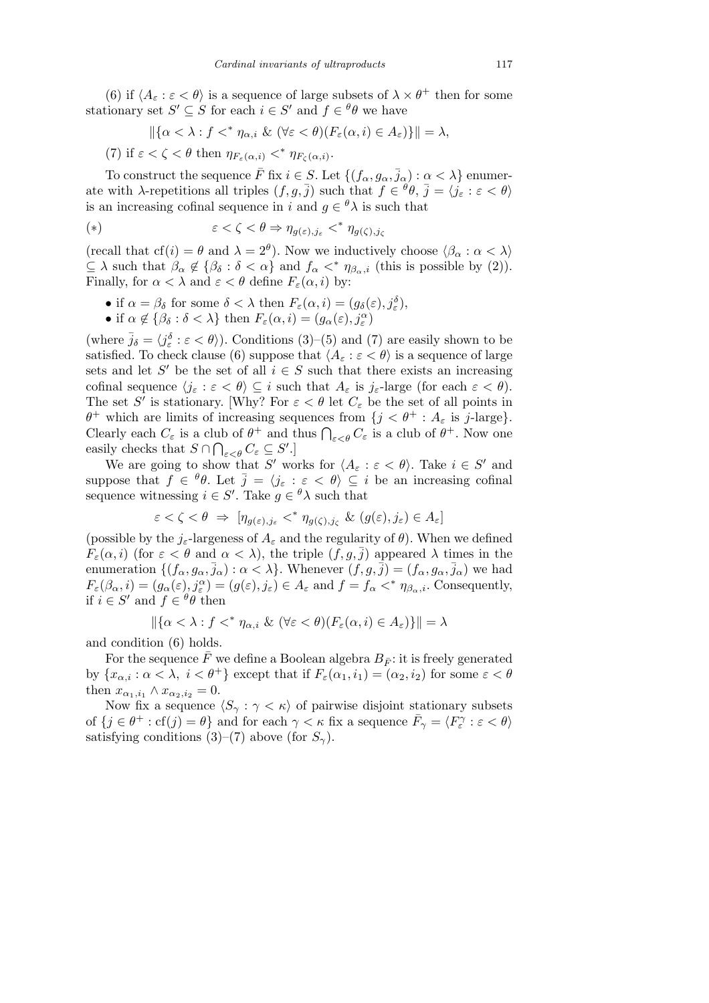(6) if  $\langle A_{\varepsilon} : \varepsilon < \theta \rangle$  is a sequence of large subsets of  $\lambda \times \theta^+$  then for some stationary set  $S' \subseteq S$  for each  $i \in S'$  and  $f \in {}^{\theta}\theta$  we have

$$
\|\{\alpha<\lambda:f<^*\eta_{\alpha,i}\ \&\ (\forall \varepsilon<\theta)(F_{\varepsilon}(\alpha,i)\in A_{\varepsilon})\}\|=\lambda,
$$

(7) if  $\varepsilon < \zeta < \theta$  then  $\eta_{F_{\varepsilon}(\alpha,i)} <^* \eta_{F_{\zeta}(\alpha,i)}$ .

To construct the sequence  $\overline{F}$  fix  $i \in S$ . Let  $\{(f_{\alpha}, g_{\alpha}, \overline{j}_{\alpha}) : \alpha < \lambda\}$  enumerate with *λ*-repetitions all triples  $(f, g, \overline{j})$  such that  $f \in {}^{\theta} \theta$ ,  $\overline{j} = \langle j_{\varepsilon} : \varepsilon < \theta \rangle$ is an increasing cofinal sequence in *i* and  $g \in {}^{\theta}\lambda$  is such that

$$
(*)\qquad \qquad \varepsilon < \zeta < \theta \Rightarrow \eta_{g(\varepsilon),j_{\varepsilon}} <^* \eta_{g(\zeta),j_{\zeta}}
$$

(recall that cf(*i*) =  $\theta$  and  $\lambda = 2^{\theta}$ ). Now we inductively choose  $\langle \beta_{\alpha} : \alpha < \lambda \rangle$  $\subseteq \lambda$  such that  $\beta_{\alpha} \notin \{\beta_{\delta} : \delta < \alpha\}$  and  $f_{\alpha} <^* \eta_{\beta_{\alpha},i}$  (this is possible by (2)). Finally, for  $\alpha < \lambda$  and  $\varepsilon < \theta$  define  $F_{\varepsilon}(\alpha, i)$  by:

- if  $\alpha = \beta_{\delta}$  for some  $\delta < \lambda$  then  $F_{\varepsilon}(\alpha, i) = (g_{\delta}(\varepsilon), j_{\varepsilon}^{\delta}),$
- if  $\alpha \notin \{\beta_{\delta} : \delta < \lambda\}$  then  $F_{\varepsilon}(\alpha, i) = (g_{\alpha}(\varepsilon), j_{\varepsilon}^{\alpha})$

(where  $\bar{j}_{\delta} = \langle j_{\varepsilon}^{\delta} : \varepsilon < \theta \rangle$ ). Conditions (3)–(5) and (7) are easily shown to be satisfied. To check clause (6) suppose that  $\langle A_{\varepsilon} : \varepsilon < \theta \rangle$  is a sequence of large sets and let *S'* be the set of all  $i \in S$  such that there exists an increasing cofinal sequence  $\langle j_{\varepsilon} : \varepsilon < \theta \rangle \subseteq i$  such that  $A_{\varepsilon}$  is  $j_{\varepsilon}$ -large (for each  $\varepsilon < \theta$ ). The set *S'* is stationary. [Why? For  $\varepsilon < \theta$  let  $C_{\varepsilon}$  be the set of all points in *θ*<sup>+</sup> which are limits of increasing sequences from  $\{j < \theta^+ : A_\varepsilon \text{ is } j\text{-large}\}.$ Clearly each  $C_{\varepsilon}$  is a club of  $\theta^+$  and thus  $\bigcap_{\varepsilon<\theta}C_{\varepsilon}$  is a club of  $\theta^+$ . Now one easily checks that  $S \cap \bigcap_{\varepsilon < \theta} C_{\varepsilon} \subseteq S'.$ 

We are going to show that *S'* works for  $\langle A_{\varepsilon} : \varepsilon < \theta \rangle$ . Take  $i \in S'$  and suppose that  $f \in \theta$ . Let  $\overline{j} = \langle j_{\varepsilon} : \varepsilon < \theta \rangle \subseteq i$  be an increasing cofinal sequence witnessing  $i \in S'$ . Take  $g \in {}^{\theta}\lambda$  such that

$$
\varepsilon < \zeta < \theta \implies [\eta_{g(\varepsilon),j_{\varepsilon}} <^* \eta_{g(\zeta),j_{\zeta}} \& (g(\varepsilon),j_{\varepsilon}) \in A_{\varepsilon}]
$$

(possible by the  $j_{\varepsilon}$ -largeness of  $A_{\varepsilon}$  and the regularity of  $\theta$ ). When we defined *F*<sub> $\epsilon$ </sub>( $\alpha$ , *i*) (for  $\epsilon < \theta$  and  $\alpha < \lambda$ ), the triple  $(f, g, \overline{j})$  appeared  $\lambda$  times in the enumeration  $\{(f_{\alpha}, g_{\alpha}, \bar{j}_{\alpha}) : \alpha < \lambda\}$ . Whenever  $(f, g, \bar{j}) = (f_{\alpha}, g_{\alpha}, \bar{j}_{\alpha})$  we had  $F_{\varepsilon}(\beta_{\alpha}, i) = (g_{\alpha}(\varepsilon), j_{\varepsilon}^{\alpha}) = (g(\varepsilon), j_{\varepsilon}) \in A_{\varepsilon}$  and  $f = f_{\alpha} <^* \eta_{\beta_{\alpha}, i}$ . Consequently, if  $i \in S'$  and  $f \in {}^{\theta} \theta$  then

$$
\|\{\alpha < \lambda : f <^* \eta_{\alpha,i} \& (\forall \varepsilon < \theta)(F_{\varepsilon}(\alpha, i) \in A_{\varepsilon})\}\| = \lambda
$$

and condition (6) holds.

For the sequence  $\bar{F}$  we define a Boolean algebra  $B_{\bar{F}}$ : it is freely generated by  $\{x_{\alpha,i} : \alpha < \lambda, i < \theta^+\}$  except that if  $F_{\varepsilon}(\alpha_1, i_1) = (\alpha_2, i_2)$  for some  $\varepsilon < \theta$ then  $x_{\alpha_1,i_1} \wedge x_{\alpha_2,i_2} = 0$ .

Now fix a sequence  $\langle S_{\gamma} : \gamma \langle \kappa \rangle$  of pairwise disjoint stationary subsets of  $\{j \in \theta^+ : \text{cf}(j) = \theta\}$  and for each  $\gamma < \kappa$  fix a sequence  $\bar{F}_\gamma = \langle F^\gamma_\varepsilon : \varepsilon < \theta \rangle$ satisfying conditions  $(3)$ – $(7)$  above (for  $S_{\gamma}$ ).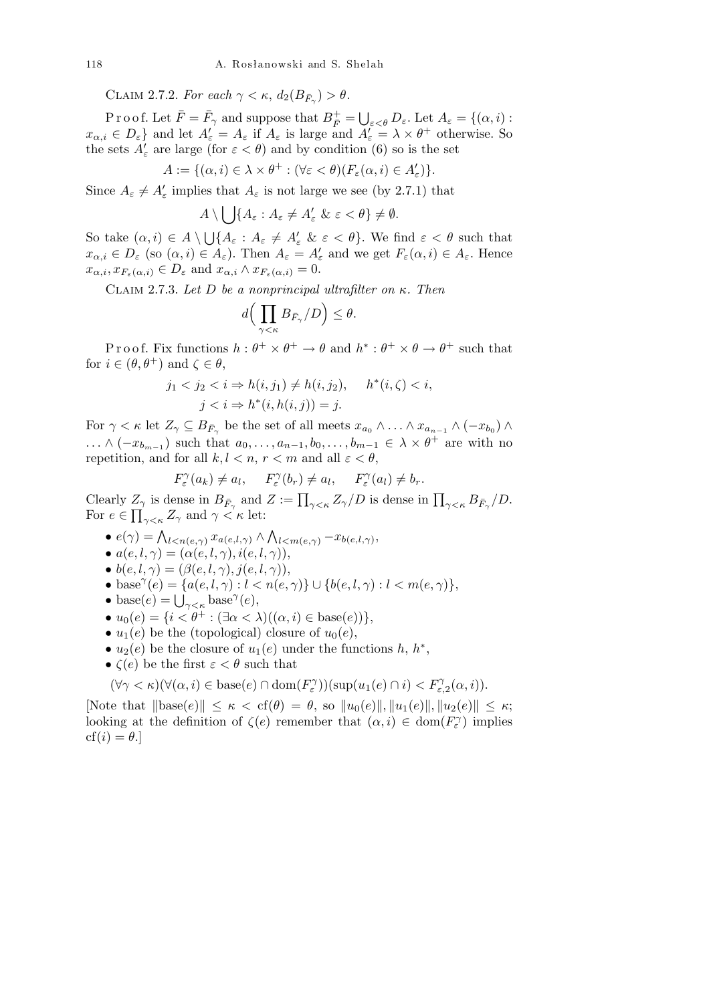CLAIM 2.7.2. *For each*  $\gamma < \kappa$ ,  $d_2(B_{\bar{F}_\gamma}) > \theta$ .

P r o o f. Let  $\bar{F} = \bar{F}_{\gamma}$  and suppose that  $B_{\bar{F}}^+$  = S *ε<θ Dε.* Let *A<sup>ε</sup>* = *{*(*α, i*) :  $x_{\alpha,i} \in D_{\varepsilon}$  and let  $A'_{\varepsilon} = A_{\varepsilon}$  if  $A_{\varepsilon}$  is large and  $A'_{\varepsilon} = \lambda \times \theta^+$  otherwise. So the sets  $A'_{\varepsilon}$  are large (for  $\varepsilon < \theta$ ) and by condition (6) so is the set

$$
A := \{(\alpha, i) \in \lambda \times \theta^+ : (\forall \varepsilon < \theta) (F_\varepsilon(\alpha, i) \in A'_\varepsilon)\}.
$$

Since  $A_{\varepsilon} \neq A'_{\varepsilon}$  implies that  $A_{\varepsilon}$  is not large we see (by 2.7.1) that  $\mathbf{r}$ 

$$
A \setminus \bigcup \{A_{\varepsilon} : A_{\varepsilon} \neq A'_{\varepsilon} \& \varepsilon < \theta \} \neq \emptyset.
$$

So take  $(\alpha, i) \in A \setminus \mathbb{R}$  $\bigcup \{ A_\varepsilon : A_\varepsilon \neq A'_\varepsilon \ \& \ \varepsilon < \theta \}.$  We find  $\varepsilon < \theta$  such that  $x_{\alpha,i} \in D_{\varepsilon}$  (so  $(\alpha,i) \in A_{\varepsilon}$ ). Then  $A_{\varepsilon} = A_{\varepsilon}'$  and we get  $F_{\varepsilon}(\alpha,i) \in A_{\varepsilon}$ . Hence  $x_{\alpha,i}, x_{F_{\varepsilon}(\alpha,i)} \in D_{\varepsilon}$  and  $x_{\alpha,i} \wedge x_{F_{\varepsilon}(\alpha,i)} = 0$ .

Claim 2.7.3. *Let D be a nonprincipal ultrafilter on κ. Then*

$$
d\Big(\prod_{\gamma<\kappa}B_{\bar{F}_{\gamma}}/D\Big)\leq\theta.
$$

Proof. Fix functions  $h: \theta^+ \times \theta^+ \to \theta$  and  $h^*: \theta^+ \times \theta \to \theta^+$  such that for  $i \in (\theta, \theta^+)$  and  $\zeta \in \theta$ ,

$$
j_1 < j_2 < i \Rightarrow h(i, j_1) \neq h(i, j_2), \quad h^*(i, \zeta) < i,
$$
  

$$
j < i \Rightarrow h^*(i, h(i, j)) = j.
$$

For  $\gamma < \kappa$  let  $Z_{\gamma} \subseteq B_{\bar{F}_{\gamma}}$  be the set of all meets  $x_{a_0} \wedge \ldots \wedge x_{a_{n-1}} \wedge (-x_{b_0}) \wedge$ *...*  $\wedge$  (−*x*<sub>*bm*−1</sub>) such that  $a_0, \ldots, a_{n-1}, b_0, \ldots, b_{m-1} \in \lambda \times \theta^+$  are with no repetition, and for all  $k, l < n, r < m$  and all  $\varepsilon < \theta$ ,

$$
F_{\varepsilon}^{\gamma}(a_k) \neq a_l, \quad F_{\varepsilon}^{\gamma}(b_r) \neq a_l, \quad F_{\varepsilon}^{\gamma}(a_l) \neq b_r.
$$

Clearly  $Z_{\gamma}$  is dense in  $B_{\bar{F}_{\gamma}}$  and  $Z := \prod_{\gamma \leq \kappa} Z_{\gamma}/D$  is dense in  $\prod_{\gamma \leq \kappa} B_{\bar{F}_{\gamma}}/D$ . For  $e \in \prod_{\gamma < \kappa} Z_{\gamma}$  and  $\gamma < \kappa$  let:  $\mathbf{v}$ 

- $e(\gamma) = \bigwedge_{l < n(e, \gamma)} x_{a(e, l, \gamma)} \wedge$  $l < m(e, \gamma)$ <sup>*-x*</sup>*b*(*e,l,*  $\gamma$ ),
- $a(e, l, \gamma) = (\alpha(e, l, \gamma), i(e, l, \gamma)),$
- $b(e, l, \gamma) = (\beta(e, l, \gamma), j(e, l, \gamma)),$
- $\bullet$  base<sup> $\gamma$ </sup>(*e*) = {*a*(*e, l,*  $\gamma$ ) : *l* < *n*(*e,*  $\gamma$ )} ∪ {*b*(*e, l,*  $\gamma$ ) : *l* < *m*(*e,*  $\gamma$ )},
- base  $(e) = \{a(e, i, \gamma) : i \le$ <br>• base $(e) = \bigcup_{\gamma < \kappa} \text{base}^{\gamma}(e),$
- *• u*0(*e*) = *{i < θ*<sup>+</sup> : (*∃α < λ*)((*α, i*) *∈* base(*e*))*}*,
- $u_1(e)$  be the (topological) closure of  $u_0(e)$ ,
- $u_2(e)$  be the closure of  $u_1(e)$  under the functions  $h, h^*$ ,
- *• ζ*(*e*) be the first *ε < θ* such that

$$
(\forall \gamma < \kappa)(\forall (\alpha, i) \in \text{base}(e) \cap \text{dom}(F_{\varepsilon}^{\gamma}))(\text{sup}(u_1(e) \cap i) < F_{\varepsilon, 2}^{\gamma}(\alpha, i)).
$$

 $\text{[Note that } \|\text{base}(e)\| \leq \kappa < \text{cf}(\theta) = \theta, \text{ so } \|u_0(e)\|, \|u_1(e)\|, \|u_2(e)\| \leq \kappa;$ looking at the definition of  $\zeta(e)$  remember that  $(\alpha, i) \in \text{dom}(F_{\varepsilon}^{\gamma})$  implies  $cf(i) = \theta.$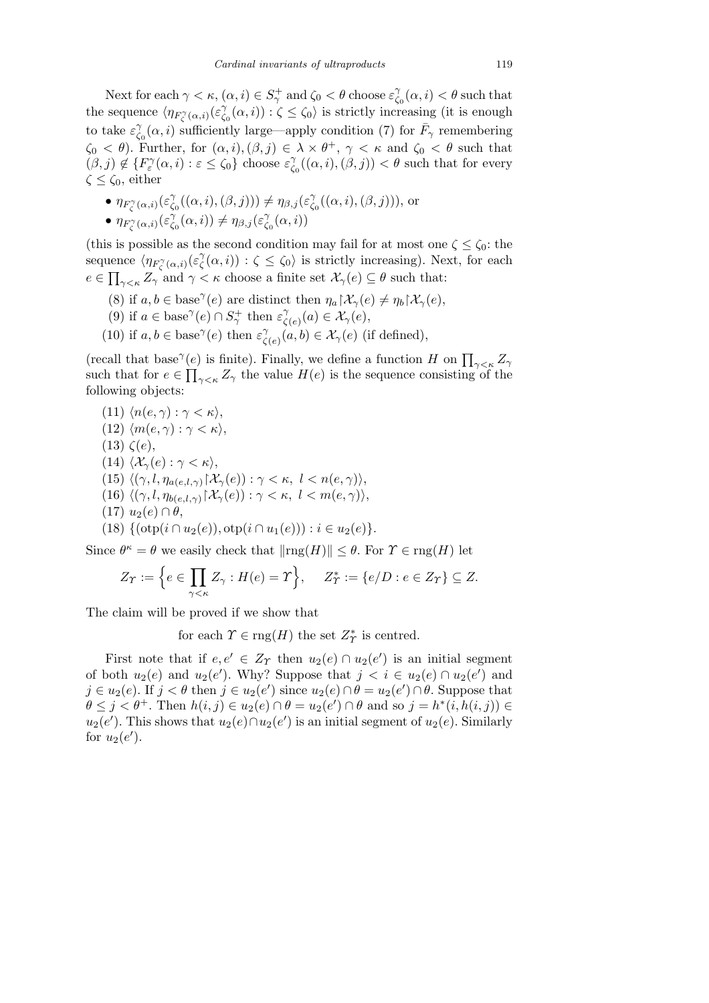Next for each  $\gamma < \kappa$ ,  $(\alpha, i) \in S^+_{\gamma}$  and  $\zeta_0 < \theta$  choose  $\varepsilon^{\gamma}_{\zeta}$  $\gamma_{\zeta_0}(\alpha, i) < \theta$  such that the sequence  $\langle \eta_{F_{\zeta}^{\gamma}(\alpha,i)}(\varepsilon_{\zeta}^{\gamma})\rangle$  $\zeta_0(\alpha, i)$ ) :  $\zeta \leq \zeta_0$  is strictly increasing (it is enough to take  $\varepsilon^{\gamma}_{\zeta}$  $\chi^{\gamma}_{\zeta_0}(\alpha, i)$  sufficiently large—apply condition (7) for  $\bar{F}_{\gamma}$  remembering  $\zeta_0 < \theta$ ). Further, for  $(\alpha, i), (\beta, j) \in \lambda \times \theta^+$ ,  $\gamma < \kappa$  and  $\zeta_0 < \theta$  such that  $(\beta, j) \notin \{F_{\varepsilon}^{\gamma}(\alpha, i) : \varepsilon \leq \zeta_0\}$  choose  $\varepsilon_{\zeta}^{\gamma}$  $\gamma_{\zeta_0}(\alpha, i), (\beta, j)) < \theta$  such that for every *ζ ≤ ζ*0, either

•  $\eta_{F_{\zeta}^{\gamma}(\alpha,i)}(\varepsilon_{\zeta}^{\gamma})$  $\gamma_{\zeta_0}^{\gamma}((\alpha,i),(\beta,j))) \neq \eta_{\beta,j}(\varepsilon_{\zeta}^{\gamma})$ *ζ*0 ((*α, i*)*,*(*β, j*))), or •  $\eta_{F_{\zeta}^{\gamma}(\alpha,i)}(\varepsilon_{\zeta}^{\gamma})$  $\gamma_{\zeta_0}^{\gamma}(\alpha, i) \neq \eta_{\beta, j}(\varepsilon_{\zeta_0}^{\gamma})$  $\int_{\zeta_0}^{\gamma} (\alpha, i))$ 

(this is possible as the second condition may fail for at most one  $\zeta \leq \zeta_0$ : the sequence  $\langle \eta_{F_{\zeta}^{\gamma}(\alpha,i)}(\varepsilon_{\zeta}^{\gamma})$ ience  $\langle \eta_{F_{\zeta}^{\gamma}(\alpha,i)}(\varepsilon_{\zeta}^{\gamma}(\alpha,i)) : \zeta \leq \zeta_0 \rangle$  is strictly increasing). Next, for each  $e \in \prod_{\gamma < \kappa} Z_{\gamma}$  and  $\gamma < \kappa$  choose a finite set  $\mathcal{X}_{\gamma}(e) \subseteq \theta$  such that:

- (8) if  $a, b \in \text{base}^{\gamma}(e)$  are distinct then  $\eta_a \upharpoonright \mathcal{X}_{\gamma}(e) \neq \eta_b \upharpoonright \mathcal{X}_{\gamma}(e)$ ,
- (9) if  $a \in \text{base}^{\gamma}(e) \cap S_{\gamma}^+$  then  $\varepsilon_{\zeta}^{\gamma}$  $\chi^{\gamma}_{\zeta(e)}(a) \in \mathcal{X}_{\gamma}(e),$
- (10) if  $a, b \in \text{base}^{\gamma}(e)$  then  $\varepsilon^{\gamma}(e)$  $\chi^{\gamma}_{\zeta(e)}(a,b) \in \mathcal{X}_{\gamma}(e)$  (if defined),

(recall that base<sup>γ</sup>(e) is finite). Finally, we define a function *H* on  $\prod_{\gamma<\kappa}Z_{\gamma}$ such that for  $e \in \prod_{\gamma<\kappa} Z_{\gamma}$  the value  $H(e)$  is the sequence consisting of the following objects:

(11)  $\langle n(e, \gamma) : \gamma < \kappa \rangle$ , (12)  $\langle m(e, \gamma) : \gamma < \kappa \rangle$ , (13) *ζ*(*e*), (14)  $\langle \mathcal{X}_{\gamma}(e) : \gamma < \kappa \rangle$ ,  $(15) \langle (\gamma, l, \eta_{a(e, l, \gamma)} | \mathcal{X}_{\gamma}(e)) : \gamma < \kappa, l < n(e, \gamma) \rangle$ ,  $(16) \langle (\gamma, l, \eta_{b(e, l, \gamma)} | \mathcal{X}_{\gamma}(e)) : \gamma < \kappa, l < m(e, \gamma) \rangle$ .  $(17)$   $u_2(e) \cap \theta$ ,  $(18) \{(\text{otp}(i \cap u_2(e)), \text{otp}(i \cap u_1(e))) : i \in u_2(e)\}.$ 

Since  $\theta^{\kappa} = \theta$  we easily check that  $\|\text{rng}(H)\| \leq \theta$ . For  $\Upsilon \in \text{rng}(H)$  let

$$
Z_T := \Big\{ e \in \prod_{\gamma < \kappa} Z_{\gamma} : H(e) = T \Big\}, \quad Z_T^* := \{ e/D : e \in Z_T \} \subseteq Z.
$$

The claim will be proved if we show that

for each  $\Upsilon \in \text{rng}(H)$  the set  $Z^*$ <sup>*\**</sup> is centred.

First note that if  $e, e' \in Z_T$  then  $u_2(e) \cap u_2(e')$  is an initial segment of both  $u_2(e)$  and  $u_2(e')$ . Why? Suppose that  $j < i \in u_2(e) \cap u_2(e')$  and  $j \in u_2(e)$ . If  $j < \theta$  then  $j \in u_2(e')$  since  $u_2(e) \cap \theta = u_2(e') \cap \theta$ . Suppose that  $\theta \leq j < \theta^+$ . Then  $h(i, j) \in u_2(e) \cap \theta = u_2(e') \cap \theta$  and so  $j = h^*(i, h(i, j)) \in$  $u_2(e')$ . This shows that  $u_2(e) \cap u_2(e')$  is an initial segment of  $u_2(e)$ . Similarly for  $u_2(e')$ .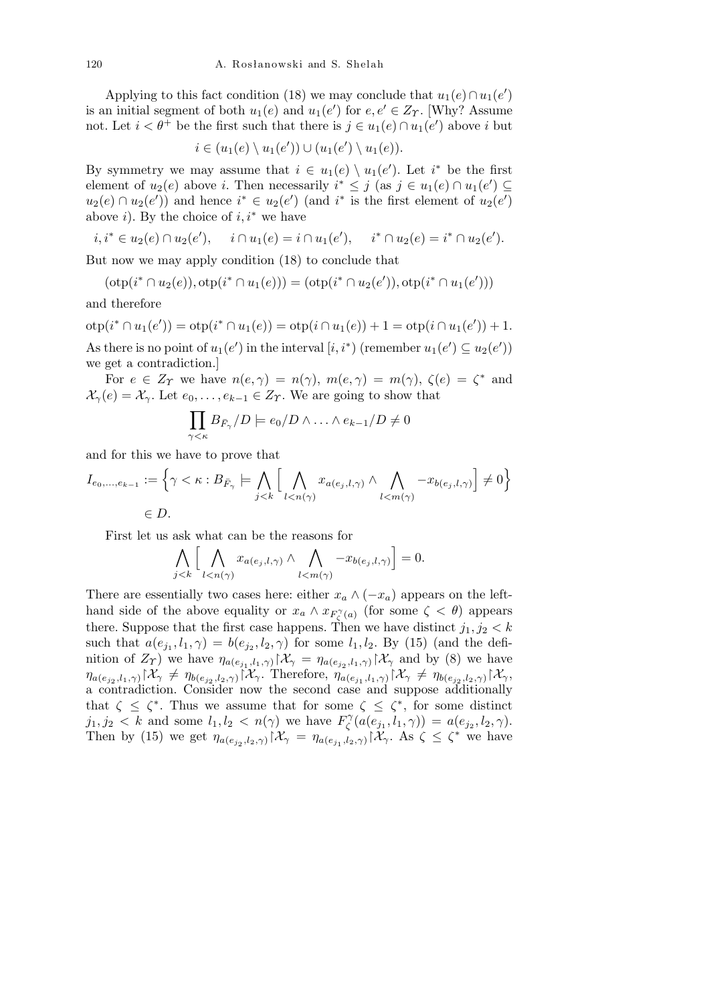Applying to this fact condition (18) we may conclude that  $u_1(e) \cap u_1(e')$ is an initial segment of both  $u_1(e)$  and  $u_1(e')$  for  $e, e' \in Z_T$ . [Why? Assume not. Let  $i < \theta^+$  be the first such that there is  $j \in u_1(e) \cap u_1(e')$  above *i* but

$$
i \in (u_1(e) \setminus u_1(e')) \cup (u_1(e') \setminus u_1(e)).
$$

By symmetry we may assume that  $i \in u_1(e) \setminus u_1(e')$ . Let  $i^*$  be the first element of  $u_2(e)$  above *i*. Then necessarily  $i^* \leq j$  (as  $j \in u_1(e) \cap u_1(e') \subseteq$  $u_2(e) \cap u_2(e')$  and hence  $i^* \in u_2(e')$  (and  $i^*$  is the first element of  $u_2(e')$ above *i*). By the choice of *i, i<sup>∗</sup>* we have

$$
i, i^* \in u_2(e) \cap u_2(e'), \quad i \cap u_1(e) = i \cap u_1(e'), \quad i^* \cap u_2(e) = i^* \cap u_2(e').
$$

But now we may apply condition (18) to conclude that

$$
(\texttt{otp}(i^*\cap u_2(e)),\texttt{otp}(i^*\cap u_1(e)))=(\texttt{otp}(i^*\cap u_2(e')), \texttt{otp}(i^*\cap u_1(e')))
$$

and therefore

 $otp(i^* \cap u_1(e')) = otp(i^* \cap u_1(e)) = otp(i \cap u_1(e)) + 1 = otp(i \cap u_1(e')) + 1.$ As there is no point of  $u_1(e')$  in the interval  $[i, i^*)$  (remember  $u_1(e') \subseteq u_2(e')$ ) we get a contradiction.]

For  $e \in Z_\Upsilon$  we have  $n(e, \gamma) = n(\gamma)$ ,  $m(e, \gamma) = m(\gamma)$ ,  $\zeta(e) = \zeta^*$  and  $\mathcal{X}_{\gamma}(e) = \mathcal{X}_{\gamma}$ . Let  $e_0, \ldots, e_{k-1} \in \mathbb{Z}_{\gamma}$ . We are going to show that

$$
\prod_{\gamma<\kappa}B_{\bar{F}_{\gamma}}/D \models e_0/D \wedge \ldots \wedge e_{k-1}/D \neq 0
$$

and for this we have to prove that

$$
I_{e_0,\ldots,e_{k-1}} := \left\{ \gamma < \kappa : B_{\bar{F}_{\gamma}} \models \bigwedge_{j < k} \Big[ \bigwedge_{l < n(\gamma)} x_{a(e_j,l,\gamma)} \land \bigwedge_{l < m(\gamma)} -x_{b(e_j,l,\gamma)} \Big] \neq 0 \right\}
$$
\n
$$
\in D.
$$

First let us ask what can be the reasons for  $h = \frac{1}{2}$ 

$$
\bigwedge_{j < k} \Big[ \bigwedge_{l < n(\gamma)} x_{a(e_j, l, \gamma)} \wedge \bigwedge_{l < m(\gamma)} -x_{b(e_j, l, \gamma)} \Big] = 0.
$$

There are essentially two cases here: either  $x_a \wedge (-x_a)$  appears on the lefthand side of the above equality or  $x_a \wedge x_{F^{\gamma}_\zeta(a)}$  (for some  $\zeta \langle \theta \rangle$ ) appears there. Suppose that the first case happens. Then we have distinct  $j_1, j_2 < k$ such that  $a(e_{j_1}, l_1, \gamma) = b(e_{j_2}, l_2, \gamma)$  for some  $l_1, l_2$ . By (15) (and the definition of  $Z_{\gamma}$ ) we have  $\eta_{a(e_{j_1},l_1,\gamma)}\right|\mathcal{X}_{\gamma} = \eta_{a(e_{j_2},l_1,\gamma)}\right|\mathcal{X}_{\gamma}$  and by (8) we have  $\eta_{a(e_{j_2},l_1,\gamma)}\$  $\mathcal{X}_{\gamma} \neq \eta_{b(e_{j_2},l_2,\gamma)}$  $\mathcal{X}_{\gamma}$ . Therefore,  $\eta_{a(e_{j_1},l_1,\gamma)}$  $\mathcal{X}_{\gamma} \neq \eta_{b(e_{j_2},l_2,\gamma)}$  $\mathcal{X}_{\gamma}$ , a contradiction. Consider now the second case and suppose additionally that  $\zeta \leq \zeta^*$ . Thus we assume that for some  $\zeta \leq \zeta^*$ , for some distinct  $j_1, j_2 < k$  and some  $l_1, l_2 < n(\gamma)$  we have  $F_\zeta^{\gamma}$  $\chi^{\gamma}$ <sub> $\zeta$ </sub>  $(a(e_{j_1}, l_1, \gamma)) = a(e_{j_2}, l_2, \gamma).$ Then by (15) we get  $\eta_{a(e_{j_2},l_2,\gamma)} \upharpoonright \mathcal{X}_{\gamma} = \eta_{a(e_{j_1},l_2,\gamma)} \upharpoonright \mathcal{X}_{\gamma}$ . As  $\zeta \leq \zeta^*$  we have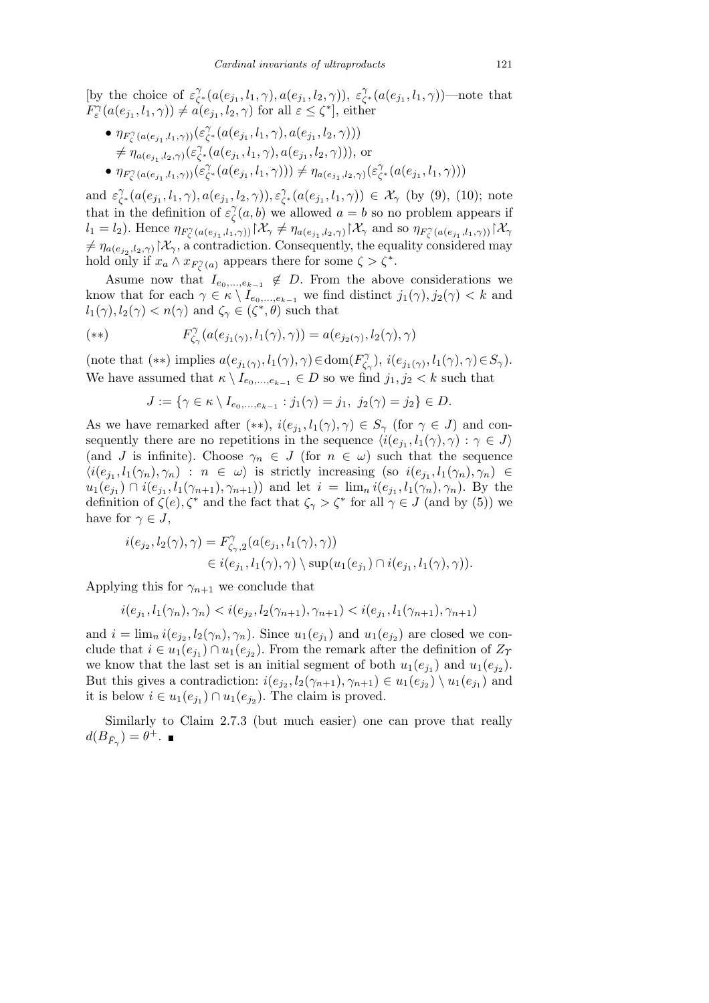[by the choice of  $\varepsilon^{\gamma}$ *ζ*<sup>\*</sup>(*a*(*e*<sub>*j*1</sub></sub>,*l*<sub>1</sub>, γ), *a*(*e*<sub>*j*<sub>1</sub></sub>,*l*<sub>2</sub>, γ)), *ε*<sup>γ</sup>  $\int_{\zeta^*}^{\gamma} (a(e_{j_1}, l_1, \gamma))$ —note that  $F_{\varepsilon}^{\gamma}(a(e_{j_1}, l_1, \gamma)) \neq a(e_{j_1}, l_2, \gamma)$  for all  $\varepsilon \leq \zeta^*$ , either

•  $\eta_{F'_{\zeta}}(a(e_{j_1},l_1,\gamma))\left(\varepsilon_{\zeta}^{\gamma}\right)$  $\chi^{\gamma}$ <sub> $\zeta^*$ </sub>  $(a(e_{j_1}, l_1, \gamma), a(e_{j_1}, l_2, \gamma)))$  $\neq \eta_{a(e_{j_1},l_2,\gamma)}(\varepsilon^{\gamma}_\zeta)$  $\chi^{\gamma}$ <sub> $\zeta^*$ </sub>(*a*(*e*<sub>*j*1</sub></sub>,*l*<sub>1</sub>,  $\gamma$ )*, a*(*e*<sub>*j*1</sub>,*l*<sub>2</sub>,  $\gamma$ ))), or •  $\eta_{F'_{\zeta}(a(e_{j_1},l_1,\gamma))}(\varepsilon_{\zeta}^{\gamma})$  $\gamma^{\gamma}$ <sub> $\zeta^*$ </sub>(*a*(*e*<sub>*j*1</sub></sub>,*l*<sub>1</sub>, $\gamma$ )))  $\neq \eta_{a(e_{j_1}, l_2, \gamma)}(\varepsilon^{\gamma}_\zeta)$ *ζ <sup>∗</sup>* (*a*(*e<sup>j</sup>*<sup>1</sup> *, l*1*, γ*)))

and  $\varepsilon^{\gamma}_{\zeta}$  $\chi^{\gamma}_{\zeta^*}(a(e_{j_1}, l_1, \gamma), a(e_{j_1}, l_2, \gamma)), \varepsilon^{\gamma}_{\zeta}$ *ζ <sup>∗</sup>* (*a*(*e<sup>j</sup>*<sup>1</sup> *, l*1*, γ*)) *∈ X<sup>γ</sup>* (by (9), (10); note that in the definition of  $\varepsilon^{\gamma}$  $\hat{\zeta}(a, b)$  we allowed  $a = b$  so no problem appears if  $l_1 = l_2$ ). Hence  $\eta_{F^{\gamma}_{\zeta}(a(e_{j_1}, l_1, \gamma))} \upharpoonright \mathcal{X}_{\gamma} \neq \eta_{a(e_{j_1}, l_2, \gamma)} \upharpoonright \mathcal{X}_{\gamma}$  and so  $\eta_{F^{\gamma}_{\zeta}(a(e_{j_1}, l_1, \gamma))} \upharpoonright \mathcal{X}_{\gamma}$  $f \neq \eta_{a(e_{j_2},l_2,\gamma)} | \mathcal{X}_{\gamma}$ , a contradiction. Consequently, the equality considered may hold only if  $x_a \wedge x_{F_\zeta^{\gamma}(a)}$  appears there for some  $\zeta > \zeta^*$ .

Asume now that  $I_{e_0,\ldots,e_{k-1}} \notin D$ . From the above considerations we know that for each  $\gamma \in \kappa \setminus I_{e_0,\ldots,e_{k-1}}$  we find distinct  $j_1(\gamma), j_2(\gamma) < k$  and  $l_1(\gamma), l_2(\gamma) < n(\gamma)$  and  $\zeta_{\gamma} \in (\zeta^*, \theta)$  such that

$$
(*)\qquad F_{\zeta_{\gamma}}^{\gamma}(a(e_{j_1(\gamma)},l_1(\gamma),\gamma)) = a(e_{j_2(\gamma)},l_2(\gamma),\gamma)
$$

(note that  $(**)$  implies  $a(e_{j_1(\gamma)}, l_1(\gamma), \gamma) \in \text{dom}(F_{\zeta}^{\gamma})$  $i(\epsilon_{j_1(\gamma)}, l_1(\gamma), \gamma) \in S_{\gamma}$ ). We have assumed that  $\kappa \setminus I_{e_0,\ldots,e_{k-1}} \in D$  so we find  $j_1, j_2 < k$  such that

$$
J := \{ \gamma \in \kappa \setminus I_{e_0, ..., e_{k-1}} : j_1(\gamma) = j_1, \ j_2(\gamma) = j_2 \} \in D.
$$

As we have remarked after  $(**)$ ,  $i(e_{j_1}, l_1(\gamma), \gamma) \in S_{\gamma}$  (for  $\gamma \in J$ ) and consequently there are no repetitions in the sequence  $\langle i(e_{j_1}, l_1(\gamma), \gamma) : \gamma \in J \rangle$ (and *J* is infinite). Choose  $\gamma_n \in J$  (for  $n \in \omega$ ) such that the sequence  $\langle i(e_{j_1}, l_1(\gamma_n), \gamma_n) : n \in \omega \rangle$  is strictly increasing (so  $i(e_{j_1}, l_1(\gamma_n), \gamma_n) \in$  $u_1(e_{j_1}) \cap i(e_{j_1}, l_1(\gamma_{n+1}), \gamma_{n+1})$  and let  $i = \lim_n i(e_{j_1}, l_1(\gamma_n), \gamma_n)$ . By the definition of  $\zeta(e), \zeta^*$  and the fact that  $\zeta_{\gamma} > \zeta^*$  for all  $\gamma \in J$  (and by (5)) we have for  $\gamma \in J$ ,

$$
\begin{aligned} i(e_{j_2},l_2(\gamma),\gamma)&=F_{\zeta_{\gamma},2}^{\gamma}(a(e_{j_1},l_1(\gamma),\gamma))\\ &\in i(e_{j_1},l_1(\gamma),\gamma)\setminus \sup(u_1(e_{j_1})\cap i(e_{j_1},l_1(\gamma),\gamma)). \end{aligned}
$$

Applying this for  $\gamma_{n+1}$  we conclude that

$$
i(e_{j_1}, l_1(\gamma_n), \gamma_n) < i(e_{j_2}, l_2(\gamma_{n+1}), \gamma_{n+1}) < i(e_{j_1}, l_1(\gamma_{n+1}), \gamma_{n+1})
$$

and  $i = \lim_{n} i(e_{j_2}, l_2(\gamma_n), \gamma_n)$ . Since  $u_1(e_{j_1})$  and  $u_1(e_{j_2})$  are closed we conclude that  $i \in u_1(e_{j_1}) \cap u_1(e_{j_2})$ . From the remark after the definition of  $Z_{\gamma}$ we know that the last set is an initial segment of both  $u_1(e_{j_1})$  and  $u_1(e_{j_2})$ . But this gives a contradiction:  $i(e_{j_2}, l_2(\gamma_{n+1}), \gamma_{n+1}) \in u_1(e_{j_2}) \setminus u_1(e_{j_1})$  and it is below  $i \in u_1(e_{j_1}) \cap u_1(e_{j_2})$ . The claim is proved.

Similarly to Claim 2.7.3 (but much easier) one can prove that really  $d(B_{\bar{F}_\gamma}) = \theta^+$ .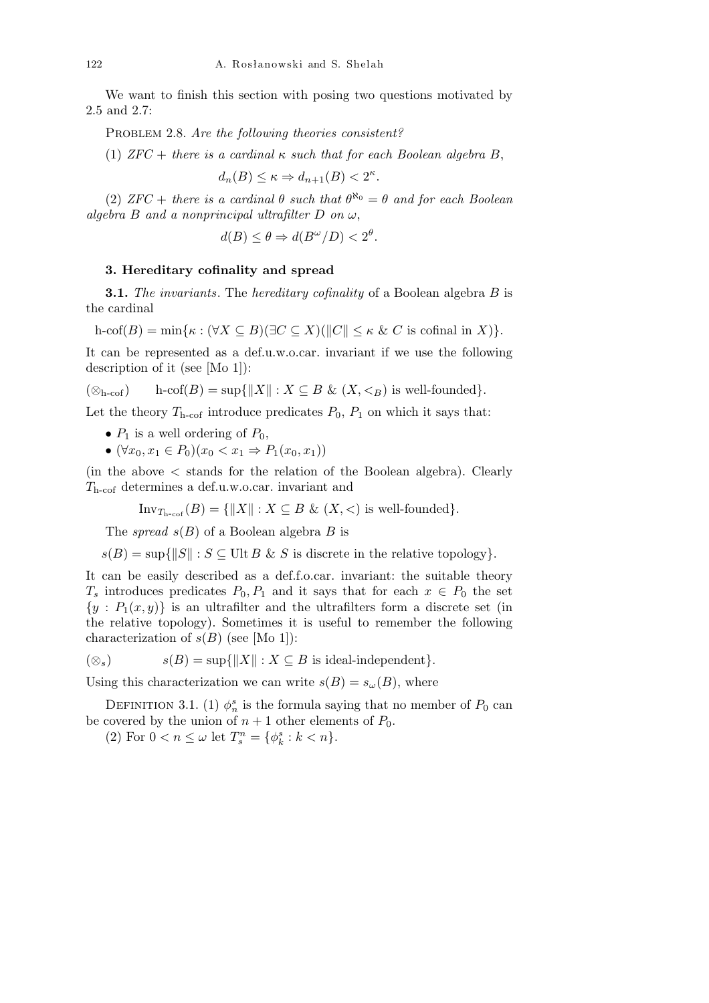We want to finish this section with posing two questions motivated by 2.5 and 2.7:

PROBLEM 2.8. *Are the following theories consistent?* 

(1)  $ZFC + there is a cardinal  $\kappa$  such that for each Boolean algebra B,$ 

$$
d_n(B) \le \kappa \Rightarrow d_{n+1}(B) < 2^{\kappa}.
$$

(2)  $ZFC +$  *there is a cardinal*  $\theta$  *such that*  $\theta^{\aleph_0} = \theta$  *and for each Boolean*  $a$ *lgebra B and a nonprincipal ultrafilter D on*  $\omega$ ,

$$
d(B) \le \theta \Rightarrow d(B^{\omega}/D) < 2^{\theta}.
$$

## **3. Hereditary cofinality and spread**

**3.1.** *The invariants*. The *hereditary cofinality* of a Boolean algebra *B* is the cardinal

$$
\text{h-cof}(B) = \min\{\kappa : (\forall X \subseteq B)(\exists C \subseteq X)(\|C\| \le \kappa \& C \text{ is cofinal in } X)\}.
$$

It can be represented as a def.u.w.o.car. invariant if we use the following description of it (see [Mo 1]):

$$
(\otimes_{h\text{-cof}})
$$
  $h\text{-cof}(B) = \sup\{\|X\| : X \subseteq B \& (X, <_B)$  is well-founded\}.

Let the theory  $T_{\text{h-cof}}$  introduce predicates  $P_0$ ,  $P_1$  on which it says that:

- $P_1$  is a well ordering of  $P_0$ ,
- *•* (*∀x*0*, x*<sup>1</sup> *∈ P*0)(*x*<sup>0</sup> *< x*<sup>1</sup> *⇒ P*1(*x*0*, x*1))

(in the above *<* stands for the relation of the Boolean algebra). Clearly *T*h-cof determines a def.u.w.o.car. invariant and

$$
\text{Inv}_{T_{\text{h-cof}}}(B) = \{ ||X|| : X \subseteq B \& (X, <) \text{ is well-founded} \}.
$$

The *spread s*(*B*) of a Boolean algebra *B* is

 $s(B) = \sup\{\|S\| : S \subseteq \text{Ult } B \& S \text{ is discrete in the relative topology}\}.$ 

It can be easily described as a def.f.o.car. invariant: the suitable theory *T<sub>s</sub>* introduces predicates  $P_0, P_1$  and it says that for each  $x \in P_0$  the set  $\{y : P_1(x, y)\}\$ is an ultrafilter and the ultrafilters form a discrete set (in the relative topology). Sometimes it is useful to remember the following characterization of  $s(B)$  (see [Mo 1]):

$$
s(B) = \sup\{\|X\| : X \subseteq B \text{ is ideal-independent}\}.
$$

Using this characterization we can write  $s(B) = s_{\omega}(B)$ , where

DEFINITION 3.1. (1)  $\phi_n^s$  is the formula saying that no member of  $P_0$  can be covered by the union of  $n + 1$  other elements of  $P_0$ .

(2) For  $0 < n \leq \omega$  let  $T_s^n = \{\phi_k^s : k < n\}.$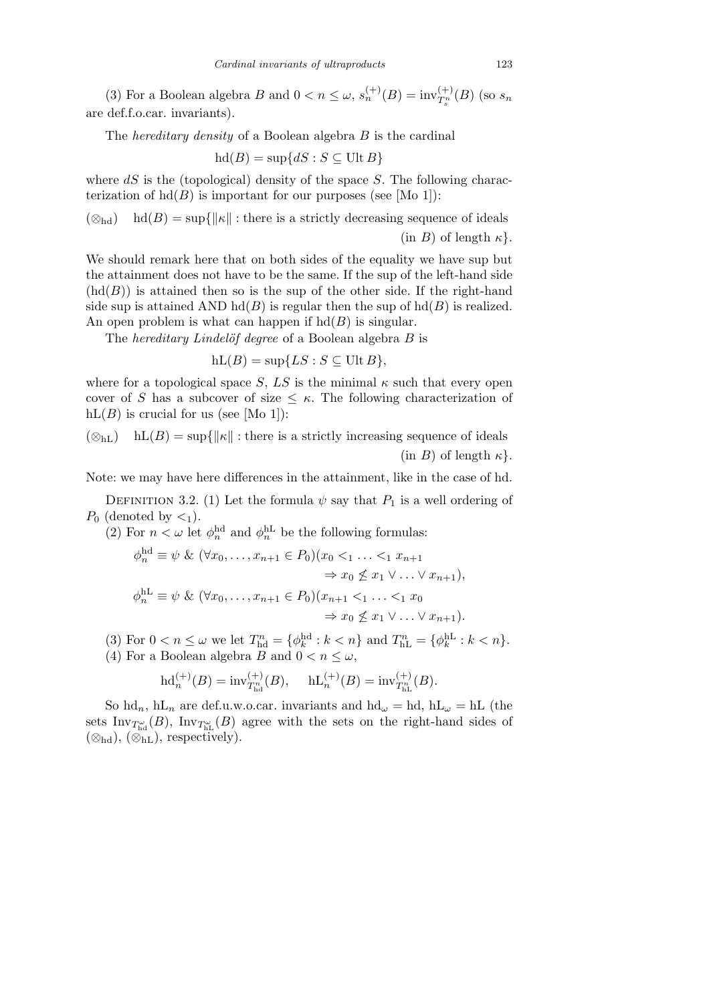(3) For a Boolean algebra *B* and  $0 < n \le \omega$ ,  $s_n^{(+)}(B) = inv_{T_s^n}^{(+)}(B)$  (so  $s_n$ are def.f.o.car. invariants).

The *hereditary density* of a Boolean algebra *B* is the cardinal

$$
hd(B) = \sup\{dS : S \subseteq \text{Ult } B\}
$$

where *dS* is the (topological) density of the space *S*. The following characterization of  $hd(B)$  is important for our purposes (see [Mo 1]):

 $(\otimes_{\text{hd}})$  hd(*B*) = sup{ $\|\kappa\|$ : there is a strictly decreasing sequence of ideals  $(\text{in } B)$  of length  $\kappa$ .

We should remark here that on both sides of the equality we have sup but the attainment does not have to be the same. If the sup of the left-hand side  $(hd(B))$  is attained then so is the sup of the other side. If the right-hand side sup is attained AND  $hd(B)$  is regular then the sup of  $hd(B)$  is realized. An open problem is what can happen if  $hd(B)$  is singular.

The *hereditary Lindelöf degree* of a Boolean algebra *B* is

$$
hL(B) = \sup\{LS : S \subseteq \text{Ult }B\},\
$$

where for a topological space *S*, *LS* is the minimal  $\kappa$  such that every open cover of *S* has a subcover of size  $\lt \kappa$ . The following characterization of  $hL(B)$  is crucial for us (see [Mo 1]):

 $(\otimes_{hL})$  hL(*B*) = sup{ $\|\kappa\|$ : there is a strictly increasing sequence of ideals  $(\text{in } B)$  of length  $\kappa$ <sup>}</sup>.

Note: we may have here differences in the attainment, like in the case of hd.

DEFINITION 3.2. (1) Let the formula  $\psi$  say that  $P_1$  is a well ordering of  $P_0$  (denoted by  $\lt_1$ ).

(2) For  $n < \omega$  let  $\phi_n^{\text{hd}}$  and  $\phi_n^{\text{hL}}$  be the following formulas:

$$
\phi_n^{\text{hd}} \equiv \psi \& (\forall x_0, \dots, x_{n+1} \in P_0)(x_0 <_1 \dots <_1 x_{n+1} \\
\Rightarrow x_0 \not\leq x_1 \lor \dots \lor x_{n+1}),
$$
\n
$$
\phi_n^{\text{hL}} \equiv \psi \& (\forall x_0, \dots, x_{n+1} \in P_0)(x_{n+1} <_1 \dots <_1 x_0 \\
\Rightarrow x_0 \not\leq x_1 \lor \dots \lor x_{n+1}).
$$

(3) For  $0 < n \leq \omega$  we let  $T_{\text{hd}}^n = {\phi_k^{\text{hd}} : k < n}$  and  $T_{\text{hL}}^n = {\phi_k^{\text{hL}} : k < n}$ .

(4) For a Boolean algebra *B* and  $0 < n \leq \omega$ ,

$$
\mathrm{hd}^{(+)}_n(B) = \mathrm{inv}_{T^n_{\mathrm{hd}}}(B), \quad \ \mathrm{hL}^{(+)}_n(B) = \mathrm{inv}_{T^n_{\mathrm{hl}}}(B).
$$

So  $\mathrm{hd}_n$ ,  $\mathrm{hL}_n$  are def.u.w.o.car. invariants and  $\mathrm{hd}_\omega = \mathrm{hd}$ ,  $\mathrm{hL}_\omega = \mathrm{hL}$  (the sets  $Inv_{T_{\text{hd}}^{\omega}}(B)$ ,  $Inv_{T_{\text{hL}}^{\omega}}(B)$  agree with the sets on the right-hand sides of (*⊗*hd), (*⊗*hL), respectively).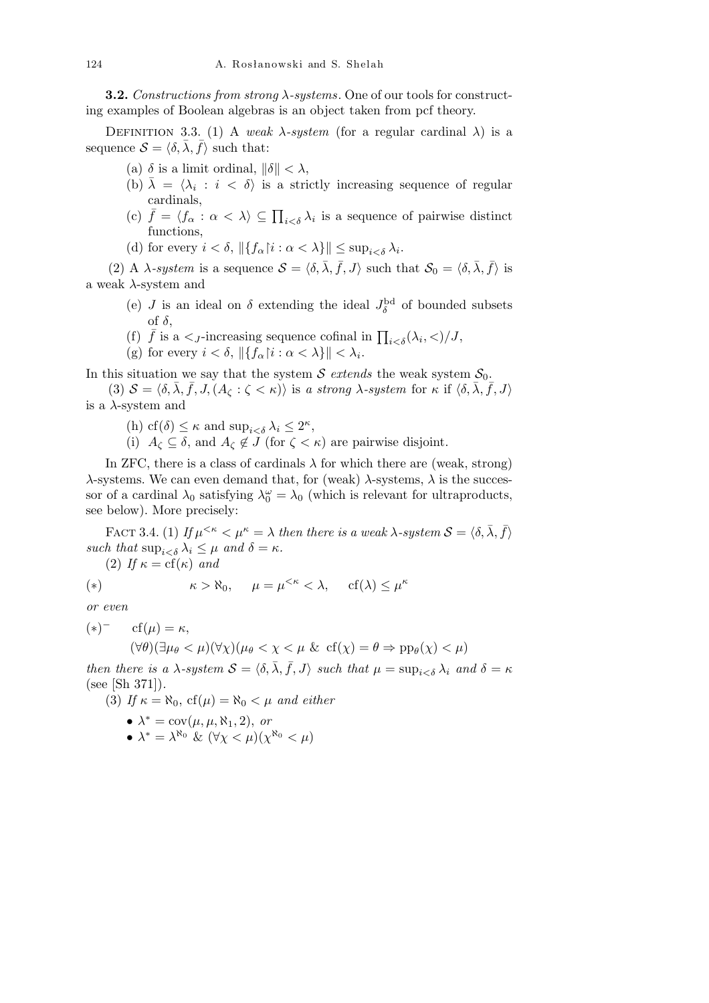**3.2.** *Constructions from strong λ-systems*. One of our tools for constructing examples of Boolean algebras is an object taken from pcf theory.

DEFINITION 3.3. (1) A *weak*  $\lambda$ *-system* (for a regular cardinal  $\lambda$ ) is a sequence  $S = \langle \delta, \overline{\lambda}, \overline{f} \rangle$  such that:

- (a)  $\delta$  is a limit ordinal,  $\|\delta\| < \lambda$ ,
- (b)  $\bar{\lambda} = \langle \lambda_i : i \langle \delta \rangle \rangle$  is a strictly increasing sequence of regular cardinals,
- (c)  $\bar{f} = \langle f_{\alpha} : \alpha < \lambda \rangle \subseteq \prod_{i < \delta} \lambda_i$  is a sequence of pairwise distinct functions,
- (d) for every  $i < \delta$ ,  $\|\{f_{\alpha}\}_{i} : \alpha < \lambda\}\| \leq \sup_{i < \delta} \lambda_{i}$ .

(2) A *λ-system* is a sequence  $S = \langle \delta, \overline{\lambda}, \overline{f}, J \rangle$  such that  $S_0 = \langle \delta, \overline{\lambda}, \overline{f} \rangle$  is a weak *λ*-system and

- (e) *J* is an ideal on  $\delta$  extending the ideal  $J_{\delta}^{\text{bd}}$  of bounded subsets of *δ*,
- (f)  $\bar{f}$  is a  $\lt$ <sub>*J*</sub>-increasing sequence cofinal in  $\prod_{i<\delta}(\lambda_i, \lt)/J$ ,
- (g) for every  $i < \delta$ ,  $\|\{f_{\alpha} | i : \alpha < \lambda\}\| < \lambda_i$ .

In this situation we say that the system  $S$  *extends* the weak system  $S_0$ .

(3)  $S = \langle \delta, \bar{\lambda}, \bar{f}, J, (A_{\zeta} : \zeta < \kappa) \rangle$  is a strong  $\lambda$ -system for  $\kappa$  if  $\langle \delta, \bar{\lambda}, \bar{f}, J \rangle$ is a *λ*-system and

- (h) cf( $\delta$ )  $\leq \kappa$  and sup<sub>*i*< $\delta$ </sub>  $\lambda_i \leq 2^{\kappa}$ ,
- (i)  $A_\zeta \subseteq \delta$ , and  $A_\zeta \notin J$  (for  $\zeta < \kappa$ ) are pairwise disjoint.

In ZFC, there is a class of cardinals  $\lambda$  for which there are (weak, strong) *λ*-systems. We can even demand that, for (weak) *λ*-systems, *λ* is the successor of a cardinal  $\lambda_0$  satisfying  $\lambda_0^{\omega} = \lambda_0$  (which is relevant for ultraproducts, see below). More precisely:

FACT 3.4. (1) *If*  $\mu^{<\kappa} < \mu^{\kappa} = \lambda$  *then there is a weak*  $\lambda$ -system  $\mathcal{S} = \langle \delta, \bar{\lambda}, \bar{f} \rangle$ *such that*  $\sup_{i < \delta} \lambda_i \leq \mu$  *and*  $\delta = \kappa$ *.* 

(2) If  $\kappa = cf(\kappa)$  and

(\*) 
$$
\kappa > \aleph_0, \quad \mu = \mu^{<\kappa} < \lambda, \quad \text{cf}(\lambda) \leq \mu^{\kappa}
$$

*or even*

 $(\ast)^{-}$  cf( $\mu$ ) =  $\kappa$ ,  $(\forall \theta)(\exists \mu_{\theta} < \mu)(\forall \chi)(\mu_{\theta} < \chi < \mu \& \text{cf}(\chi) = \theta \Rightarrow \text{pp}_{\theta}(\chi) < \mu)$ 

*then there is a*  $\lambda$ -system  $S = \langle \delta, \overline{\lambda}, \overline{f}, J \rangle$  such that  $\mu = \sup_{i \leq \delta} \lambda_i$  and  $\delta = \kappa$ (see [Sh 371])*.*

- (3) If  $\kappa = \aleph_0$ , cf( $\mu$ ) =  $\aleph_0 < \mu$  and either
	- $\lambda^* = \text{cov}(\mu, \mu, \aleph_1, 2), or$
	- $\lambda^* = \lambda^{\aleph_0} \& (\forall \chi < \mu)(\chi^{\aleph_0} < \mu)$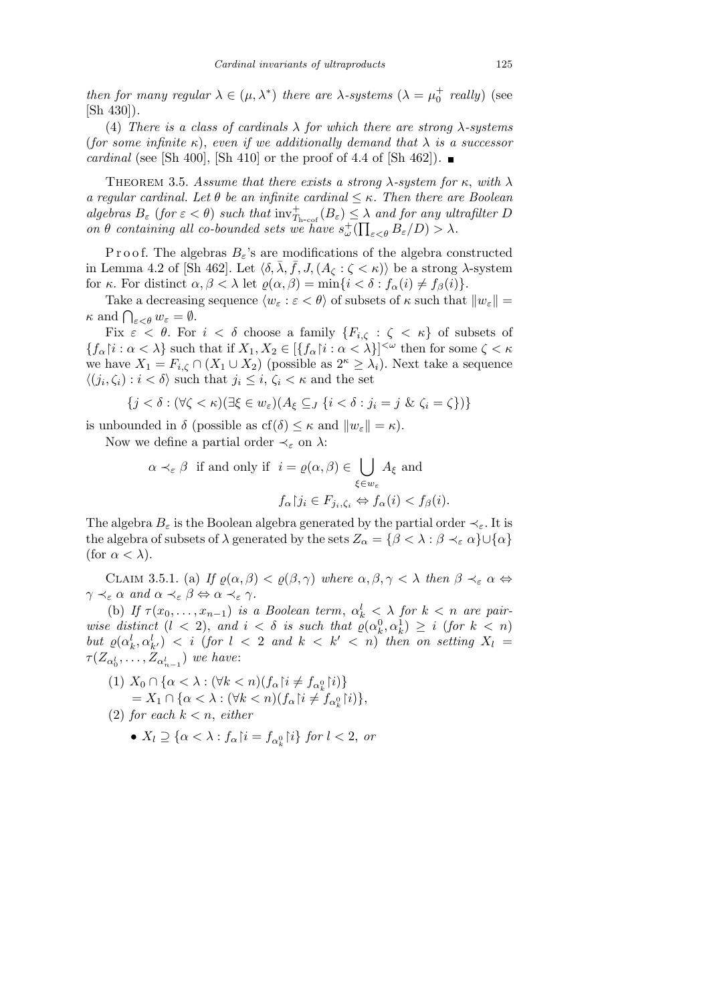*then for many regular*  $\lambda \in (\mu, \lambda^*)$  *there are*  $\lambda$ -systems  $(\lambda = \mu_0^+$  *really*) (see [Sh 430])*.*

(4) *There is a class of cardinals λ for which there are strong λ-systems* (*for some infinite*  $\kappa$ ), *even if we additionally demand that*  $\lambda$  *is a successor cardinal* (see [Sh 400], [Sh 410] or the proof of 4.4 of [Sh 462]). ■

THEOREM 3.5. Assume that there exists a strong  $\lambda$ -system for  $\kappa$ , with  $\lambda$ *a regular cardinal. Let*  $\theta$  *be an infinite cardinal*  $\leq \kappa$ *. Then there are Boolean*  $algebras$   $B_{\varepsilon}$  (*for*  $\varepsilon < \theta$ ) such that  $\text{inv}_{T_{\text{h-cof}}}^+(B_{\varepsilon}) \leq \lambda$  and *for any ultrafilter*  $D$ *on*  $\theta$  *containing all co-bounded sets we have*  $s_{\omega}^+(\prod_{\varepsilon<\theta}B_{\varepsilon}/D) > \lambda$ *.* 

P r o o f. The algebras  $B_{\varepsilon}$ 's are modifications of the algebra constructed in Lemma 4.2 of [Sh 462]. Let  $\langle \delta, \overline{\lambda}, \overline{f}, J, (A_{\zeta} : \zeta < \kappa) \rangle$  be a strong  $\lambda$ -system for *κ*. For distinct  $\alpha, \beta < \lambda$  let  $\varrho(\alpha, \beta) = \min\{i < \delta : f_{\alpha}(i) \neq f_{\beta}(i)\}.$ 

Take a decreasing sequence  $\langle w_{\varepsilon} : \varepsilon < \theta \rangle$  of subsets of  $\kappa$  such that  $\|w_{\varepsilon}\| =$ *κ* and  $\bigcap_{\varepsilon < \theta} w_{\varepsilon} = \emptyset$ .

Fix  $\varepsilon < \theta$ . For  $i < \delta$  choose a family  ${F_{i,\zeta}} : \zeta < \kappa$  of subsets of  ${f_{\alpha} | i : \alpha < \lambda}$  such that if  $X_1, X_2 \in [{f_{\alpha} | i : \alpha < \lambda}]^{< \omega}$  then for some  $\zeta < \kappa$ we have  $X_1 = F_{i,\zeta} \cap (X_1 \cup X_2)$  (possible as  $2^{\kappa} \geq \lambda_i$ ). Next take a sequence  $\langle (j_i, \zeta_i) : i < \delta \rangle$  such that  $j_i \leq i, \zeta_i < \kappa$  and the set

$$
\{j < \delta : (\forall \zeta < \kappa)(\exists \xi \in w_{\varepsilon})(A_{\xi} \subseteq J \{i < \delta : j_i = j \ \& \ \zeta_i = \zeta\})\}
$$

is unbounded in  $\delta$  (possible as  $cf(\delta) \leq \kappa$  and  $\|w_{\varepsilon}\| = \kappa$ ).

Now we define a partial order  $\prec_{\varepsilon}$  on  $\lambda$ :

$$
\alpha \prec_{\varepsilon} \beta \text{ if and only if } i = \varrho(\alpha, \beta) \in \bigcup_{\xi \in w_{\varepsilon}} A_{\xi} \text{ and}
$$

$$
f_{\alpha} | j_i \in F_{j_i, \zeta_i} \Leftrightarrow f_{\alpha}(i) < f_{\beta}(i).
$$

The algebra  $B_{\varepsilon}$  is the Boolean algebra generated by the partial order  $\prec_{\varepsilon}$ . It is the algebra of subsets of  $\lambda$  generated by the sets  $Z_{\alpha} = \{\beta < \lambda : \beta \prec_{\varepsilon} \alpha\} \cup \{\alpha\}$ (for  $\alpha < \lambda$ ).

CLAIM 3.5.1. (a) *If*  $\varrho(\alpha, \beta) < \varrho(\beta, \gamma)$  where  $\alpha, \beta, \gamma < \lambda$  then  $\beta \prec_{\varepsilon} \alpha \Leftrightarrow$  $\gamma \prec_{\varepsilon} \alpha$  and  $\alpha \prec_{\varepsilon} \beta \Leftrightarrow \alpha \prec_{\varepsilon} \gamma$ .

(b) *If*  $\tau(x_0, \ldots, x_{n-1})$  *is a Boolean term,*  $\alpha_k^l < \lambda$  *for*  $k < n$  *are pairwise distinct*  $(l < 2)$ , and  $i < \delta$  *is such that*  $\rho(\alpha_k^0, \alpha_k^1) \geq i$  (*for*  $k < n$ ) *but*  $\varrho(\alpha_k^l, \alpha_{k'}^l)$  < *i* (*for*  $l$  < 2 *and*  $k$  <  $k'$  < *n*) *then on setting*  $X_l$  =  $\tau(Z_{\alpha_0^l}, \ldots, Z_{\alpha_{n-1}^l})$  *we have*:

- $(1)$   $X_0 \cap {\alpha < \lambda : (\forall k < n)(f_\alpha \cap i \neq f_{\alpha_k^0} \cap i)}$  $= X_1 \cap {\alpha < \lambda : (\forall k < n)(f_\alpha \upharpoonright i \neq f_{\alpha_k^0} \upharpoonright i)},$ (2) *for each k < n*, *either*
	- $X_l \supseteq \{ \alpha < \lambda : f_\alpha \vert i = f_{\alpha_k^0} \vert i \}$  for  $l < 2$ , or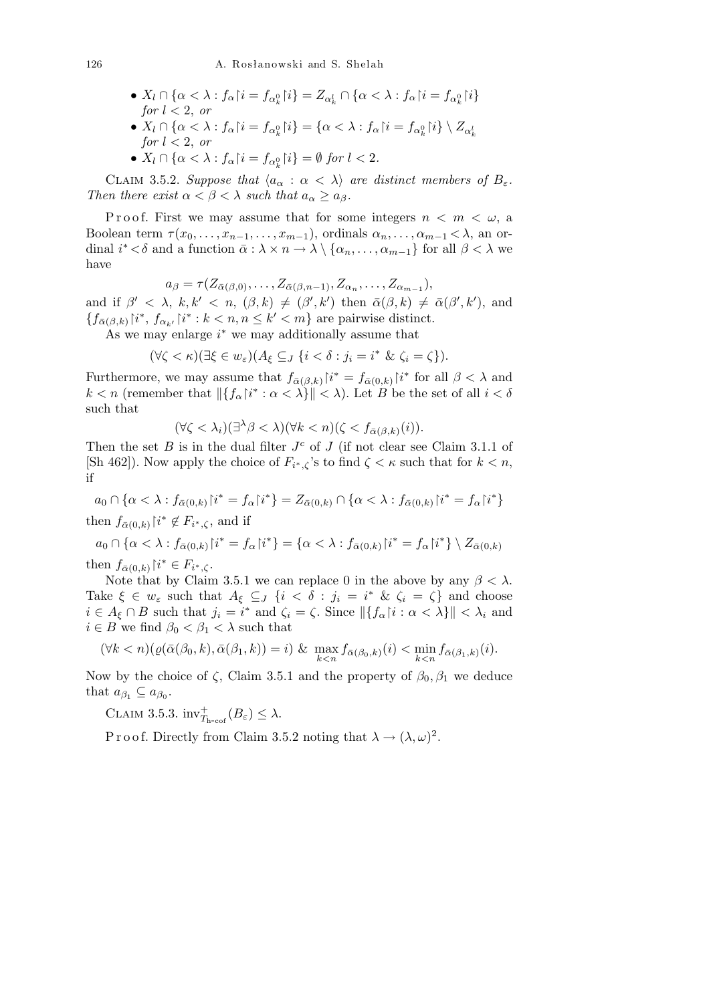- $X_l \cap {\alpha < \lambda : f_{\alpha} {\restriction} i = f_{\alpha} {\alpha}_k {\restriction} i} = Z_{\alpha_k^l} \cap {\alpha < \lambda : f_{\alpha} {\restriction} i = f_{\alpha}_k^0 {\restriction} i}$ *for*  $l < 2$ *, or*
- $\bullet$   $X_l \cap {\alpha < \lambda : f_{\alpha} {\restriction} i = f_{\alpha}^{\alpha} {\restriction} i} = {\alpha < \lambda : f_{\alpha} {\restriction} i = f_{\alpha}^{\alpha} {\restriction} i} \setminus Z_{\alpha}^{\alpha}$ *for*  $l < 2$ , *or*
- *•*  $X_l \cap {\alpha < \lambda : f_\alpha | i = f_{\alpha_k^0} | i} = ∅ for l < 2.$

CLAIM 3.5.2. *Suppose that*  $\langle a_{\alpha} : \alpha \langle \lambda \rangle \rangle$  *are distinct members of*  $B_{\varepsilon}$ *. Then there exist*  $\alpha < \beta < \lambda$  *such that*  $a_{\alpha} \geq a_{\beta}$ *.* 

P r o o f. First we may assume that for some integers  $n < m < \omega$ , a Boolean term  $\tau(x_0, \ldots, x_{n-1}, \ldots, x_{m-1})$ , ordinals  $\alpha_n, \ldots, \alpha_{m-1} < \lambda$ , an ordinal  $i^* < \delta$  and a function  $\bar{\alpha} : \lambda \times n \to \lambda \setminus \{ \alpha_n, \ldots, \alpha_{m-1} \}$  for all  $\beta < \lambda$  we have

$$
a_{\beta} = \tau(Z_{\bar{\alpha}(\beta,0)},\ldots,Z_{\bar{\alpha}(\beta,n-1)},Z_{\alpha_n},\ldots,Z_{\alpha_{m-1}}),
$$

and if  $\beta' < \lambda$ ,  $k, k' < n$ ,  $(\beta, k) \neq (\beta', k')$  then  $\bar{\alpha}(\beta, k) \neq \bar{\alpha}(\beta', k')$ , and  ${f_{\bar{\alpha}(\beta,k)} | i^*, f_{\alpha_{k'}} | i^* : k < n, n \leq k' < m}$  are pairwise distinct.

As we may enlarge *i <sup>∗</sup>* we may additionally assume that

$$
(\forall \zeta < \kappa)(\exists \xi \in w_{\varepsilon})(A_{\xi} \subseteq_{J} \{i < \delta : j_{i} = i^{*} \& \zeta_{i} = \zeta\}).
$$

Furthermore, we may assume that  $f_{\bar{\alpha}(\beta,k)}$   $\hat{i}^* = f_{\bar{\alpha}(0,k)}$   $\hat{i}^*$  for all  $\beta < \lambda$  and  $k < n$  (remember that  $\|\{f_\alpha\}_{i}^{i*}: \alpha < \lambda\}\| < \lambda$ ). Let *B* be the set of all  $i < \delta$ such that

$$
(\forall \zeta < \lambda_i)(\exists^{\lambda} \beta < \lambda)(\forall k < n)(\zeta < f_{\bar{\alpha}(\beta,k)}(i)).
$$

Then the set *B* is in the dual filter  $J^c$  of *J* (if not clear see Claim 3.1.1 of [Sh 462]). Now apply the choice of  $F_{i^*,\zeta}$ 's to find  $\zeta < \kappa$  such that for  $k < n$ , if

 $a_0 \cap {\alpha < \lambda : f_{\bar{\alpha}(0,k)} | i^* = f_{\alpha} | i^*} = Z_{\bar{\alpha}(0,k)} \cap {\alpha < \lambda : f_{\bar{\alpha}(0,k)} | i^* = f_{\alpha} | i^*}$ then  $f_{\bar{\alpha}(0,k)}$   $\upharpoonright i^* \notin F_{i^*,\zeta}$ , and if

$$
a_0 \cap \{ \alpha < \lambda : f_{\bar{\alpha}(0,k)} \upharpoonright i^* = f_\alpha \upharpoonright i^* \} = \{ \alpha < \lambda : f_{\bar{\alpha}(0,k)} \upharpoonright i^* = f_\alpha \upharpoonright i^* \} \setminus Z_{\bar{\alpha}(0,k)}
$$
\nthen  $f_{\bar{\alpha}(0,k)} \upharpoonright i^* \in F_{i^*,\zeta}$ .

then  $f_{\bar{\alpha}(0,k)}[i]$ *<sup>∗</sup>,ζ* .

Note that by Claim 3.5.1 we can replace 0 in the above by any  $\beta < \lambda$ . Take  $\xi \in w_{\varepsilon}$  such that  $A_{\xi} \subseteq J$   $\{i < \delta : j_i = i^* \& \zeta_i = \zeta\}$  and choose  $i \in A_{\xi} \cap B$  such that  $j_i = i^*$  and  $\zeta_i = \zeta$ . Since  $||\{f_{\alpha} | i : \alpha < \lambda\}|| < \lambda_i$  and  $i \in B$  we find  $\beta_0 < \beta_1 < \lambda$  such that

$$
(\forall k < n)(\varrho(\bar{\alpha}(\beta_0, k), \bar{\alpha}(\beta_1, k)) = i) \& \max_{k < n} f_{\bar{\alpha}(\beta_0, k)}(i) < \min_{k < n} f_{\bar{\alpha}(\beta_1, k)}(i).
$$

Now by the choice of *ζ*, Claim 3.5.1 and the property of  $β_0, β_1$  we deduce that  $a_{\beta_1} \subseteq a_{\beta_0}$ .

CLAIM 3.5.3.  $inv^+_{T_{\text{h-cof}}}(B_{\varepsilon}) \leq \lambda$ .

P r o o f. Directly from Claim 3.5.2 noting that  $\lambda \to (\lambda, \omega)^2$ .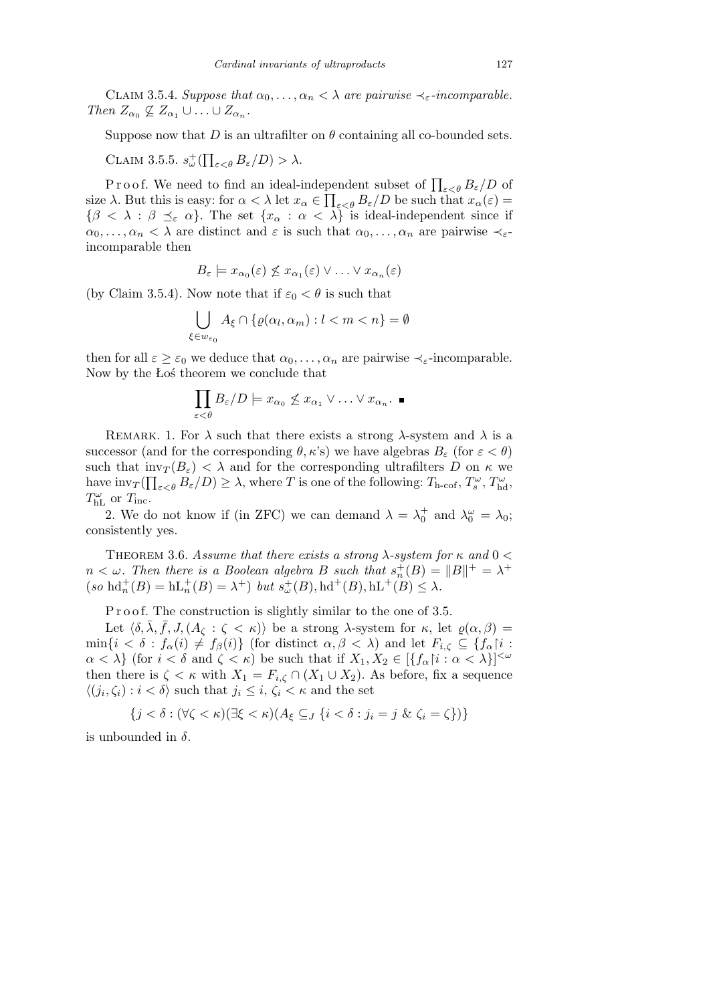CLAIM 3.5.4. *Suppose that*  $\alpha_0, \ldots, \alpha_n < \lambda$  *are pairwise*  $\prec_{\varepsilon}$ -*incomparable.*  $\text{Then } Z_{\alpha_0} \not\subseteq Z_{\alpha_1} \cup \ldots \cup Z_{\alpha_n}.$ 

Suppose now that *D* is an ultrafilter on  $\theta$  containing all co-bounded sets.

Claim 3.5.5. *s* + *ω* (  $\overline{a}$  $\sum_{\varepsilon<\theta} B_{\varepsilon}/D) > \lambda.$ 

P r o o f. We need to find an ideal-independent subset of  $\prod_{\varepsilon < \theta} B_{\varepsilon}/D$  of size  $\lambda$ . But this is easy: for  $\alpha < \lambda$  let  $x_{\alpha} \in \prod_{\varepsilon < \theta} B_{\varepsilon}/D$  be such that  $x_{\alpha}(\varepsilon) =$  ${\beta < \lambda : \beta \preceq_{\varepsilon} \alpha}$ . The set  ${x_{\alpha} : \alpha < \lambda}$  is ideal-independent since if  $\alpha_0, \ldots, \alpha_n < \lambda$  are distinct and  $\varepsilon$  is such that  $\alpha_0, \ldots, \alpha_n$  are pairwise  $\prec_{\varepsilon}$ incomparable then

$$
B_{\varepsilon} \models x_{\alpha_0}(\varepsilon) \not\leq x_{\alpha_1}(\varepsilon) \vee \ldots \vee x_{\alpha_n}(\varepsilon)
$$

(by Claim 3.5.4). Now note that if  $\varepsilon_0 < \theta$  is such that

$$
\bigcup_{\xi \in w_{\varepsilon_0}} A_{\xi} \cap \{ \varrho(\alpha_l, \alpha_m) : l < m < n \} = \emptyset
$$

then for all  $\varepsilon \geq \varepsilon_0$  we deduce that  $\alpha_0, \ldots, \alpha_n$  are pairwise  $\prec_{\varepsilon}$ -incomparable. Now by the Łoś theorem we conclude that

$$
\prod_{\varepsilon < \theta} B_{\varepsilon}/D \models x_{\alpha_0} \not\leq x_{\alpha_1} \vee \ldots \vee x_{\alpha_n}.\blacksquare
$$

REMARK. 1. For  $\lambda$  such that there exists a strong  $\lambda$ -system and  $\lambda$  is a successor (and for the corresponding  $\theta$ ,  $\kappa$ 's) we have algebras  $B_{\varepsilon}$  (for  $\varepsilon < \theta$ ) such that  $\text{inv}_T(B_\varepsilon) < \lambda$  and for the corresponding ultrafilters *D* on  $\kappa$  we have  $\text{inv}_T(\prod_{\varepsilon < \theta} B_{\varepsilon}/D) \geq \lambda$ , where *T* is one of the following:  $T_{\text{h-cof}}, T_s^{\omega}, T_{\text{hd}}^{\omega}$ ,  $T_{\text{hL}}^{\omega}$  or  $T_{\text{inc}}$ .

2. We do not know if (in ZFC) we can demand  $\lambda = \lambda_0^+$  and  $\lambda_0^{\omega} = \lambda_0$ ; consistently yes.

Theorem 3.6. *Assume that there exists a strong λ-system for κ and* 0 *<*  $n < \omega$ . Then there is a Boolean algebra *B* such that  $s_n^+(B) = ||B||^+ = \lambda^+$  $(\text{so } \text{hd}_n^+(B) = \text{hL}_n^+(B) = \lambda^+) \text{ but } s_\omega^+(B), \text{hd}^+(B), \text{hL}^+(B) \leq \lambda.$ 

P r o o f. The construction is slightly similar to the one of 3.5.

Let  $\langle \delta, \lambda, f, J, (A_{\zeta} : \zeta \leq \kappa) \rangle$  be a strong  $\lambda$ -system for  $\kappa$ , let  $\varrho(\alpha, \beta) =$  $\min\{i < \delta : f_\alpha(i) \neq f_\beta(i)\}\$  (for distinct  $\alpha, \beta < \lambda$ ) and let  $F_{i,\zeta} \subseteq \{f_\alpha\}$ *i* :  $\alpha < \lambda$ } (for  $i < \delta$  and  $\zeta < \kappa$ ) be such that if  $X_1, X_2 \in [\{f_\alpha | i : \alpha < \lambda\}]^{<\omega}$ then there is  $\zeta < \kappa$  with  $X_1 = F_{i,\zeta} \cap (X_1 \cup X_2)$ . As before, fix a sequence  $\langle (j_i, \zeta_i) : i < \delta \rangle$  such that  $j_i \leq i, \zeta_i < \kappa$  and the set

$$
\{j < \delta : (\forall \zeta < \kappa)(\exists \xi < \kappa)(A_{\xi} \subseteq J \{i < \delta : j_i = j \ \& \ \zeta_i = \zeta\})\}
$$

is unbounded in  $\delta$ .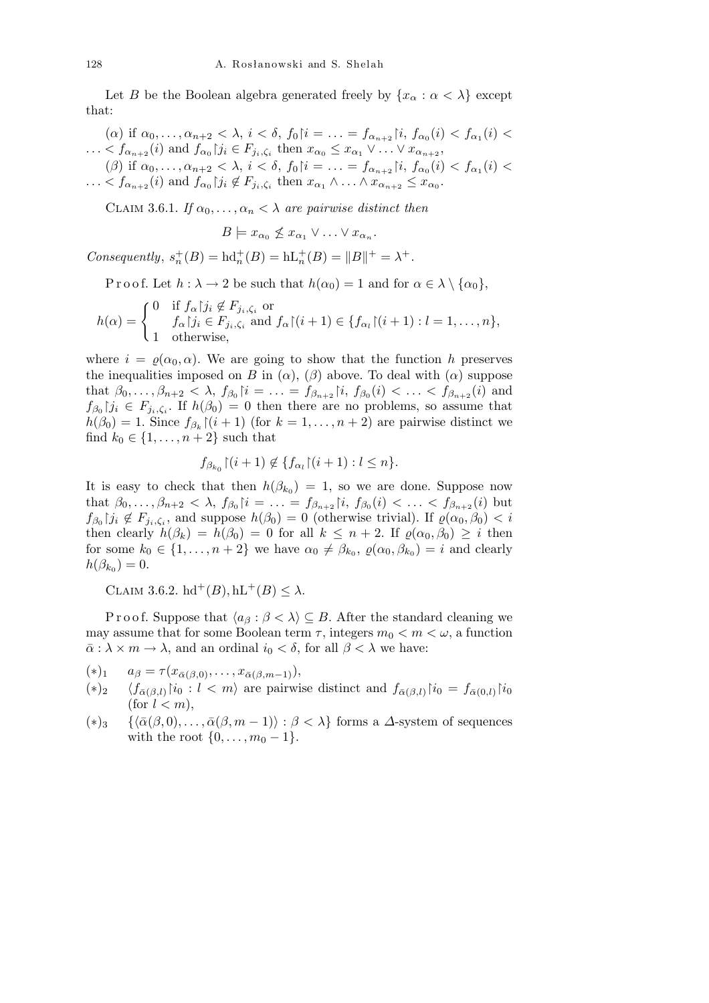Let *B* be the Boolean algebra generated freely by  $\{x_\alpha : \alpha < \lambda\}$  except that:

 $(\alpha)$  if  $\alpha_0, \ldots, \alpha_{n+2} < \lambda$ ,  $i < \delta$ ,  $f_0 \mid i = \ldots = f_{\alpha_{n+2}} \mid i, f_{\alpha_0}(i) < f_{\alpha_1}(i)$  $\ldots < f_{\alpha_{n+2}}(i)$  and  $f_{\alpha_0}|j_i \in F_{j_i,\zeta_i}$  then  $x_{\alpha_0} \leq x_{\alpha_1} \vee \ldots \vee x_{\alpha_{n+2}}$ ,  $(\beta)$  if  $\alpha_0, \ldots, \alpha_{n+2} < \lambda$ ,  $i < \delta$ ,  $f_0 \mid i = \ldots = f_{\alpha_{n+2}} \mid i, f_{\alpha_0}(i) < f_{\alpha_1}(i)$  $\ldots < f_{\alpha_{n+2}}(i)$  and  $f_{\alpha_0}|j_i \notin F_{j_i,\zeta_i}$  then  $x_{\alpha_1} \wedge \ldots \wedge x_{\alpha_{n+2}} \leq x_{\alpha_0}$ .

CLAIM 3.6.1. *If*  $\alpha_0, \ldots, \alpha_n < \lambda$  *are pairwise distinct then* 

$$
B \models x_{\alpha_0} \nleq x_{\alpha_1} \vee \ldots \vee x_{\alpha_n}.
$$

*Consequently*,  $s_n^+(B) = \text{hd}_n^+(B) = \text{hL}_n^+(B) = ||B||^+ = \lambda^+.$ 

Proof. Let  $h : \lambda \to 2$  be such that  $h(\alpha_0) = 1$  and for  $\alpha \in \lambda \setminus \{\alpha_0\},$ 

$$
h(\alpha) = \begin{cases} 0 & \text{if } f_{\alpha} \mid j_i \notin F_{j_i, \zeta_i} \text{ or} \\ 1 & \text{otherwise,} \end{cases}
$$
  
and 
$$
f_{\alpha} \mid j_i \in F_{j_i, \zeta_i} \text{ and } f_{\alpha} \mid (i+1) \in \{ f_{\alpha_i} \mid (i+1) : l = 1, \dots, n \},
$$

where  $i = \rho(\alpha_0, \alpha)$ . We are going to show that the function *h* preserves the inequalities imposed on *B* in  $(\alpha)$ ,  $(\beta)$  above. To deal with  $(\alpha)$  suppose that  $\beta_0, \ldots, \beta_{n+2} < \lambda$ ,  $f_{\beta_0} \mid i = \ldots = f_{\beta_{n+2}} \mid i, f_{\beta_0}(i) < \ldots < f_{\beta_{n+2}}(i)$  and  $f_{\beta_0}$  *j*<sub>*i*</sub>  $\in$  *F*<sub>*j*<sub>*i*</sub>, $\zeta$ <sup>*i*</sup>. If *h*( $\beta$ <sub>0</sub>) = 0 then there are no problems, so assume that</sub>  $h(\beta_0) = 1$ . Since  $f_{\beta_k}[(i+1)$  (for  $k = 1, \ldots, n+2)$  are pairwise distinct we find  $k_0 \in \{1, ..., n + 2\}$  such that

$$
f_{\beta_{k_0}}\left[(i+1)\not\in\{f_{\alpha_l}\right]\left(i+1\right):l\leq n\}.
$$

It is easy to check that then  $h(\beta_{k_0}) = 1$ , so we are done. Suppose now that  $\beta_0, \ldots, \beta_{n+2} < \lambda$ ,  $f_{\beta_0} \mid i = \ldots = f_{\beta_{n+2}} \mid i, f_{\beta_0}(i) < \ldots < f_{\beta_{n+2}}(i)$  but  $f_{\beta_0}$  *j*<sub>*i*</sub>  $\not\in F_{j_i,\zeta_i}$ , and suppose  $h(\beta_0) = 0$  (otherwise trivial). If  $\varrho(\alpha_0,\beta_0) < i$ then clearly  $h(\beta_k) = h(\beta_0) = 0$  for all  $k \leq n+2$ . If  $\varrho(\alpha_0, \beta_0) \geq i$  then for some  $k_0 \in \{1, \ldots, n+2\}$  we have  $\alpha_0 \neq \beta_{k_0}, \varrho(\alpha_0, \beta_{k_0}) = i$  and clearly  $h(\beta_{k_0}) = 0.$ 

CLAIM 3.6.2.  $hd^+(B)$ ,  $hL^+(B) \leq \lambda$ .

Proof. Suppose that  $\langle a_{\beta} : \beta \langle \lambda \rangle \subseteq B$ . After the standard cleaning we may assume that for some Boolean term  $\tau$ , integers  $m_0 < m < \omega$ , a function  $\bar{\alpha}$  :  $\lambda \times m \to \lambda$ , and an ordinal  $i_0 < \delta$ , for all  $\beta < \lambda$  we have:

- $(*)_1$   $a_{\beta} = \tau(x_{\bar{\alpha}(\beta,0)}, \ldots, x_{\bar{\alpha}(\beta,m-1)}),$
- $(*)_2$   $\langle f_{\bar{\alpha}(\beta,l)} | i_0 : l < m \rangle$  are pairwise distinct and  $f_{\bar{\alpha}(\beta,l)} | i_0 = f_{\bar{\alpha}(0,l)} | i_0$  $(for l < m),$
- $(*)_3$  { $\{\bar{\alpha}(\beta, 0), \ldots, \bar{\alpha}(\beta, m-1)\}$  :  $\beta < \lambda\}$  forms a *∆*-system of sequences with the root  $\{0, \ldots, m_0 - 1\}$ .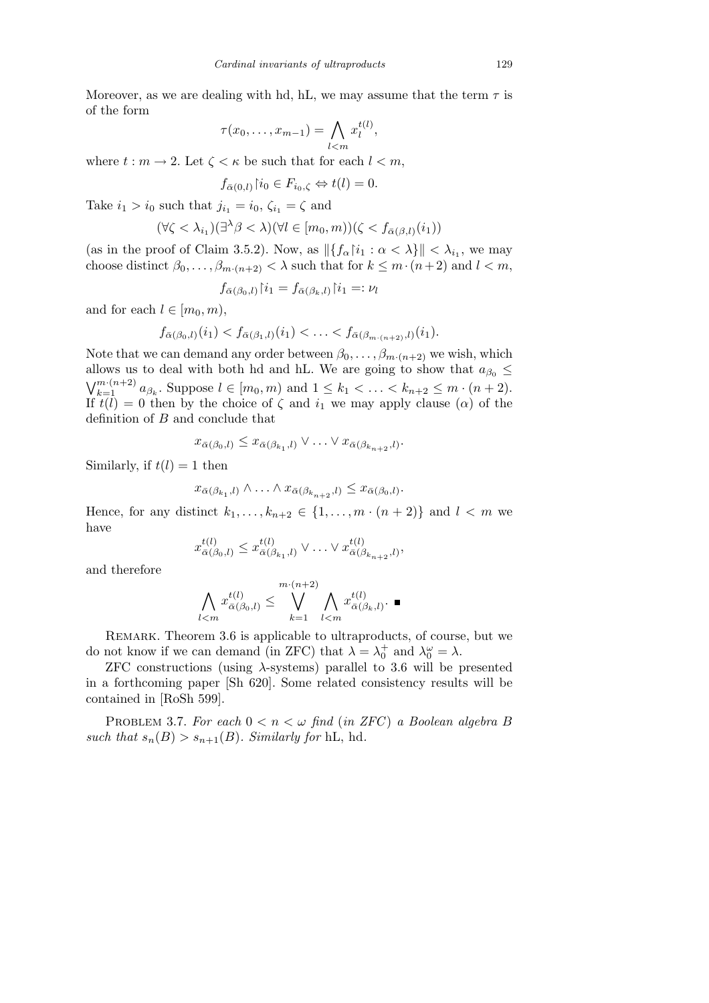Moreover, as we are dealing with hd, hL, we may assume that the term  $\tau$  is of the form

$$
\tau(x_0,\ldots,x_{m-1})=\bigwedge_{l
$$

where  $t : m \to 2$ . Let  $\zeta < \kappa$  be such that for each  $l < m$ ,

$$
f_{\bar{\alpha}(0,l)}\!\upharpoonright\!\! i_0 \in F_{i_0,\zeta} \Leftrightarrow t(l) = 0.
$$

Take  $i_1 > i_0$  such that  $j_{i_1} = i_0$ ,  $\zeta_{i_1} = \zeta$  and

$$
(\forall \zeta < \lambda_{i_1})(\exists^{\lambda}\beta < \lambda)(\forall l \in [m_0, m))(\zeta < f_{\bar{\alpha}(\beta, l)}(i_1))
$$

(as in the proof of Claim 3.5.2). Now, as  $||{f_\alpha|i_1 : \alpha < \lambda}|| < \lambda_{i_1}$ , we may choose distinct  $\beta_0, \ldots, \beta_{m \cdot (n+2)} < \lambda$  such that for  $k \leq m \cdot (n+2)$  and  $l < m$ ,

$$
f_{\bar{\alpha}(\beta_0,l)}\!\!\upharpoonright\!\! i_1 = f_{\bar{\alpha}(\beta_k,l)}\!\!\upharpoonright\!\! i_1 =: \nu_l
$$

and for each  $l \in [m_0, m)$ ,

$$
f_{\bar{\alpha}(\beta_0,l)}(i_1) < f_{\bar{\alpha}(\beta_1,l)}(i_1) < \ldots < f_{\bar{\alpha}(\beta_{m \cdot (n+2)},l)}(i_1).
$$

Note that we can demand any order between  $\beta_0, \ldots, \beta_{m-(n+2)}$  we wish, which allows us to deal with both hd and hL. We are going to show that  $a_{\beta_0} \leq$  $\binom{n}{m(n+2)}$  $\sum_{k=1}^{m \cdot (n+2)} a_{\beta_k}$ . Suppose  $l \in [m_0, m)$  and  $1 \leq k_1 < \ldots < k_{n+2} \leq m \cdot (n+2)$ . If  $t(l) = 0$  then by the choice of  $\zeta$  and  $i_1$  we may apply clause  $(\alpha)$  of the definition of *B* and conclude that

$$
x_{\bar{\alpha}(\beta_0,l)} \leq x_{\bar{\alpha}(\beta_{k_1},l)} \vee \ldots \vee x_{\bar{\alpha}(\beta_{k_{n+2}},l)}.
$$

Similarly, if  $t(l) = 1$  then

$$
x_{\bar{\alpha}(\beta_{k_1},l)} \wedge \ldots \wedge x_{\bar{\alpha}(\beta_{k_{n+2}},l)} \leq x_{\bar{\alpha}(\beta_0,l)}.
$$

Hence, for any distinct  $k_1, \ldots, k_{n+2} \in \{1, \ldots, m \cdot (n+2)\}$  and  $l < m$  we have

$$
x_{\bar{\alpha}(\beta_0,l)}^{t(l)} \leq x_{\bar{\alpha}(\beta_{k_1},l)}^{t(l)} \vee \ldots \vee x_{\bar{\alpha}(\beta_{k_{n+2}},l)}^{t(l)},
$$

and therefore

$$
\bigwedge_{l
$$

REMARK. Theorem 3.6 is applicable to ultraproducts, of course, but we do not know if we can demand (in ZFC) that  $\lambda = \lambda_0^+$  and  $\lambda_0^{\omega} = \lambda$ .

ZFC constructions (using *λ*-systems) parallel to 3.6 will be presented in a forthcoming paper [Sh 620]. Some related consistency results will be contained in [RoSh 599].

PROBLEM 3.7. For each  $0 < n < \omega$  find (in *ZFC*) a Boolean algebra *B such that*  $s_n(B) > s_{n+1}(B)$ *. Similarly for* hL, hd.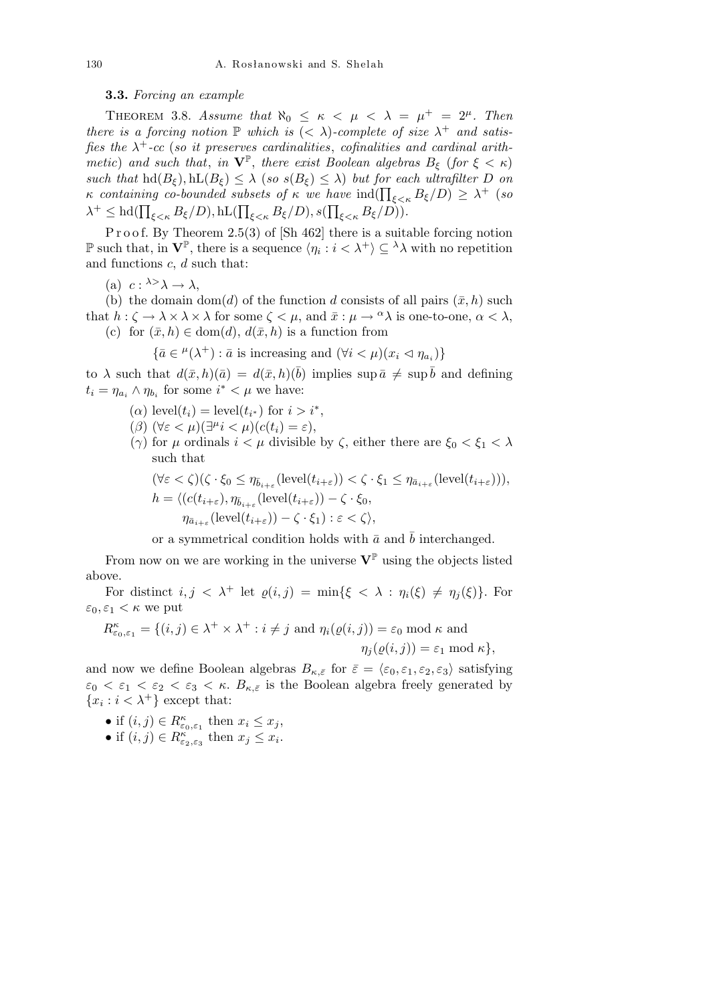**3.3.** *Forcing an example*

THEOREM 3.8. *Assume that*  $\aleph_0 \leq \kappa < \mu < \lambda = \mu^+ = 2^{\mu}$ . Then *there is a forcing notion*  $\mathbb P$  *which is*  $( $\lambda$ )$ -*complete of size*  $\lambda^+$  *and satisfies the*  $\lambda^+$ -cc (*so it preserves cardinalities*, *cofinalities and cardinal arithmetic*) *and such that, in*  $\mathbf{V}^{\mathbb{P}}$ *, there exist Boolean algebras*  $B_{\xi}$  (*for*  $\xi < \kappa$ ) *such that*  $\text{hd}(B_{\xi}), \text{hL}(B_{\xi}) \leq \lambda$  (*so*  $s(B_{\xi}) \leq \lambda$ ) *but for each ultrafilter D on κ containing co-bounded subsets of*  $\kappa$  *we have*  $\text{ind}(\prod_{\xi<\kappa}B_{\xi}/D) \geq \lambda^+$  (*so*  $\lambda^+ \leq \lambda^+ \leq \lambda^+ \leq \lambda^+ \leq \lambda^+ \leq \lambda^+ \leq \lambda^+ \leq \lambda^+ \leq \lambda^+ \leq \lambda^+ \leq \lambda^+ \leq \lambda^+ \leq \lambda^+ \leq \lambda^+ \leq \lambda^+ \leq \lambda^+ \leq \lambda^+ \leq \lambda^+ \leq \$  $\lambda^+ \leq$  hd( $\prod_{\xi \leq \kappa} B_{\xi}/D$ ), hL( $\prod_{\xi \leq \kappa} B_{\xi}/D$ ), s( $\prod_{\xi \leq \kappa} B_{\xi}/D$ )).

P r o o f. By Theorem 2.5(3) of  $[\text{Sh } 462]$  there is a suitable forcing notion P such that, in  $V^{\mathbb{P}}$ , there is a sequence  $\langle \eta_i : i \langle \lambda^+ \rangle \subseteq \lambda \lambda$  with no repetition and functions *c*, *d* such that:

(a)  $c: \lambda > \lambda \rightarrow \lambda$ ,

(b) the domain dom(*d*) of the function *d* consists of all pairs  $(\bar{x}, h)$  such that  $h: \zeta \to \lambda \times \lambda \times \lambda$  for some  $\zeta \leq \mu$ , and  $\bar{x}: \mu \to {}^{\alpha}\lambda$  is one-to-one,  $\alpha \leq \lambda$ , (c) for  $(\bar{x}, h) \in \text{dom}(d)$ ,  $d(\bar{x}, h)$  is a function from

$$
\{\bar{a} \in {}^{\mu}(\lambda^+): \bar{a} \text{ is increasing and } (\forall i < \mu)(x_i \lhd \eta_{a_i})\}
$$

to  $\lambda$  such that  $d(\bar{x}, h)(\bar{a}) = d(\bar{x}, h)(\bar{b})$  implies sup  $\bar{a} \neq \sup \bar{b}$  and defining  $t_i = \eta_{a_i} \wedge \eta_{b_i}$  for some  $i^* < \mu$  we have:

- (*a*) level( $t_i$ ) = level( $t_{i^*}$ ) for  $i > i^*$ ,
- $(\beta)$   $(\forall \varepsilon < \mu)(\exists^{\mu} i < \mu)(c(t_i) = \varepsilon),$
- (*γ*) for *µ* ordinals *i < µ* divisible by *ζ*, either there are *ξ*<sup>0</sup> *< ξ*<sup>1</sup> *< λ* such that

$$
(\forall \varepsilon < \zeta)(\zeta \cdot \xi_0 \le \eta_{\overline{b}_{i+\varepsilon}}(\text{level}(t_{i+\varepsilon})) < \zeta \cdot \xi_1 \le \eta_{\overline{a}_{i+\varepsilon}}(\text{level}(t_{i+\varepsilon}))),
$$
\n
$$
h = \langle (c(t_{i+\varepsilon}), \eta_{\overline{b}_{i+\varepsilon}}(\text{level}(t_{i+\varepsilon})) - \zeta \cdot \xi_0,
$$
\n
$$
\eta_{\overline{a}_{i+\varepsilon}}(\text{level}(t_{i+\varepsilon})) - \zeta \cdot \xi_1 \rangle : \varepsilon < \zeta \rangle,
$$

or a symmetrical condition holds with  $\bar{a}$  and  $\bar{b}$  interchanged.

From now on we are working in the universe  $V^{\mathbb{P}}$  using the objects listed above.

For distinct  $i, j < \lambda^+$  let  $\varrho(i,j) = \min\{\xi < \lambda : \eta_i(\xi) \neq \eta_i(\xi)\}\$ . For  $\varepsilon_0, \varepsilon_1 < \kappa$  we put

$$
R_{\varepsilon_0,\varepsilon_1}^{\kappa} = \{ (i,j) \in \lambda^+ \times \lambda^+ : i \neq j \text{ and } \eta_i(\varrho(i,j)) = \varepsilon_0 \text{ mod } \kappa \text{ and } \eta_j(\varrho(i,j)) = \varepsilon_1 \text{ mod } \kappa \},\
$$

and now we define Boolean algebras  $B_{\kappa,\bar{\varepsilon}}$  for  $\bar{\varepsilon} = \langle \varepsilon_0, \varepsilon_1, \varepsilon_2, \varepsilon_3 \rangle$  satisfying  $\varepsilon_0 < \varepsilon_1 < \varepsilon_2 < \varepsilon_3 < \kappa$ .  $B_{\kappa,\bar{\varepsilon}}$  is the Boolean algebra freely generated by  ${x_i : i < \lambda^+}$  except that:

- if  $(i, j) \in R^{\kappa}_{\varepsilon_0, \varepsilon_1}$  then  $x_i \leq x_j$ ,
- if  $(i, j) \in R_{\varepsilon_2, \varepsilon_3}^{\kappa}$  then  $x_j \leq x_i$ .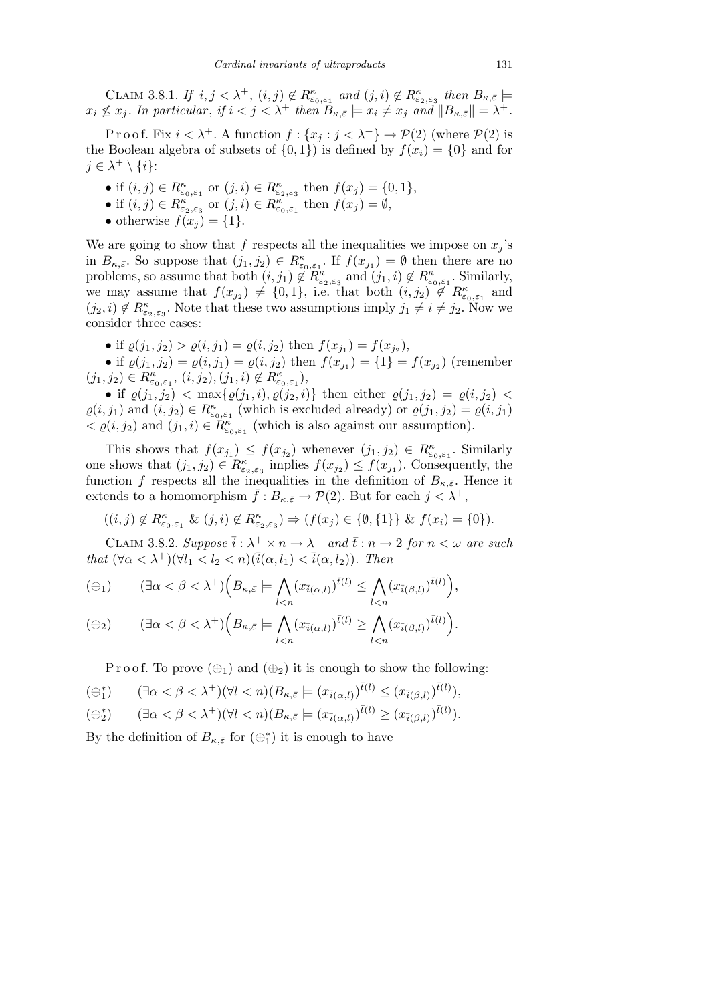CLAIM 3.8.1. *If*  $i, j < \lambda^+$ ,  $(i, j) \notin R^{\kappa}_{\varepsilon_0, \varepsilon_1}$  and  $(j, i) \notin R^{\kappa}_{\varepsilon_2, \varepsilon_3}$  then  $B_{\kappa, \bar{\varepsilon}}$   $\models$  $x_i \nleq x_j$ . In particular, if  $i < j < \lambda^+$  then  $B_{\kappa,\bar{\varepsilon}} \models x_i \neq x_j$  and  $||B_{\kappa,\bar{\varepsilon}}|| = \lambda^+$ .

P r o o f. Fix  $i < \lambda^+$ . A function  $f: \{x_j : j < \lambda^+\} \to \mathcal{P}(2)$  (where  $\mathcal{P}(2)$  is the Boolean algebra of subsets of  $\{0,1\}$  is defined by  $f(x_i) = \{0\}$  and for  $j \in \lambda^+ \setminus \{i\}$ :

- if  $(i, j) \in R^{\kappa}_{\varepsilon_0, \varepsilon_1}$  or  $(j, i) \in R^{\kappa}_{\varepsilon_2, \varepsilon_3}$  then  $f(x_j) = \{0, 1\},$
- $\bullet$  if  $(i, j) \in R_{\varepsilon_2, \varepsilon_3}^{\kappa}$  or  $(j, i) \in R_{\varepsilon_0, \varepsilon_1}^{\kappa}$  then  $f(x_j) = ∅$ ,
- otherwise  $f(x_j) = \{1\}$ .

We are going to show that  $f$  respects all the inequalities we impose on  $x_j$ 's in  $B_{\kappa,\bar{\varepsilon}}$ . So suppose that  $(j_1, j_2) \in R_{\varepsilon_0, \varepsilon_1}^{\kappa}$ . If  $f(x_{j_1}) = \emptyset$  then there are no problems, so assume that both  $(i, j_1) \notin \mathbb{R}^{\kappa}_{\varepsilon_2, \varepsilon_3}$  and  $(j_1, i) \notin \mathbb{R}^{\kappa}_{\varepsilon_0, \varepsilon_1}$ . Similarly, we may assume that  $f(x_{j_2}) \neq \{0,1\}$ , i.e. that both  $(i, j_2) \notin R_{\varepsilon_0, \varepsilon_1}^{\kappa}$  and  $(j_2, i) \notin R_{\varepsilon_2, \varepsilon_3}^{\kappa}$ . Note that these two assumptions imply  $j_1 \neq i \neq j_2$ . Now we consider three cases:

• if  $\varrho(j_1, j_2) > \varrho(i, j_1) = \varrho(i, j_2)$  then  $f(x_{j_1}) = f(x_{j_2})$ ,

• if  $\varrho(j_1, j_2) = \varrho(i, j_1) = \varrho(i, j_2)$  then  $f(x_{j_1}) = \{1\} = f(x_{j_2})$  (remember  $(j_1, j_2) \in R^{\kappa}_{\varepsilon_0, \varepsilon_1}, (i, j_2), (j_1, i) \notin R^{\kappa}_{\varepsilon_0, \varepsilon_1}),$ 

• if  $\varrho(j_1, j_2) < \max\{\varrho(j_1, i), \varrho(j_2, i)\}\$  then either  $\varrho(j_1, j_2) = \varrho(i, j_2)$  $\varrho(i, j_1)$  and  $(i, j_2) \in R^{\kappa}_{\varepsilon_0, \varepsilon_1}$  (which is excluded already) or  $\varrho(j_1, j_2) = \varrho(i, j_1)$  $\langle \varrho(i, j_2) \rangle$  and  $(j_1, i) \in R^{\kappa}_{\varepsilon_0, \varepsilon_1}$  (which is also against our assumption).

This shows that  $f(x_{j_1}) \leq f(x_{j_2})$  whenever  $(j_1, j_2) \in R_{\varepsilon_0, \varepsilon_1}^{\kappa}$ . Similarly one shows that  $(j_1, j_2) \in R_{\varepsilon_2, \varepsilon_3}^{\kappa}$  implies  $f(x_{j_2}) \leq f(x_{j_1})$ . Consequently, the function *f* respects all the inequalities in the definition of  $B_{\kappa,\bar{\varepsilon}}$ . Hence it extends to a homomorphism  $\bar{f}: B_{\kappa,\bar{\varepsilon}} \to \mathcal{P}(2)$ . But for each  $j < \lambda^+$ ,

$$
((i,j) \notin R_{\varepsilon_0,\varepsilon_1}^{\kappa} \& (j,i) \notin R_{\varepsilon_2,\varepsilon_3}^{\kappa}) \Rightarrow (f(x_j) \in \{\emptyset, \{1\}\} \& f(x_i) = \{0\}).
$$

CLAIM 3.8.2. *Suppose*  $\bar{i}: \lambda^+ \times n \to \lambda^+$  and  $\bar{t}: n \to 2$  for  $n < \omega$  are such *that*  $(\forall \alpha < \lambda^+)$  $(\forall l_1 < l_2 < n)$  $(\bar{i}(\alpha, l_1) < \bar{i}(\alpha, l_2))$ *. Then*  $\overline{\phantom{a}}$  $\mathbf{r}$ 

$$
(\oplus_1) \qquad (\exists \alpha < \beta < \lambda^+) \Big( B_{\kappa,\bar{\varepsilon}} \models \bigwedge_{l
$$

$$
(\oplus_2) \qquad (\exists \alpha < \beta < \lambda^+) \Big( B_{\kappa,\bar{\varepsilon}} \models \bigwedge_{l
$$

P r o o f. To prove  $(\oplus_1)$  and  $(\oplus_2)$  it is enough to show the following:

$$
(\oplus_1^*) \qquad (\exists \alpha < \beta < \lambda^+) (\forall l < n) (B_{\kappa, \bar{\varepsilon}} \models (x_{\bar{i}(\alpha, l)})^{\bar{t}(l)} \le (x_{\bar{i}(\beta, l)})^{\bar{t}(l)}),
$$

$$
(\oplus_2^*) \qquad (\exists \alpha < \beta < \lambda^+)(\forall l < n)(B_{\kappa, \bar{\varepsilon}} \models (x_{\bar{i}(\alpha, l)})^{\bar{t}(l)} \ge (x_{\bar{i}(\beta, l)})^{\bar{t}(l)}).
$$

By the definition of  $B_{\kappa,\bar{\varepsilon}}$  for  $(\oplus_1^*)$  it is enough to have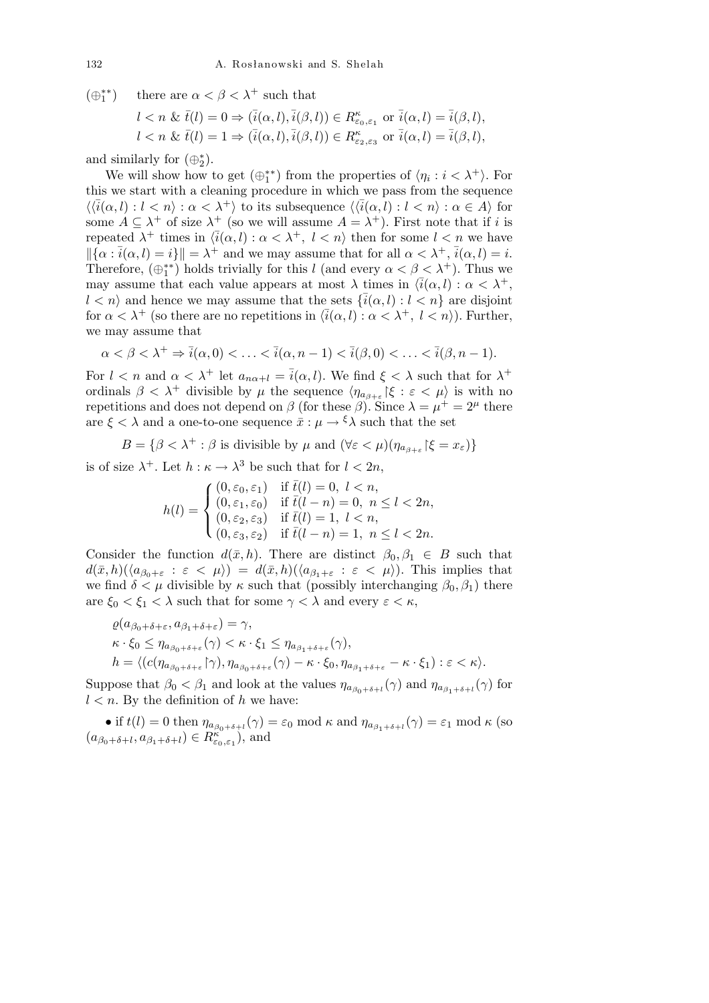(*⊕∗∗* 1 there are  $\alpha < \beta < \lambda^+$  such that

$$
l < n \& \bar{t}(l) = 0 \Rightarrow (\bar{i}(\alpha, l), \bar{i}(\beta, l)) \in R_{\varepsilon_0, \varepsilon_1}^{\kappa} \text{ or } \bar{i}(\alpha, l) = \bar{i}(\beta, l),
$$
\n
$$
l < n \& \bar{t}(l) = 1 \Rightarrow (\bar{i}(\alpha, l), \bar{i}(\beta, l)) \in R_{\varepsilon_2, \varepsilon_3}^{\kappa} \text{ or } \bar{i}(\alpha, l) = \bar{i}(\beta, l),
$$

and similarly for  $(\oplus_2^*)$ .

We will show how to get  $(\oplus_1^{**})$  from the properties of  $\langle \eta_i : i < \lambda^+ \rangle$ . For this we start with a cleaning procedure in which we pass from the sequence  $\langle \langle \overline{i}(\alpha, l) : l < n \rangle : \alpha < \lambda^+ \rangle$  to its subsequence  $\langle \langle \overline{i}(\alpha, l) : l < n \rangle : \alpha \in A \rangle$  for some  $A \subseteq \lambda^+$  of size  $\lambda^+$  (so we will assume  $A = \lambda^+$ ). First note that if *i* is repeated  $\lambda^+$  times in  $\langle \bar{i}(\alpha, l) : \alpha < \lambda^+, l < n \rangle$  then for some  $l < n$  we have  $\|\{\alpha : \overline{i}(\alpha, l) = i\}\| = \lambda^+$  and we may assume that for all  $\alpha < \lambda^+, \overline{i}(\alpha, l) = i$ . Therefore,  $(\bigoplus_{1}^{**})$  holds trivially for this *l* (and every  $\alpha < \beta < \lambda^{+}$ ). Thus we may assume that each value appears at most  $\lambda$  times in  $\langle \bar{i}(\alpha, l) : \alpha < \lambda^+,$  $l < n$ <sup>*i*</sup> and hence we may assume that the sets  $\{\bar{i}(\alpha, l) : l < n\}$  are disjoint for  $\alpha < \lambda^+$  (so there are no repetitions in  $\langle \overline{i}(\alpha, l) : \alpha < \lambda^+, l < n \rangle$ ). Further, we may assume that

$$
\alpha < \beta < \lambda^+ \Rightarrow \overline{i}(\alpha, 0) < \ldots < \overline{i}(\alpha, n-1) < \overline{i}(\beta, 0) < \ldots < \overline{i}(\beta, n-1).
$$

For  $l < n$  and  $\alpha < \lambda^+$  let  $a_{n\alpha+l} = \bar{i}(\alpha, l)$ . We find  $\xi < \lambda$  such that for  $\lambda^+$ ordinals  $\beta < \lambda^+$  divisible by  $\mu$  the sequence  $\langle \eta_{a_{\beta+\varepsilon}} | \xi : \varepsilon < \mu \rangle$  is with no repetitions and does not depend on  $\beta$  (for these  $\beta$ ). Since  $\lambda = \mu^+ = 2^{\mu}$  there are  $\xi < \lambda$  and a one-to-one sequence  $\bar{x} : \mu \to \xi \lambda$  such that the set

*B* = { $\beta < \lambda^+$  :  $\beta$  is divisible by  $\mu$  and  $(\forall \epsilon < \mu)(\eta_{a_{\beta+\epsilon}}|\xi = x_{\epsilon})$ }

is of size  $\lambda^+$ . Let  $h : \kappa \to \lambda^3$  be such that for  $l < 2n$ ,

$$
h(l) = \begin{cases} (0, \varepsilon_0, \varepsilon_1) & \text{if } \bar{t}(l) = 0, \ l < n, \\ (0, \varepsilon_1, \varepsilon_0) & \text{if } \bar{t}(l - n) = 0, \ n \le l < 2n, \\ (0, \varepsilon_2, \varepsilon_3) & \text{if } \bar{t}(l) = 1, \ l < n, \\ (0, \varepsilon_3, \varepsilon_2) & \text{if } \bar{t}(l - n) = 1, \ n \le l < 2n. \end{cases}
$$

Consider the function  $d(\bar{x}, h)$ . There are distinct  $\beta_0, \beta_1 \in B$  such that  $d(\bar{x}, h)(\langle a_{\beta_0+\varepsilon} : \varepsilon < \mu \rangle) = d(\bar{x}, h)(\langle a_{\beta_1+\varepsilon} : \varepsilon < \mu \rangle)$ . This implies that we find  $\delta < \mu$  divisible by  $\kappa$  such that (possibly interchanging  $\beta_0, \beta_1$ ) there are  $\xi_0 < \xi_1 < \lambda$  such that for some  $\gamma < \lambda$  and every  $\varepsilon < \kappa$ ,

$$
\varrho(a_{\beta_0+\delta+\varepsilon}, a_{\beta_1+\delta+\varepsilon}) = \gamma,
$$
\n
$$
\kappa \cdot \xi_0 \le \eta_{a_{\beta_0+\delta+\varepsilon}}(\gamma) < \kappa \cdot \xi_1 \le \eta_{a_{\beta_1+\delta+\varepsilon}}(\gamma),
$$
\n
$$
h = \langle (c(\eta_{a_{\beta_0+\delta+\varepsilon}}\upharpoonright \gamma), \eta_{a_{\beta_0+\delta+\varepsilon}}(\gamma) - \kappa \cdot \xi_0, \eta_{a_{\beta_1+\delta+\varepsilon}} - \kappa \cdot \xi_1) : \varepsilon < \kappa \rangle.
$$

Suppose that  $\beta_0 < \beta_1$  and look at the values  $\eta_{a_{\beta_0+\delta+l}}(\gamma)$  and  $\eta_{a_{\beta_1+\delta+l}}(\gamma)$  for  $l < n$ . By the definition of *h* we have:

• if  $t(l) = 0$  then  $\eta_{a_{\beta_0 + \delta + l}}(\gamma) = \varepsilon_0 \mod \kappa$  and  $\eta_{a_{\beta_1 + \delta + l}}(\gamma) = \varepsilon_1 \mod \kappa$  (so  $(a_{\beta_0+\delta+l}, a_{\beta_1+\delta+l}) \in R_{\varepsilon_0,\varepsilon_1}^{\kappa}$ , and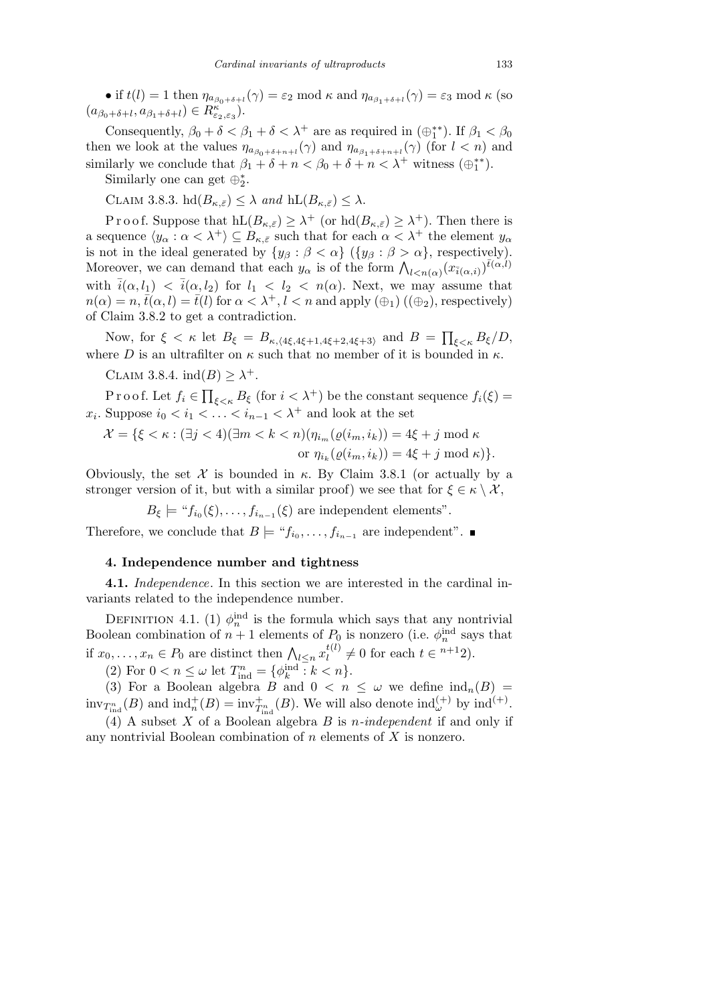• if  $t(l) = 1$  then  $\eta_{a_{\beta_0 + \delta + l}}(\gamma) = \varepsilon_2 \mod \kappa$  and  $\eta_{a_{\beta_1 + \delta + l}}(\gamma) = \varepsilon_3 \mod \kappa$  (so  $(a_{\beta_0+\delta+l}, a_{\beta_1+\delta+l}) \in R_{\varepsilon_2, \varepsilon_3}^{\kappa}).$ 

Consequently,  $\beta_0 + \delta < \beta_1 + \delta < \lambda^+$  are as required in  $(\oplus_1^{**})$ . If  $\beta_1 < \beta_0$ then we look at the values  $\eta_{a_{\beta_0+\delta+n+l}}(\gamma)$  and  $\eta_{a_{\beta_1+\delta+n+l}}(\gamma)$  (for  $l < n$ ) and similarly we conclude that  $\beta_1 + \delta + n < \beta_0 + \delta + n < \lambda^+$  witness  $(\bigoplus_1^{**})$ .

Similarly one can get  $\oplus_2^*$ .

 $\text{CLAIM } 3.8.3. \text{ hd}(B_{\kappa,\bar{\varepsilon}}) \leq \lambda \text{ and } \text{hL}(B_{\kappa,\bar{\varepsilon}}) \leq \lambda.$ 

P r o o f. Suppose that  $hL(B_{\kappa,\bar{\varepsilon}}) \geq \lambda^+$  (or  $hd(B_{\kappa,\bar{\varepsilon}}) \geq \lambda^+$ ). Then there is a sequence  $\langle y_\alpha : \alpha < \lambda^+ \rangle \subseteq B_{\kappa, \bar{\varepsilon}}$  such that for each  $\alpha < \lambda^+$  the element  $y_\alpha$ is not in the ideal generated by  $\{y_{\beta} : \beta < \alpha\}$  ( $\{y_{\beta} : \beta > \alpha\}$ , respectively).<br>Moreover, we can demand that each  $y_{\alpha}$  is of the form  $\bigwedge_{l < n(\alpha)} (x_{\bar{i}(\alpha,i)})^{\bar{t}(\alpha,l)}$ with  $\bar{i}(\alpha, l_1) < \bar{i}(\alpha, l_2)$  for  $l_1 < l_2 < n(\alpha)$ . Next, we may assume that  $n(\alpha) = n$ ,  $\bar{t}(\alpha, l) = \bar{t}(l)$  for  $\alpha < \lambda^+, l < n$  and apply  $(\oplus_1)$  ( $(\oplus_2)$ ), respectively) of Claim 3.8.2 to get a contradiction.  $\overline{ }$ 

Now, for  $\xi < \kappa$  let  $B_{\xi} = B_{\kappa, \langle 4\xi, 4\xi+1, 4\xi+2, 4\xi+3 \rangle}$  and  $B =$ *ξ<κ Bξ/D*, where *D* is an ultrafilter on  $\kappa$  such that no member of it is bounded in  $\kappa$ .

CLAIM 3.8.4.  $ind(B) \geq \lambda^+$ .

P r o o f. Let *f<sup>i</sup> ∈*  $\prod_{\xi \leq \kappa} B_{\xi}$  (for  $i < \lambda^+$ ) be the constant sequence  $f_i(\xi) =$  $x_i$ . Suppose  $i_0 < i_1 < \ldots < i_{n-1} < \lambda^+$  and look at the set

$$
\mathcal{X} = \{ \xi < \kappa : (\exists j < 4)(\exists m < k < n)(\eta_{i_m}(\varrho(i_m, i_k)) = 4\xi + j \mod \kappa \text{ or } \eta_{i_k}(\varrho(i_m, i_k)) = 4\xi + j \mod \kappa) \}.
$$

Obviously, the set  $\mathcal X$  is bounded in  $\kappa$ . By Claim 3.8.1 (or actually by a stronger version of it, but with a similar proof) we see that for  $\xi \in \kappa \setminus \mathcal{X}$ ,

 $B_{\xi}$   $\models$  " $f_{i_0}(\xi), \ldots, f_{i_{n-1}}(\xi)$  are independent elements".

Therefore, we conclude that  $B \models "f_{i_0}, \ldots, f_{i_{n-1}}$  are independent".

## **4. Independence number and tightness**

**4.1.** *Independence*. In this section we are interested in the cardinal invariants related to the independence number.

DEFINITION 4.1. (1)  $\phi_n^{\text{ind}}$  is the formula which says that any nontrivial Boolean combination of  $n + 1$  elements of  $P_0$  is nonzero (i.e.  $\phi_n^{\text{ind}}$  says that if  $x_0, \ldots, x_n \in P_0$  are distinct then  $\bigwedge_{l \leq n} x_l^{t(l)} \neq 0$  for each  $t \in \infty^{n+1}$ 2.  $\frac{t^{(l)}}{l} \neq 0$  for each  $t \in \frac{n+1}{2}$ .

(2) For  $0 < n \leq \omega$  let  $T_{\text{ind}}^n = {\phi_k^{\text{ind}} : k < n}.$ 

(3) For a Boolean algebra  $B$  and  $0 < n \leq \omega$  we define  $\text{ind}_n(B)$  $\text{inv}_{T^n_{\text{ind}}}(B)$  and  $\text{ind}_n^+(B) = \text{inv}_{T^n_{\text{ind}}}(B)$ . We will also denote  $\text{ind}_{\omega}^{(+)}$  by  $\text{ind}^{(+)}$ .

(4) A subset *X* of a Boolean algebra *B* is *n-independent* if and only if any nontrivial Boolean combination of *n* elements of *X* is nonzero.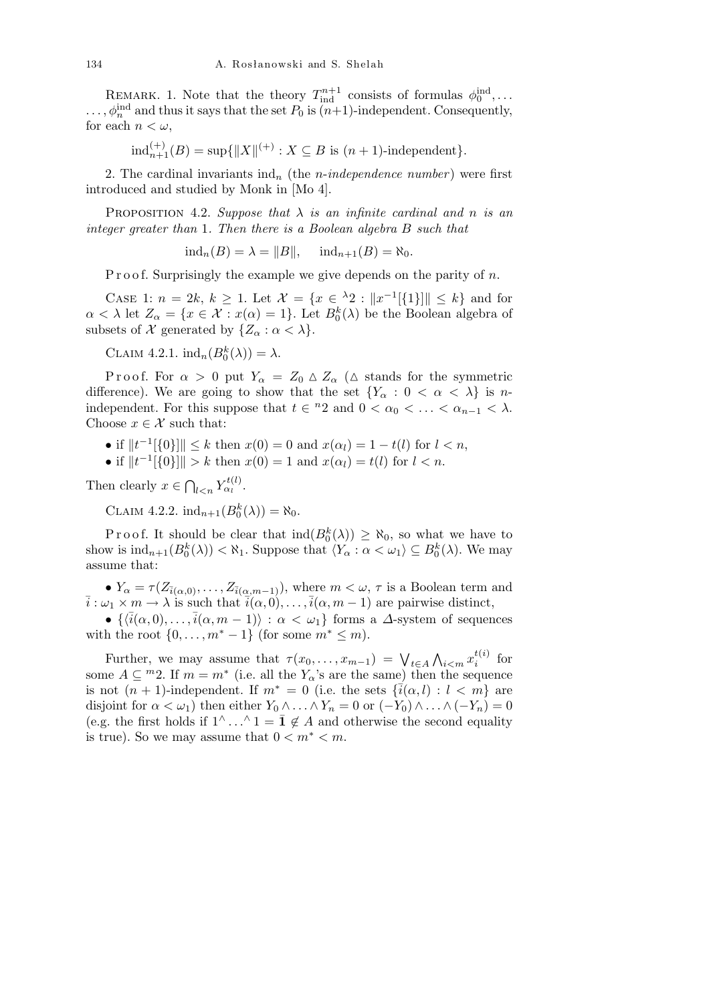REMARK. 1. Note that the theory  $T_{\text{ind}}^{n+1}$  consists of formulas  $\phi_0^{\text{ind}}$ ,...  $\ldots$ ,  $\phi_n^{\text{ind}}$  and thus it says that the set  $P_0$  is  $(n+1)$ -independent. Consequently, for each  $n < \omega$ ,

$$
ind_{n+1}^{(+)}(B) = \sup\{\|X\|^{(+)} : X \subseteq B \text{ is } (n+1)\text{-independent}\}.
$$

2. The cardinal invariants  $\text{ind}_n$  (the *n*-*independence number*) were first introduced and studied by Monk in [Mo 4].

**PROPOSITION** 4.2. *Suppose that*  $\lambda$  *is an infinite cardinal and n is an integer greater than* 1*. Then there is a Boolean algebra B such that*

 $ind_n(B) = \lambda = ||B||$ ,  $ind_{n+1}(B) = \aleph_0$ .

P r o o f. Surprisingly the example we give depends on the parity of *n*.

CASE 1:  $n = 2k, k \ge 1$ . Let  $\mathcal{X} = \{x \in {}^{\lambda}2 : ||x^{-1}[\{1\}]|| \le k\}$  and for  $\alpha < \lambda$  let  $Z_{\alpha} = \{x \in \mathcal{X} : x(\alpha) = 1\}$ . Let  $B_0^k(\lambda)$  be the Boolean algebra of subsets of *X* generated by  $\{Z_\alpha : \alpha < \lambda\}.$ 

CLAIM 4.2.1.  $\text{ind}_n(B_0^k(\lambda)) = \lambda$ .

P r o o f. For  $\alpha > 0$  put  $Y_\alpha = Z_0 \triangle Z_\alpha$  ( $\triangle$  stands for the symmetric difference). We are going to show that the set  ${Y_\alpha : 0 < \alpha < \lambda}$  is *n*independent. For this suppose that  $t \in \{n\}$  and  $0 < \alpha_0 < \ldots < \alpha_{n-1} < \lambda$ . Choose  $x \in \mathcal{X}$  such that:

- if  $||t^{-1}[\{0\}]|| \leq k$  then  $x(0) = 0$  and  $x(\alpha_l) = 1 t(l)$  for  $l < n$ ,
- if  $||t^{-1}[\{0\}]|| > k$  then  $x(0) = 1$  and  $x(\alpha_l) = t(l)$  for  $l < n$ .

Then clearly *x ∈*  $\overline{a}$  $Y_{\alpha_l}^{t(l)}$ .

 $CLAIM 4.2.2. ind<sub>n+1</sub>(B<sub>0</sub><sup>k</sup>(\lambda)) = \aleph_0.$ 

Proof. It should be clear that  $\text{ind}(B_0^k(\lambda)) \geq \aleph_0$ , so what we have to show is  $\text{ind}_{n+1}(B_0^k(\lambda)) < \aleph_1$ . Suppose that  $\langle Y_\alpha : \alpha < \omega_1 \rangle \subseteq B_0^k(\lambda)$ . We may assume that:

•  $Y_{\alpha} = \tau(Z_{\bar{i}(\alpha,0)}, \ldots, Z_{\bar{i}(\alpha,m-1)})$ , where  $m < \omega, \tau$  is a Boolean term and  $\overline{i}: \omega_1 \times m \to \lambda$  is such that  $\overline{i}(\alpha, 0), \ldots, \overline{i}(\alpha, m-1)$  are pairwise distinct,

•  $\{\langle \bar{i}(\alpha,0),\ldots,\bar{i}(\alpha,m-1)\rangle : \alpha < \omega_1\}$  forms a *∆*-system of sequences with the root  $\{0, \ldots, m^* - 1\}$  (for some  $m^* \leq m$ ).

Further, we may assume that  $\tau(x_0, \ldots, x_{m-1}) = \bigvee_{t \in A}$  $\mathbf{v}$  $\sum_{i \leq m} x_i^{t(i)}$  $i^{(i)}$  for some  $A \subseteq {}^{m}2$ . If  $m = m^*$  (i.e. all the  $Y_{\alpha}$ 's are the same) then the sequence is not  $(n + 1)$ -independent. If  $m^* = 0$  (i.e. the sets  $\{\bar{i}(\alpha, l) : l < m\}$  are disjoint for  $\alpha < \omega_1$ ) then either  $Y_0 \wedge \ldots \wedge Y_n = 0$  or  $(-Y_0) \wedge \ldots \wedge (-Y_n) = 0$ (e.g. the first holds if  $1^\wedge$ ...  $\hat{ }$  1 = **1** ∉ *A* and otherwise the second equality is true). So we may assume that  $0 \leq m^* \leq m$ .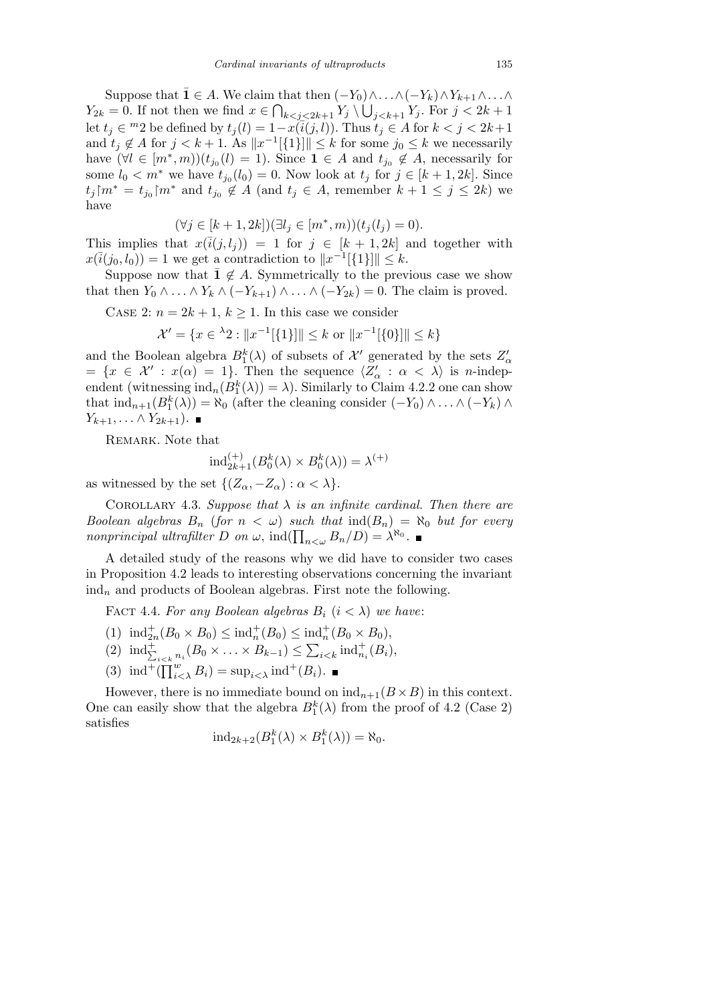Suppose that  $\overline{\mathbf{1}} \in A$ . We claim that then  $(-Y_0) \wedge \ldots \wedge (-Y_k) \wedge Y_{k+1} \wedge \ldots \wedge$ *Y*<sub>2*k*</sub> = 0. If not then we find  $x \in \bigcap_{k < j < 2k+1} Y_j \setminus \bigcup_{j < k+1} Y_j$ . For  $j < 2k+1$ let  $t_j \in {}^m 2$  be defined by  $t_j(l) = 1 - x(\overline{i}(j, l))$ . Thus  $t_j \in A$  for  $k < j < 2k+1$ and  $t_j \notin A$  for  $j < k+1$ . As  $||x^{-1}[\{1\}]|| \leq k$  for some  $j_0 \leq k$  we necessarily have  $(\forall l \in [m^*, m))(t_{j_0}(l) = 1)$ . Since  $\mathbf{1} \in A$  and  $t_{j_0} \notin A$ , necessarily for some  $l_0 < m^*$  we have  $t_{j_0}(l_0) = 0$ . Now look at  $t_j$  for  $j \in [k+1, 2k]$ . Since  $t_j$ | $m^* = t_{j_0}$ | $m^*$  and  $t_{j_0} \notin A$  (and  $t_j \in A$ , remember  $k + 1 \leq j \leq 2k$ ) we have

$$
(\forall j \in [k+1, 2k]) (\exists l_j \in [m^*, m))(t_j(l_j) = 0).
$$

This implies that  $x(\overline{i}(j, l_j)) = 1$  for  $j \in [k + 1, 2k]$  and together with  $x(\bar{i}(j_0, l_0)) = 1$  we get a contradiction to  $||x^{-1}[\{1\}]|| \leq k$ .

Suppose now that  $\bar{1} \notin A$ . Symmetrically to the previous case we show that then  $Y_0 \wedge \ldots \wedge Y_k \wedge (-Y_{k+1}) \wedge \ldots \wedge (-Y_{2k}) = 0$ . The claim is proved.

CASE 2:  $n = 2k + 1$ ,  $k \ge 1$ . In this case we consider

$$
\mathcal{X}' = \{ x \in {}^{\lambda}2 : ||x^{-1}[\{1\}]|| \le k \text{ or } ||x^{-1}[\{0\}]|| \le k \}
$$

and the Boolean algebra  $B_1^k(\lambda)$  of subsets of  $\mathcal{X}'$  generated by the sets  $Z'_\alpha$  $= \{x \in \mathcal{X}' : x(\alpha) = 1\}.$  Then the sequence  $\langle Z'_\alpha : \alpha < \lambda \rangle$  is *n*-independent (witnessing  $\text{ind}_n(B_1^k(\lambda)) = \lambda$ ). Similarly to Claim 4.2.2 one can show that  $\text{ind}_{n+1}(B_1^k(\lambda)) = \aleph_0$  (after the cleaning consider  $(-Y_0) \wedge \ldots \wedge (-Y_k) \wedge$ *Y*<sub>*k*+1</sub>*,...*  $\wedge$  *Y*<sub>2*k*+1</sub>). ■

REMARK. Note that

$$
ind_{2k+1}^{(+)}(B_0^k(\lambda) \times B_0^k(\lambda)) = \lambda^{(+)}
$$

as witnessed by the set  $\{(Z_{\alpha}, -Z_{\alpha}) : \alpha < \lambda\}$ .

COROLLARY 4.3. *Suppose that*  $\lambda$  *is an infinite cardinal. Then there are Boolean algebras*  $B_n$  (*for*  $n < \omega$ ) *such that*  $\text{ind}(B_n) = \aleph_0$  *but for every nonprincipal ultrafilter D on*  $\omega$ , ind $(\prod_{n<\omega} B_n/D) = \lambda^{\aleph_0}$ .

A detailed study of the reasons why we did have to consider two cases in Proposition 4.2 leads to interesting observations concerning the invariant ind*<sup>n</sup>* and products of Boolean algebras. First note the following.

FACT 4.4. For any Boolean algebras  $B_i$   $(i < \lambda)$  we have:

- (1)  $\text{ind}_{2n}^+(B_0 \times B_0) \leq \text{ind}_n^+(B_0) \leq \text{ind}_n^+(B_0 \times B_0),$
- $\text{(2)} \text{ ind}_{\sum_{i \leq k} n_i}^+(B_0 \times \ldots \times B_{k-1}) \leq$  $\sum_{i \lt k} \text{ind}_{n_i}^+(B_i),$
- (3)  $\text{ind}^+(\prod_{i<\lambda}^w B_i) = \text{sup}_{i<\lambda} \text{ind}^+(B_i).$

However, there is no immediate bound on  $\text{ind}_{n+1}(B \times B)$  in this context. One can easily show that the algebra  $B_1^k(\lambda)$  from the proof of 4.2 (Case 2) satisfies

$$
ind_{2k+2}(B_1^k(\lambda) \times B_1^k(\lambda)) = \aleph_0.
$$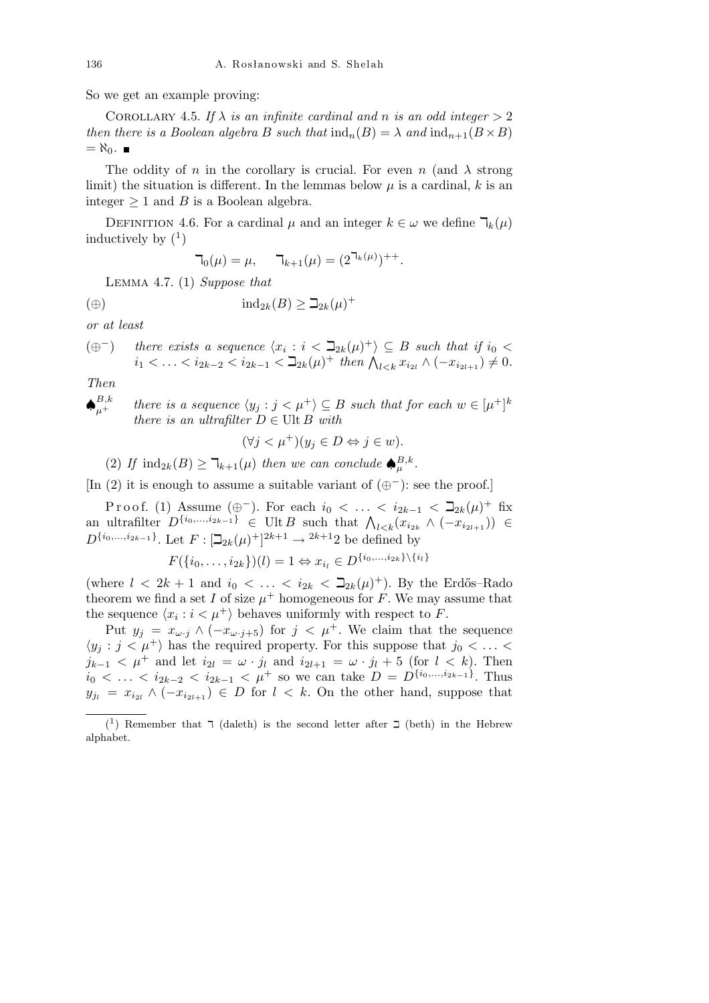So we get an example proving:

COROLLARY 4.5. If  $\lambda$  *is an infinite cardinal and n is an odd integer*  $> 2$ *then there is a Boolean algebra B such that*  $\text{ind}_n(B) = \lambda$  *and*  $\text{ind}_{n+1}(B \times B)$  $=\aleph_0$ .  $\blacksquare$ 

The oddity of *n* in the corollary is crucial. For even *n* (and  $\lambda$  strong limit) the situation is different. In the lemmas below  $\mu$  is a cardinal,  $k$  is an integer  $\geq 1$  and *B* is a Boolean algebra.

DEFINITION 4.6. For a cardinal  $\mu$  and an integer  $k \in \omega$  we define  $\mathcal{T}_k(\mu)$ inductively by  $(1)$ 

$$
\mathsf{T}_0(\mu) = \mu, \quad \mathsf{T}_{k+1}(\mu) = (2^{\mathsf{T}_k(\mu)})^{++}.
$$

Lemma 4.7. (1) *Suppose that*

$$
(a) \qquad \qquad \text{ind}_{2k}(B) \geq \beth_{2k}(\mu)^+
$$

*or at least*

$$
(\oplus^{-}) \quad \text{there exists a sequence } \langle x_i : i \langle \supseteq_{2k}(\mu)^+ \rangle \subseteq B \text{ such that if } i_0 \langle i_1 \rangle < i_2 \langle \supseteq_{2k-2} \langle i_{2k-1} \rangle \leq i_{2k-1} \langle \supseteq_{2k}(\mu)^+ \text{ then } \bigwedge_{l \leq k} x_{i_{2l}} \wedge (-x_{i_{2l+1}}) \neq 0.
$$

*Then*

*♠ B,k*  $\mu^{B,k}_+$  *there is a sequence*  $\langle y_j : j < \mu^+ \rangle \subseteq B$  *such that for each*  $w \in [\mu^+]^k$ *there is an ultrafilter*  $D \in \text{Ult } B$  *with* 

$$
(\forall j < \mu^+)(y_j \in D \Leftrightarrow j \in w).
$$

(2) If  $\text{ind}_{2k}(B) \geq \mathbb{k}_{k+1}(\mu)$  then we can conclude  $\spadesuit_{\mu}^{B,k}$ .

[In (2) it is enough to assume a suitable variant of (*⊕<sup>−</sup>*): see the proof.]

P r o o f. (1) Assume (⊕<sup>−</sup>). For each  $i_0 < \ldots < i_{2k-1} < \beth_{2k}(\mu)^+$  fix  $P$ <sup>*T*</sup>001. (1) Assume ( $\oplus$  ). For each  $i_0 < ... < i_{2k-1} < \exists_{2k} (\mu)$  in  $\infty$ <br>an ultrafilter  $D$ <sup>{*i*<sub>0</sub>,...,*i*<sub>2*k*-1</sub>}</sub>  $\in$  Ult *B* such that  $\bigwedge_{l \leq k} (x_{i_{2k}} \wedge (-x_{i_{2l+1}})) \in$ </sup>  $D^{\{i_0, ..., i_{2k-1}\}}$ . Let  $F: [\mathbb{Z}_{2k}(\mu)^+]^{2k+1} \to 2k+12$  be defined by

$$
F({i_0, \ldots, i_{2k}})(l) = 1 \Leftrightarrow x_{i_l} \in D^{\{i_0, \ldots, i_{2k}\}\setminus \{i_l\}}
$$

(where  $l < 2k + 1$  and  $i_0 < \ldots < i_{2k} < \beth_{2k}(\mu)^+$ ). By the Erdős–Rado theorem we find a set *I* of size  $\mu^+$  homogeneous for *F*. We may assume that the sequence  $\langle x_i : i < \mu^+ \rangle$  behaves uniformly with respect to *F*.

Put  $y_j = x_{\omega \cdot j} \wedge (-x_{\omega \cdot j+5})$  for  $j < \mu^+$ . We claim that the sequence  $\langle y_j : j < \mu^+ \rangle$  has the required property. For this suppose that  $j_0 < \ldots$ *j*<sub>*k*−1</sub> <  $\mu$ <sup>+</sup> and let *i*<sub>2*l*</sub> =  $\omega$  *· j*<sub>*l*</sub> and *i*<sub>2*l*+1</sub> =  $\omega$  *· j*<sub>*l*</sub> + 5 (for *l* < *k*). Then  $i_0 < \ldots < i_{2k-2} < i_{2k-1} < \mu^+$  so we can take  $D = D^{\{i_0, \ldots, i_{2k-1}\}}$ . Thus  $y_{j_l} = x_{i_{2l}} \wedge (-x_{i_{2l+1}}) \in D$  for  $l \leq k$ . On the other hand, suppose that

<sup>(&</sup>lt;sup>1</sup>) Remember that  $\bar{\phantom{a}}$  (daleth) is the second letter after  $\bar{\phantom{a}}$  (beth) in the Hebrew alphabet.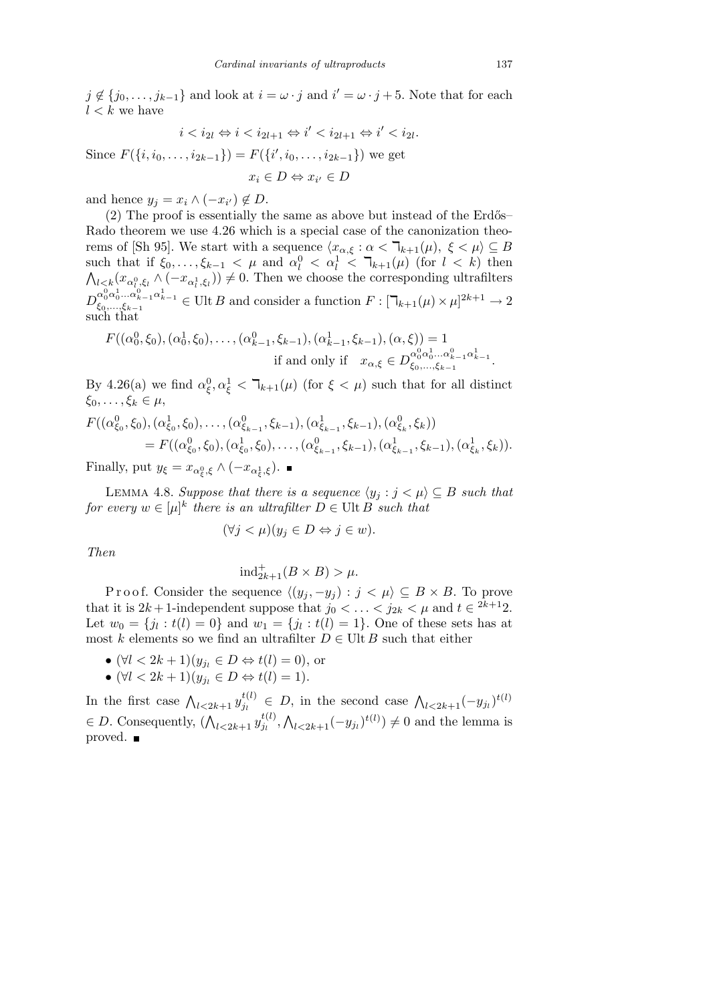*j* ∉ {*j*<sub>0</sub>, . . . , *j*<sub>*k*−1</sub>} and look at *i* =  $\omega \cdot j$  and *i*<sup> $\prime$ </sup> =  $\omega \cdot j$  + 5. Note that for each  $l < k$  we have

$$
i < i_{2l} \Leftrightarrow i < i_{2l+1} \Leftrightarrow i' < i_{2l+1} \Leftrightarrow i' < i_{2l}.
$$

Since  $F({i, i_0, \ldots, i_{2k-1}}) = F({i', i_0, \ldots, i_{2k-1}})$  we get  $x_i \in D \Leftrightarrow x_{i'} \in D$ 

and hence  $y_j = x_i \wedge (-x_{i'}) \notin D$ .

 $(2)$  The proof is essentially the same as above but instead of the Erdős– Rado theorem we use 4.26 which is a special case of the canonization theorems of [Sh 95]. We start with a sequence  $\langle x_{\alpha,\xi} : \alpha < \mathbb{k}_{k+1}(\mu), \xi < \mu \rangle \subseteq B$ such that if  $\xi_0, \ldots, \xi_{k-1} < \mu$  and  $\alpha_l^0 < \alpha_l^1 < \mathbb{k}_{k+1}(\mu)$  (for  $l < k$ ) then  $l < k$ <sup> $(k \alpha_0^0, \xi_l \wedge (-x_{\alpha_l^1}, \xi_l)) \neq 0$ . Then we choose the corresponding ultrafilters</sup>  $D_{\xi_0,\ldots,\xi_{k-1}}^{\alpha_0^0\alpha_0^1\ldots\alpha_{k-1}^0\alpha_{k-1}^1} \in \text{Ult}\, B \text{ and consider a function } F: [\mathbb{I}_{k+1}(\mu)\times\mu]^{2k+1} \to 2$ such that

$$
F((\alpha_0^0, \xi_0), (\alpha_0^1, \xi_0), \dots, (\alpha_{k-1}^0, \xi_{k-1}), (\alpha_{k-1}^1, \xi_{k-1}), (\alpha, \xi)) = 1
$$
  
if and only if  $x_{\alpha, \xi} \in D_{\xi_0, \dots, \xi_{k-1}}^{\alpha_0^0 \alpha_0^1 \dots \alpha_{k-1}^0 \alpha_{k-1}^1}.$ 

By 4.26(a) we find  $\alpha_{\xi}^{0}, \alpha_{\xi}^{1} < \mathcal{T}_{k+1}(\mu)$  (for  $\xi < \mu$ ) such that for all distinct  $\xi_0, \ldots, \xi_k \in \mu$ ,

$$
F((\alpha_{\xi_0}^0, \xi_0), (\alpha_{\xi_0}^1, \xi_0), \dots, (\alpha_{\xi_{k-1}}^0, \xi_{k-1}), (\alpha_{\xi_{k-1}}^1, \xi_{k-1}), (\alpha_{\xi_k}^0, \xi_k))
$$
  
=  $F((\alpha_{\xi_0}^0, \xi_0), (\alpha_{\xi_0}^1, \xi_0), \dots, (\alpha_{\xi_{k-1}}^0, \xi_{k-1}), (\alpha_{\xi_{k-1}}^1, \xi_{k-1}), (\alpha_{\xi_k}^1, \xi_k)).$ 

Finally, put  $y_{\xi} = x_{\alpha_{\xi}^{0}, \xi} \wedge (-x_{\alpha_{\xi}^{1}, \xi}).$ 

LEMMA 4.8. *Suppose that there is a sequence*  $\langle y_j : j \rangle \subseteq B$  *such that for every*  $w \in [\mu]^k$  *there is an ultrafilter*  $D \in \text{Ult } B$  *such that* 

$$
(\forall j < \mu)(y_j \in D \Leftrightarrow j \in w).
$$

*Then*

$$
\text{ind}_{2k+1}^+(B \times B) > \mu.
$$

Proof. Consider the sequence  $\langle (y_j, -y_j) : j < \mu \rangle \subseteq B \times B$ . To prove that it is  $2k + 1$ -independent suppose that  $j_0 < \ldots < j_{2k} < \mu$  and  $t \in 2^{k+1}2$ . Let  $w_0 = \{j_l : t(l) = 0\}$  and  $w_1 = \{j_l : t(l) = 1\}$ . One of these sets has at most *k* elements so we find an ultrafilter  $D \in \text{Ult } B$  such that either

- $(\forall l < 2k+1)(y_{j_l} \in D \Leftrightarrow t(l) = 0)$ , or
- *•* (*∀l <* 2*k* + 1)(*y<sup>j</sup><sup>l</sup> ∈ D ⇔ t*(*l*) = 1).

In the first case  $\bigwedge_{l\leq 2k+1} y_{j_l}^{t(l)}$  $f_{j_l}^{(l)} \in D$ , in the second case  $\bigwedge_{l \leq 2k+1} (-y_{j_l})^{t(l)}$  $\in$  *D*. Consequently,  $(\bigwedge_{l \leq 2k+1} \mathcal{y}_{j_l}^{t(l)})$  $\frac{t(t)}{j_l},$  $\overline{\phantom{a}}$  $l \lt 2k+1$ <sup>(*−y*<sub>*j*</sub></sub>)<sup>*t*(*l*)</sup>)  $\neq 0$  and the lemma is</sup> proved. ■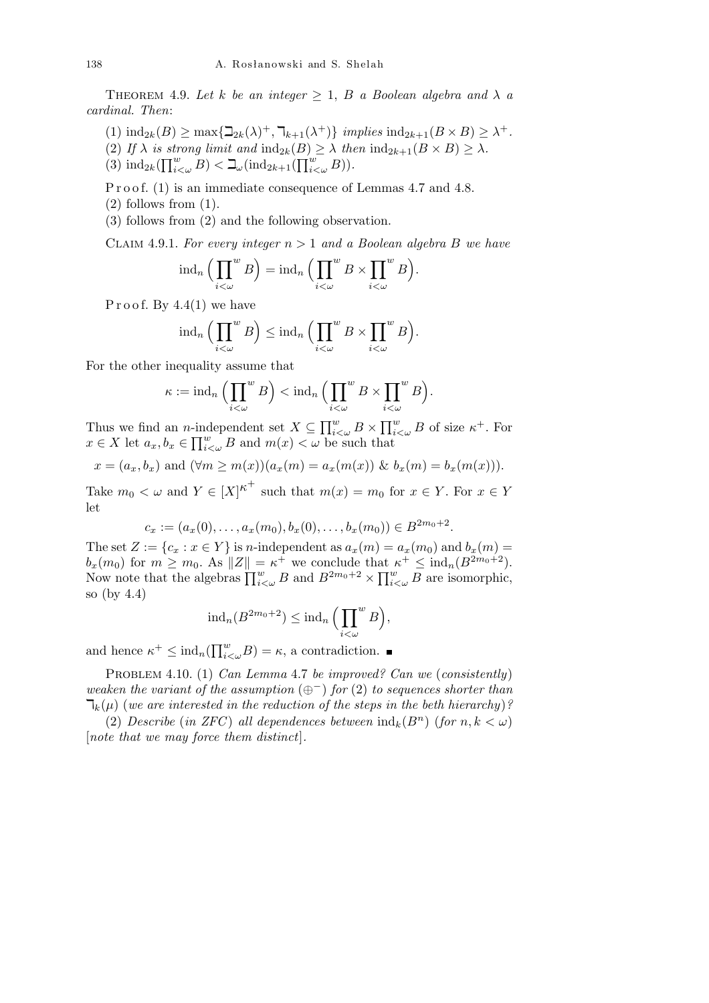THEOREM 4.9. Let *k* be an integer  $\geq 1$ , *B* a Boolean algebra and  $\lambda$  *a cardinal. Then*:

- $(\text{1}) \text{ ind}_{2k}(B) \ge \max\{\sum_{2k}(\lambda)^{+}, \exists_{k+1}(\lambda^{+})\} \text{ implies ind}_{2k+1}(B \times B) \ge \lambda^{+}.$
- (2) If  $\lambda$  *is strong limit and*  $\text{ind}_{2k}(B) \geq \lambda$  *then*  $\text{ind}_{2k+1}(B \times B) \geq \lambda$ *.*  $\frac{D}{\mathsf{\Pi}^w}$
- (2)  $I_J \wedge \textit{us} \textit{su}$ <br>
(3)  $\text{ind}_{2k}(\prod_{i=1}^w$  $\sum_{i<\omega}^w B$ )  $\lt \mathbb{L}_{\omega}(\text{ind}_{2k+1}($  $\binom{w}{i < \omega} B$ ).

P r o o f. (1) is an immediate consequence of Lemmas 4.7 and 4.8.

- $(2)$  follows from  $(1)$ .
- (3) follows from (2) and the following observation.

CLAIM 4.9.1. For every integer  $n > 1$  and a Boolean algebra B we have

$$
\mathrm{ind}_n\Big(\prod_{i<\omega}^w B\Big)=\mathrm{ind}_n\Big(\prod_{i<\omega}^w B\times\prod_{i<\omega}^w B\Big).
$$

Proof. By  $4.4(1)$  we have

$$
\operatorname{ind}_n\Big(\prod_{i<\omega}^w B\Big)\leq \operatorname{ind}_n\Big(\prod_{i<\omega}^w B\times\prod_{i<\omega}^w B\Big).
$$

For the other inequality assume that

$$
\kappa := \operatorname{ind}_n \Big( \prod_{i < \omega}^w B \Big) < \operatorname{ind}_n \Big( \prod_{i < \omega}^w B \times \prod_{i < \omega}^w B \Big).
$$

Thus we find an *n*-independent set  $X \subseteq \prod_{i=1}^{w}$ *i<ω B × i*ndependent set  $X \subseteq \prod_{i<\omega}^w B \times \prod_{i<\omega}^w B$  of size  $\kappa^+$ . For  $x \in X$  let  $a_x, b_x \in \prod_{i<\omega}^w B$  and  $m(x) < \omega$  be such that

$$
x = (a_x, b_x)
$$
 and  $(\forall m \ge m(x))(a_x(m) = a_x(m(x)) \& b_x(m) = b_x(m(x))).$ 

Take  $m_0 < \omega$  and  $Y \in [X]^{\kappa^+}$  such that  $m(x) = m_0$  for  $x \in Y$ . For  $x \in Y$ let

$$
c_x := (a_x(0), \ldots, a_x(m_0), b_x(0), \ldots, b_x(m_0)) \in B^{2m_0+2}.
$$

The set  $Z := \{c_x : x \in Y\}$  is *n*-independent as  $a_x(m) = a_x(m_0)$  and  $b_x(m) = a_x(m_0)$  $b_x(m_0)$  for  $m \geq m_0$ . As  $||Z|| = \kappa^+$  we conclude that  $\kappa^+ \leq \text{ind}_n(B^{2m_0+2})$ .<br>Now note that the algebras  $\prod_{i<\omega}^w B$  and  $B^{2m_0+2} \times \prod_{i<\omega}^w B$  are isomorphic,  $w_{i\lt\omega}$  *B* are isomorphic, so (by 4.4)

$$
\mathrm{ind}_n(B^{2m_0+2}) \leq \mathrm{ind}_n\Big(\prod_{i<\omega}^w B\Big),
$$

and hence  $\kappa^+ \leq \text{ind}_n(\prod_{i=1}^w$  $\sum_{i<\omega}^{w}B$ ) = *κ*, a contradiction.

Problem 4.10. (1) *Can Lemma* 4.7 *be improved? Can we* (*consistently*) *weaken the variant of the assumption* (*⊕<sup>−</sup>*) *for* (2) *to sequences shorter than*  $\mathcal{T}_{k}(\mu)$  (we are interested in the reduction of the steps in the beth hierarchy)?

(2) *Describe* (*in ZFC*) *all dependences between*  $\text{ind}_k(B^n)$  (*for*  $n, k < \omega$ ) [*note that we may force them distinct*]*.*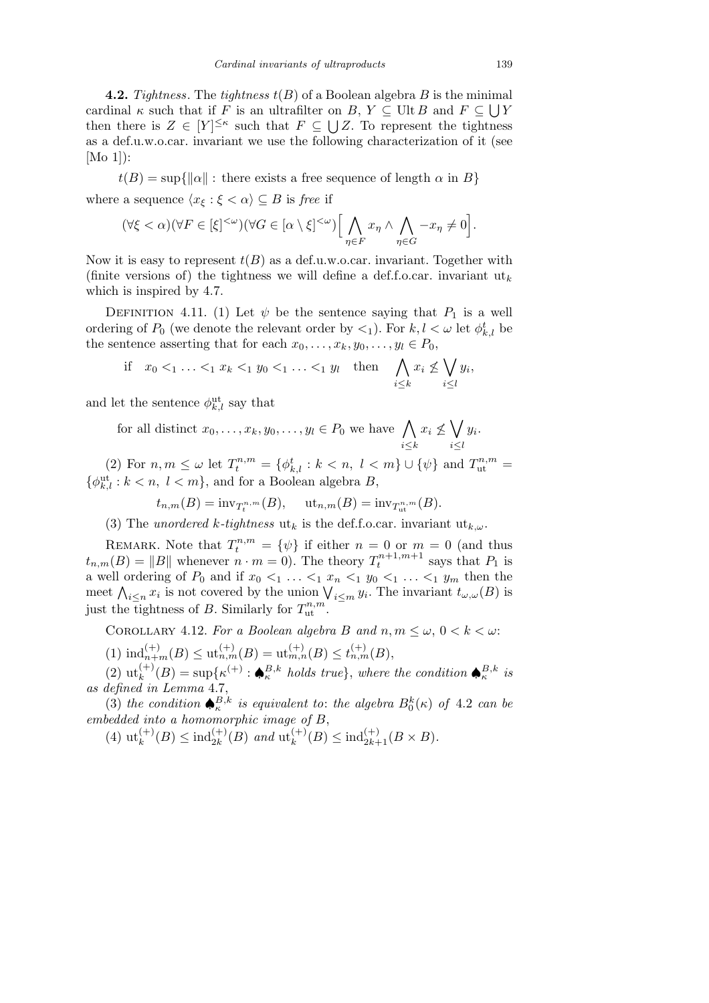**4.2.** *Tightness*. The *tightness*  $t(B)$  of a Boolean algebra  $B$  is the minimal cardinal  $\kappa$  such that if *F* is an ultrafilter on *B*,  $Y \subseteq$  Ult *B* and  $F \subseteq \bigcup Y$ then there is  $Z \in [Y]^{\leq \kappa}$  such that  $F \subseteq \bigcup Z$ . To represent the tightness as a def.u.w.o.car. invariant we use the following characterization of it (see [Mo 1]):

 $t(B) = \sup\{\|\alpha\| : \text{there exists a free sequence of length } \alpha \text{ in } B\}$ where a sequence  $\langle x_{\xi} : \xi < \alpha \rangle \subseteq B$  is *free* if

$$
(\forall \xi < \alpha)(\forall F \in [\xi]^{<\omega})(\forall G \in [\alpha \setminus \xi]^{<\omega}) \Big[ \bigwedge_{\eta \in F} x_{\eta} \wedge \bigwedge_{\eta \in G} -x_{\eta} \neq 0 \Big].
$$

Now it is easy to represent  $t(B)$  as a def.u.w.o.car. invariant. Together with (finite versions of) the tightness we will define a def.f.o.car. invariant  $\mathbf{u}_k$ which is inspired by 4.7.

DEFINITION 4.11. (1) Let  $\psi$  be the sentence saying that  $P_1$  is a well ordering of  $P_0$  (we denote the relevant order by  $\lt_1$ ). For  $k, l \lt \omega$  let  $\phi_{k, l}^t$  be the sentence asserting that for each  $x_0, \ldots, x_k, y_0, \ldots, y_l \in P_0$ ,  $\ddot{\phantom{0}}$ 

if 
$$
x_0 <_1 \ldots <_1 x_k <_1 y_0 <_1 \ldots <_1 y_l
$$
 then  $\bigwedge_{i \leq k} x_i \nleq \bigvee_{i \leq l} y_i$ ,

and let the sentence  $\phi_{k,l}^{\text{ut}}$  say that

for all distinct  $x_0, \ldots, x_k, y_0, \ldots, y_l \in P_0$  we have  $\bigwedge$ *i≤k*  $x_i \nleq$  $\ddot{\phantom{0}}$ *i≤l yi .*

(2) For  $n, m \leq \omega$  let  $T_t^{n,m} = {\phi_{k,l}^t : k < n, l < m} \cup {\psi}$  and  $T_{\text{ut}}^{n,m} =$  $\{\phi_{k,l}^{\text{ut}} : k < n, l < m\}$ , and for a Boolean algebra *B*,

$$
t_{n,m}(B) = inv_{T_t^{n,m}}(B), \quad ut_{n,m}(B) = inv_{T_{ut}^{n,m}}(B).
$$

(3) The *unordered k*-tightness  $\mathbf{u}_k$  is the def.f.o.car. invariant  $\mathbf{u}_{k,\omega}$ .

REMARK. Note that  $T_t^{n,m} = {\psi}$  if either  $n = 0$  or  $m = 0$  (and thus  $t_{n,m}(B) = \|B\|$  whenever  $n \cdot m = 0$ ). The theory  $T_t^{n+1,m+1}$  says that  $P_1$  is a well ordering of  $P_0$  and if  $x_0 <_1 \ldots <_1 x_n <_1 y_0 <_1 \ldots <_1 y_m$  then the a went ordering of  $F_0$  and if  $x_0 <_1 \ldots <_1 x_n <_1 y_0 <_1 \ldots <_1 y_m$  then the meet  $\bigwedge_{i \leq n} x_i$  is not covered by the union  $\bigvee_{i \leq m} y_i$ . The invariant  $t_{\omega,\omega}(B)$  is just the tightness of *B*. Similarly for  $T_{\text{ut}}^{n,m}$ .

COROLLARY 4.12. *For a Boolean algebra B* and  $n, m \leq \omega, 0 < k < \omega$ :

 $(1) \text{ind}_{n+m}^{(+)}(B) \leq \text{ut}_{n,m}^{(+)}(B) = \text{ut}_{m,n}^{(+)}(B) \leq t_{n,m}^{(+)}(B),$ 

 $(2)$   $\mathrm{ut}_{k}^{(+)}(B) = \mathrm{sup}_{k} \{ \kappa^{(+)} : \bigoplus_{\kappa}^{B,k} \text{ holds true} \}, \text{ where the condition } \bigoplus_{\kappa}^{B,k} \text{ is }$ *as defined in Lemma* 4.7,

(3) *the condition*  $\bigoplus_{\kappa}^{B,k}$  *is equivalent to: the algebra*  $B_0^k(\kappa)$  *of* 4.2 *can be embedded into a homomorphic image of B*,

 $(4)$   $\text{ut}_{k}^{(+)}(B) \leq \text{ind}_{2k}^{(+)}(B)$  *and*  $\text{ut}_{k}^{(+)}(B) \leq \text{ind}_{2k+1}^{(+)}(B \times B)$ .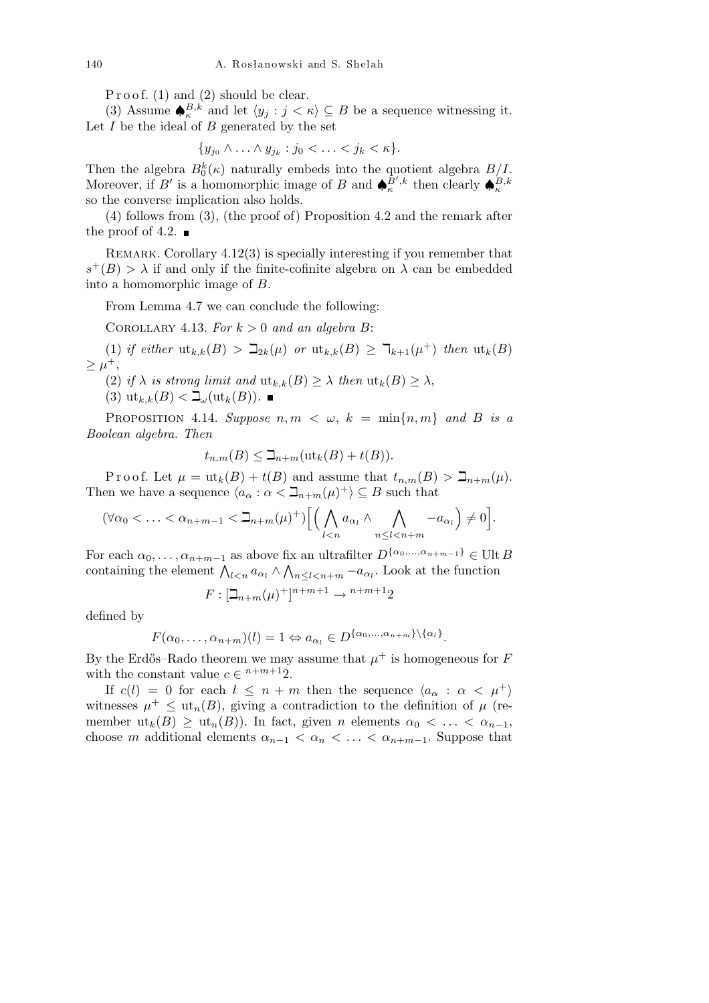Proof.  $(1)$  and  $(2)$  should be clear.

(3) Assume  $\bigoplus_{\kappa} B,k$  and let  $\langle y_j : j < \kappa \rangle \subseteq B$  be a sequence witnessing it. Let  $\overrightarrow{I}$  be the ideal of  $\overrightarrow{B}$  generated by the set

$$
\{y_{j_0} \wedge \ldots \wedge y_{j_k} : j_0 < \ldots < j_k < \kappa\}.
$$

Then the algebra  $B_0^k(\kappa)$  naturally embeds into the quotient algebra  $B/I$ . Moreover, if *B'* is a homomorphic image of *B* and  $\oint_{\kappa}^{\hat{B}',k}$  then clearly  $\oint_{\kappa}^{B,k}$ so the converse implication also holds.

(4) follows from (3), (the proof of) Proposition 4.2 and the remark after the proof of 4.2.  $\blacksquare$ 

REMARK. Corollary  $4.12(3)$  is specially interesting if you remember that  $s^+(B) > \lambda$  if and only if the finite-cofinite algebra on  $\lambda$  can be embedded into a homomorphic image of *B*.

From Lemma 4.7 we can conclude the following:

COROLLARY 4.13. For  $k > 0$  and an algebra B:

 $(1)$  *if either*  $\text{ut}_{k,k}(B) > \mathbb{Z}_{2k}(\mu)$  *or*  $\text{ut}_{k,k}(B) \geq \mathbb{Z}_{k+1}(\mu^+)$  *then*  $\text{ut}_k(B)$  $\geq \mu^+,$ 

- (2) *if*  $\lambda$  *is strong limit and*  $\text{ut}_{k,k}(B) \geq \lambda$  *then*  $\text{ut}_k(B) \geq \lambda$ ,
- $(3)$   $\mathrm{ut}_{k,k}(B) < \mathbb{L}_{\omega}(\mathrm{ut}_k(B)).$

**PROPOSITION** 4.14. *Suppose*  $n, m \lt \omega, k = \min\{n, m\}$  and B is a *Boolean algebra. Then*

$$
t_{n,m}(B) \leq \beth_{n+m}(\text{ut}_k(B) + t(B)).
$$

Proof. Let  $\mu = \text{ut}_k(B) + t(B)$  and assume that  $t_{n,m}(B) > \mathbb{Z}_{n+m}(\mu)$ . Then we have a sequence  $\langle a_{\alpha} : \alpha < \mathbb{I}_{n+m}(\mu)^{+} \rangle \subseteq B$  such that

$$
(\forall \alpha_0 < \ldots < \alpha_{n+m-1} < \beth_{n+m}(\mu)^+) \Big[ \Big( \bigwedge_{l < n} a_{\alpha_l} \land \bigwedge_{n \leq l < n+m} -a_{\alpha_l} \Big) \neq 0 \Big].
$$

For each  $\alpha_0, \ldots, \alpha_{n+m-1}$  as above fix an ultrafilter  $D^{\{\alpha_0, \ldots, \alpha_{n+m-1}\}} \in \text{Ult } B$ For each  $\alpha_0, \ldots, \alpha_{n+m-1}$  as above itx an unranner  $D^{(2)}$ ,  $\ldots, \ldots, n+m-1} \in \text{Or}$ .<br>containing the element  $\bigwedge_{l \leq n} a_{\alpha_l} \wedge \bigwedge_{n \leq l \leq n+m} -a_{\alpha_l}$ . Look at the function

$$
F: [\beth_{n+m}(\mu)^+]^{n+m+1} \to {}^{n+m+1}2
$$

defined by

$$
F(\alpha_0,\ldots,\alpha_{n+m})(l)=1 \Leftrightarrow a_{\alpha_l} \in D^{\{\alpha_0,\ldots,\alpha_{n+m}\}\setminus\{\alpha_l\}}.
$$

By the Erdős–Rado theorem we may assume that  $\mu^+$  is homogeneous for F with the constant value  $c \in \in^{n+m+1}2$ .

If  $c(l) = 0$  for each  $l \leq n+m$  then the sequence  $\langle a_{\alpha} : \alpha \langle \mu^+ \rangle$ witnesses  $\mu^+ \leq \mathrm{ut}_n(B)$ , giving a contradiction to the definition of  $\mu$  (remember  $ut_k(B) \geq ut_n(B)$ ). In fact, given *n* elements  $\alpha_0 < \ldots < \alpha_{n-1}$ , choose *m* additional elements  $\alpha_{n-1} < \alpha_n < \ldots < \alpha_{n+m-1}$ . Suppose that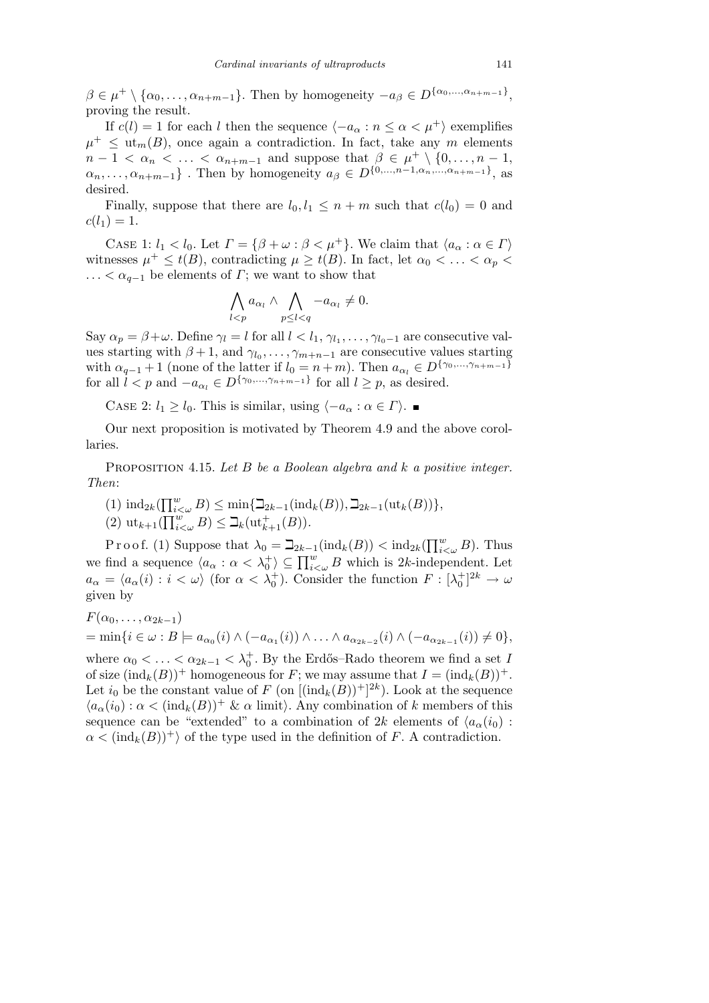$\beta \in \mu^+ \setminus {\alpha_0, \ldots, \alpha_{n+m-1}}$ . Then by homogeneity  $-a_\beta \in D^{\{\alpha_0, \ldots, \alpha_{n+m-1}\}},$ proving the result.

If  $c(l) = 1$  for each *l* then the sequence  $\langle -a_{\alpha} : n \leq \alpha < \mu^+ \rangle$  exemplifies  $\mu^+ \leq \text{ut}_m(B)$ , once again a contradiction. In fact, take any *m* elements  $n-1 < \alpha_n < \ldots < \alpha_{n+m-1}$  and suppose that  $\beta \in \mu^+ \setminus \{0, \ldots, n-1\}$  $\{\alpha_n,\ldots,\alpha_{n+m-1}\}\.$  Then by homogeneity  $a_{\beta} \in D^{\{0,\ldots,n-1,\alpha_n,\ldots,\alpha_{n+m-1}\}}$ , as desired.

Finally, suppose that there are  $l_0, l_1 \leq n+m$  such that  $c(l_0) = 0$  and  $c(l_1) = 1.$ 

CASE 1:  $l_1 < l_0$ . Let  $\Gamma = {\beta + \omega : \beta < \mu^+}$ . We claim that  $\langle a_\alpha : \alpha \in \Gamma \rangle$ witnesses  $\mu^+ \leq t(B)$ , contradicting  $\mu \geq t(B)$ . In fact, let  $\alpha_0 < \ldots < \alpha_p <$  $\dots < \alpha_{q-1}$  be elements of *Γ*; we want to show that

$$
\bigwedge_{l
$$

Say  $\alpha_p = \beta + \omega$ . Define  $\gamma_l = l$  for all  $l < l_1, \gamma_{l_1}, \dots, \gamma_{l_0-1}$  are consecutive values starting with  $\beta + 1$ , and  $\gamma_{l_0}, \ldots, \gamma_{m+n-1}$  are consecutive values starting with  $\alpha_{q-1} + 1$  (none of the latter if  $l_0 = n + m$ ). Then  $a_{\alpha_l} \in D^{\{\gamma_0, \ldots, \gamma_{n+m-1}\}}$ for all  $l < p$  and  $-a_{\alpha_l} \in D^{\{\gamma_0, \ldots, \gamma_{n+m-1}\}}$  for all  $l \geq p$ , as desired.

CASE 2:  $l_1$  ≥  $l_0$ . This is similar, using  $\langle -a_\alpha : \alpha \in \Gamma \rangle$ . ■

Our next proposition is motivated by Theorem 4.9 and the above corollaries.

Proposition 4.15. *Let B be a Boolean algebra and k a positive integer. Then*:

- $(1) \text{ ind}_{2k}(\prod_{i=1}^{w}$  $\sum_{i<\omega}^{w} B$ )  $\leq \min\{\sum_{2k-1}(\text{ind}_k(B)), \sum_{2k-1}(\text{ut}_k(B))\},\$
- $(2)$  ut<sub>k+1</sub>( $\prod_{i<\omega}^{w} B$ )  $\leq \prod_{k=1}^{m}$ ( $B$ ))*.*<br> $(3)$  ut<sub>k+1</sub>( $\prod_{i<\omega}^{w} B$ )  $\leq \sum_{k}$ ( $\text{ut}_{k+1}^{+}(B)$ ).

Proof. (1) Suppose that  $\lambda_0 = \beth_{2k-1}(\text{ind}_k(B)) < \text{ind}_{2k}(\prod_{i=1}^w A_i)$  $_{i<\omega}^w$  *B*). Thus we find a sequence  $\langle a_{\alpha} : \alpha < \lambda_0^+ \rangle \subseteq \prod_{i<\omega}^w B$  which is 2*k*-independent. Let  $a_{\alpha} = \langle a_{\alpha}(i) : i < \omega \rangle$  (for  $\alpha < \lambda_0^+$ ). Consider the function  $F : [\lambda_0^+]^{2k} \to \omega$ given by

$$
F(\alpha_0,\ldots,\alpha_{2k-1})
$$
  
= min{ $i \in \omega : B \models a_{\alpha_0}(i) \land (-a_{\alpha_1}(i)) \land \ldots \land a_{\alpha_{2k-2}}(i) \land (-a_{\alpha_{2k-1}}(i)) \neq 0$ },

where  $\alpha_0 < \ldots < \alpha_{2k-1} < \lambda_0^+$ . By the Erdős–Rado theorem we find a set *I* of size  $(\text{ind}_k(B))^+$  homogeneous for *F*; we may assume that  $I = (\text{ind}_k(B))^+$ . Let  $i_0$  be the constant value of  $F$  (on  $[(\text{ind}_k(B))^+]^{2k}$ ). Look at the sequence  $\langle a_{\alpha}(i_0) : \alpha < (ind_k(B))^+ \& \alpha \text{ limit}$ . Any combination of *k* members of this sequence can be "extended" to a combination of 2*k* elements of  $\langle a_{\alpha}(i_0) \rangle$ :  $\alpha < (ind_k(B))^+$  of the type used in the definition of *F*. A contradiction.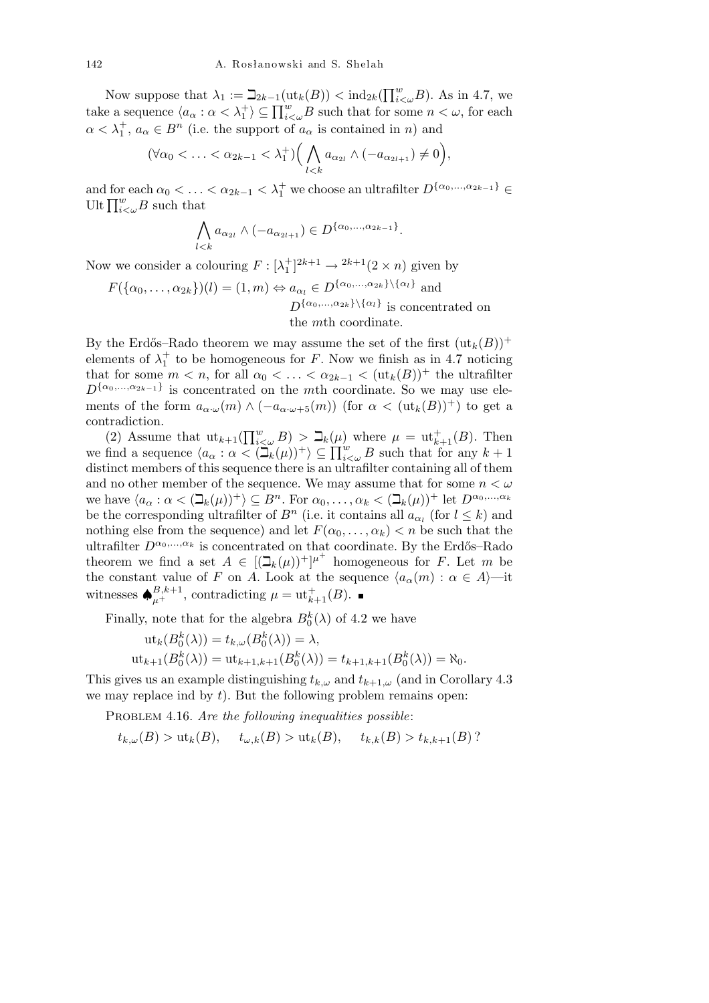Now suppose that  $\lambda_1 := \beth_{2k-1}(\text{ut}_k(B)) < \text{ind}_{2k}(\prod_{i=1}^w A_i)$  $_{i<\omega}^w$ *B*). As in 4.7, we The suppose that  $\lambda_1 := \frac{2k-1}{ak}(u_k(D)) \leq \ln 2k \cdot (1+i\zeta_w D)$ . As in 4.7, we take a sequence  $\langle a_\alpha : \alpha < \lambda_1^+ \rangle \subseteq \prod_{i<\omega}^w B$  such that for some  $n < \omega$ , for each  $\alpha < \lambda_1^+, a_\alpha \in B^n$  (i.e. the support of  $a_\alpha$  is contained in *n*) and

$$
(\forall \alpha_0 < \ldots < \alpha_{2k-1} < \lambda_1^+) \Big( \bigwedge_{l < k} a_{\alpha_{2l}} \wedge (-a_{\alpha_{2l+1}}) \neq 0 \Big),
$$

and for each  $\alpha_0 < \ldots < \alpha_{2k-1} < \lambda_1^+$  we choose an ultrafilter  $D^{\{\alpha_0, \ldots, \alpha_{2k-1}\}} \in$ and for each  $\alpha_0 < \dots$ <br>Ult  $\prod_{i<\omega}^w B$  such that

$$
\bigwedge_{l
$$

Now we consider a colouring  $F : [\lambda_1^+]^{2k+1} \to {}^{2k+1}(2 \times n)$  given by

$$
F(\{\alpha_0, \ldots, \alpha_{2k}\})(l) = (1, m) \Leftrightarrow a_{\alpha_l} \in D^{\{\alpha_0, \ldots, \alpha_{2k}\}\setminus \{\alpha_l\}}
$$
 and 
$$
D^{\{\alpha_0, \ldots, \alpha_{2k}\}\setminus \{\alpha_l\}}
$$
 is concentrated on the *m*th coordinate.

By the Erdős–Rado theorem we may assume the set of the first  $(\text{ut}_k(B))^+$ elements of  $\lambda_1^+$  to be homogeneous for *F*. Now we finish as in 4.7 noticing that for some  $m < n$ , for all  $\alpha_0 < \ldots < \alpha_{2k-1} < (\text{ut}_k(B))^+$  the ultrafilter  $D^{\{\alpha_0,\ldots,\alpha_{2k-1}\}}$  is concentrated on the *m*th coordinate. So we may use elements of the form  $a_{\alpha\cdot\omega}(m) \wedge (-a_{\alpha\cdot\omega+5}(m))$  (for  $\alpha < (\text{ut}_k(B))^+$ ) to get a contradiction.

contradiction.<br>
(2) Assume that  $\text{ut}_{k+1}(\prod_{i<\omega}^w B) > \mathbb{Z}_k(\mu)$  where  $\mu = \text{ut}_{k+1}^+(B)$ . Then<br>
we find a sequence  $\langle a_{\alpha} : \alpha < (\mathbb{Z}_k(\mu))^+ \rangle \subseteq \prod_{i<\omega}^w B$  such that for any  $k+1$ distinct members of this sequence there is an ultrafilter containing all of them and no other member of the sequence. We may assume that for some *n < ω* we have  $\langle a_{\alpha} : \alpha < (\mathbb{I}_k(\mu))^+ \rangle \subseteq B^n$ . For  $\alpha_0, \ldots, \alpha_k < (\mathbb{I}_k(\mu))^+$  let  $D^{\alpha_0, \ldots, \alpha_k}$ be the corresponding ultrafilter of  $B<sup>n</sup>$  (i.e. it contains all  $a_{\alpha_l}$  (for  $l \leq k$ ) and nothing else from the sequence) and let  $F(\alpha_0, \ldots, \alpha_k) < n$  be such that the ultrafilter  $D^{\alpha_0,...,\alpha_k}$  is concentrated on that coordinate. By the Erdős–Rado theorem we find a set  $A \in [(\mathcal{Q}_k(\mu))^+]^{\mu^+}$  homogeneous for *F*. Let *m* be the constant value of *F* on *A*. Look at the sequence  $\langle a_{\alpha}(m) : \alpha \in A \rangle$ —it witnesses  $\bigoplus_{\mu}^{B,k+1}$ , contradicting  $\mu = \text{ut}_{k+1}^+(B)$ .

Finally, note that for the algebra  $B_0^k(\lambda)$  of 4.2 we have

$$
\begin{aligned} \n\text{ut}_k(B_0^k(\lambda)) &= t_{k,\omega}(B_0^k(\lambda)) = \lambda, \\ \n\text{ut}_{k+1}(B_0^k(\lambda)) &= \text{ut}_{k+1,k+1}(B_0^k(\lambda)) = t_{k+1,k+1}(B_0^k(\lambda)) = \aleph_0. \n\end{aligned}
$$

This gives us an example distinguishing  $t_{k,\omega}$  and  $t_{k+1,\omega}$  (and in Corollary 4.3) we may replace ind by *t*). But the following problem remains open:

PROBLEM 4.16. *Are the following inequalities possible*:

 $t_{k,\omega}(B) > \mathrm{ut}_k(B), \quad t_{\omega,k}(B) > \mathrm{ut}_k(B), \quad t_{k,k}(B) > t_{k,k+1}(B)$ ?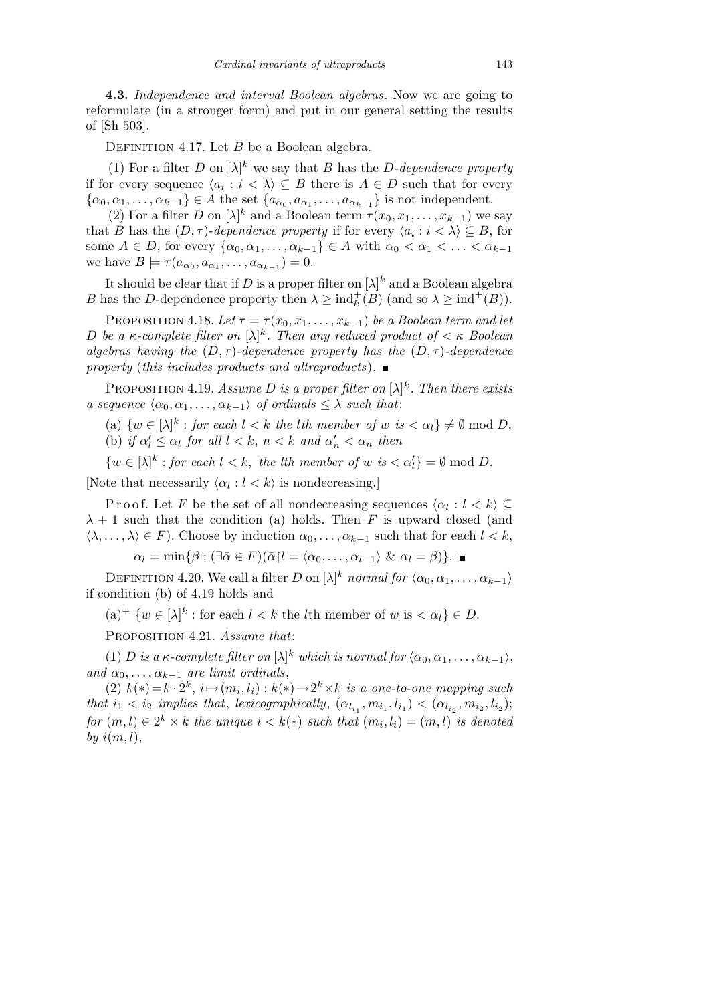**4.3.** *Independence and interval Boolean algebras*. Now we are going to reformulate (in a stronger form) and put in our general setting the results of [Sh 503].

DEFINITION 4.17. Let *B* be a Boolean algebra.

(1) For a filter *D* on  $[\lambda]^k$  we say that *B* has the *D-dependence property* if for every sequence  $\langle a_i : i \langle \rangle \subseteq B$  there is  $A \in D$  such that for every  $\{\alpha_0, \alpha_1, \ldots, \alpha_{k-1}\}\in A$  the set  $\{a_{\alpha_0}, a_{\alpha_1}, \ldots, a_{\alpha_{k-1}}\}$  is not independent.

(2) For a filter *D* on  $[\lambda]^k$  and a Boolean term  $\tau(x_0, x_1, \ldots, x_{k-1})$  we say that *B* has the  $(D, \tau)$ -*dependence property* if for every  $\langle a_i : i \rangle \subseteq B$ , for some  $A \in D$ , for every  $\{\alpha_0, \alpha_1, \ldots, \alpha_{k-1}\} \in A$  with  $\alpha_0 < \alpha_1 < \ldots < \alpha_{k-1}$ we have  $B \models \tau(a_{\alpha_0}, a_{\alpha_1}, \dots, a_{\alpha_{k-1}}) = 0.$ 

It should be clear that if *D* is a proper filter on  $[\lambda]^k$  and a Boolean algebra *B* has the *D*-dependence property then  $\lambda \geq \text{ind}_{k}^{+}(B)$  (and so  $\lambda \geq \text{ind}^{+}(B)$ ).

PROPOSITION 4.18. Let  $\tau = \tau(x_0, x_1, \ldots, x_{k-1})$  be a Boolean term and let *D be a κ*-complete filter on  $[\lambda]^k$ . Then any reduced product of  $\lt \kappa$  Boolean *algebras having the*  $(D, \tau)$ *-dependence property has the*  $(D, \tau)$ *-dependence property* (*this includes products and ultraproducts*)*.*

PROPOSITION 4.19. *Assume D is a proper filter on*  $[\lambda]^k$ *. Then there exists a sequence*  $\langle \alpha_0, \alpha_1, \ldots, \alpha_{k-1} \rangle$  *of ordinals*  $\leq \lambda$  *such that*:

(a)  $\{w \in [\lambda]^k : \text{for each } l < k \text{ the } l\text{th member of } w \text{ is } \langle \alpha_l \rangle \} \neq \emptyset \text{ mod } D,$ 

(b) *if*  $\alpha'_l \leq \alpha_l$  *for all*  $l < k$ ,  $n < k$  *and*  $\alpha'_n < \alpha_n$  *then* 

 $\{w \in [\lambda]^k : \text{for each } l < k, \text{ the } l\text{th member of } w \text{ is } \langle \alpha_l' \rangle = \emptyset \text{ mod } D.$ 

[Note that necessarily  $\langle \alpha_l : l \langle k \rangle$  is nondecreasing.]

Proof. Let *F* be the set of all nondecreasing sequences  $\langle \alpha_l : l \leq k \rangle \subseteq$  $\lambda + 1$  such that the condition (a) holds. Then *F* is upward closed (and  $\langle \lambda, \ldots, \lambda \rangle \in F$ . Choose by induction  $\alpha_0, \ldots, \alpha_{k-1}$  such that for each  $l < k$ ,

 $\alpha_l = \min\{\beta : (\exists \bar{\alpha} \in F)(\bar{\alpha} | l = \langle \alpha_0, \ldots, \alpha_{l-1} \rangle \& \alpha_l = \beta)\}.$ 

DEFINITION 4.20. We call a filter *D* on  $[\lambda]^k$  *normal for*  $\langle \alpha_0, \alpha_1, \ldots, \alpha_{k-1} \rangle$ if condition (b) of 4.19 holds and

 $(a)^+$   $\{w \in [\lambda]^k : \text{for each } l < k \text{ the } l\text{th member of } w \text{ is } \langle \alpha_l \rangle \in D.$ 

Proposition 4.21. *Assume that*:

(1) *D is a*  $\kappa$ *-complete filter on*  $[\lambda]^k$  *which is normal for*  $\langle \alpha_0, \alpha_1, \ldots, \alpha_{k-1} \rangle$ , *and*  $\alpha_0, \ldots, \alpha_{k-1}$  *are limit ordinals*,

 $(2)$   $k(*)=k \cdot 2^k$ ,  $i \mapsto (m_i, l_i): k(*) \rightarrow 2^k \times k$  *is a one-to-one mapping such* that  $i_1 < i_2$  implies that, lexicographically,  $(\alpha_{l_{i_1}}, m_{i_1}, l_{i_1}) < (\alpha_{l_{i_2}}, m_{i_2}, l_{i_2});$  $for (m, l) \in 2^k \times k$  *the unique*  $i < k(*)$  *such that*  $(m_i, l_i) = (m, l)$  *is denoted by i*(*m, l*),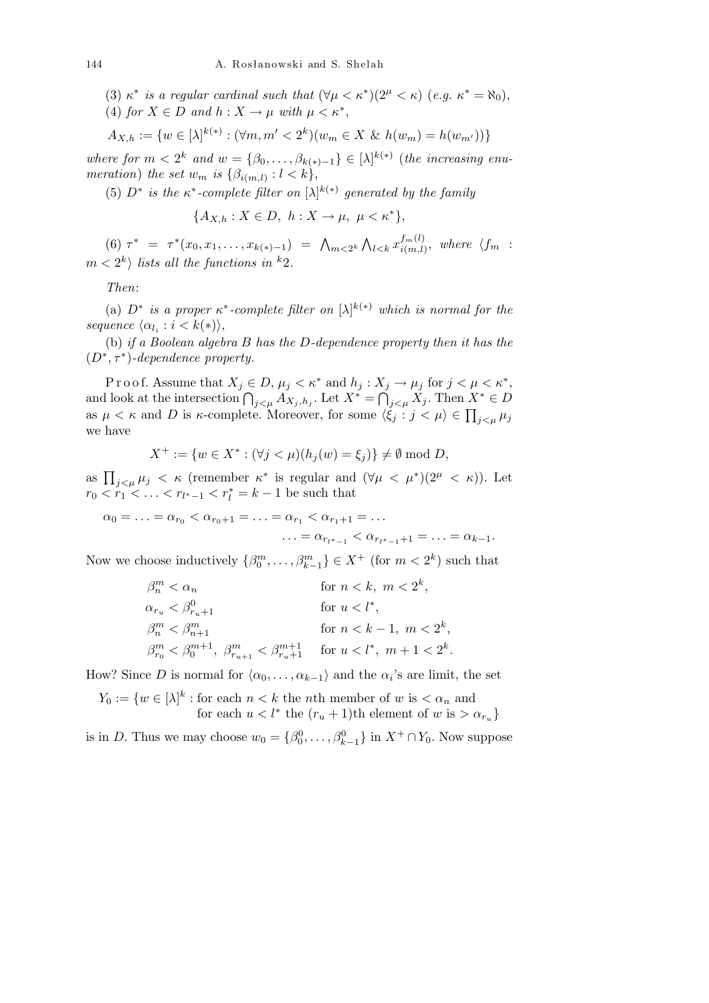- (3)  $\kappa^*$  *is a regular cardinal such that*  $(\forall \mu < \kappa^*)(2^{\mu} < \kappa)$  (*e.g.*  $\kappa^* = \aleph_0$ ),
- (4) *for*  $X \in D$  *and*  $h: X \to \mu$  *with*  $\mu \lt \kappa^*$ ,

$$
A_{X,h} := \{ w \in [\lambda]^{k(*)} : (\forall m, m' < 2^k)(w_m \in X \& h(w_m) = h(w_{m'})) \}
$$

*where for*  $m < 2^k$  and  $w = \{\beta_0, \ldots, \beta_{k(*)-1}\} \in [\lambda]^{k(*)}$  (*the increasing enumeration*) *the set*  $w_m$  *is*  $\{\beta_{i(m,l)} : l < k\},\}$ 

(5)  $D^*$  is the  $\kappa^*$ -complete filter on  $[\lambda]^{k(*)}$  generated by the family

$$
\{A_{X,h}: X \in D, h: X \to \mu, \mu < \kappa^*\},
$$

(6)  $\tau^* = \tau^*(x_0, x_1, \ldots, x_{k(*)-1}) = \Lambda_{m \leq 2^k}$  $\mathbf{v}$  $\sum_{l < k} x^{f_m(l)}_{i(m,l)}$  $\binom{Jm(l)}{i(m,l)},$  where  $\langle f_m :$  $m < 2<sup>k</sup>$  *lists all the functions in* <sup>*k*</sup>2*.* 

*Then*:

(a)  $D^*$  *is a proper*  $\kappa^*$ -complete filter on  $[\lambda]^{k(*)}$  which is normal for the  $sequence \langle \alpha_{l_i} : i < k(*) \rangle$ ,

(b) *if a Boolean algebra B has the D-dependence property then it has the*  $(D^*, \tau^*)$ -dependence property.

P r o o f. Assume that  $X_j \in D$ ,  $\mu_j < \kappa^*$  and  $h_j : X_j \to \mu_j$  for  $j < \mu < \kappa^*$ , and look at the intersection  $\bigcap_{j \leq \mu} A_{X_j, h_j}$ . Let  $X^* = \bigcap_{j \leq \mu} X_j$ . Then  $X^* \in D$ as  $\mu < \kappa$  and *D* is  $\kappa$ -complete. Moreover, for some  $\langle \xi_j : j < \mu \rangle \in \prod_{j < \mu} \mu_j$ we have

$$
X^+ := \{ w \in X^* : (\forall j < \mu)(h_j(w) = \xi_j) \} \neq \emptyset \text{ mod } D,
$$

as  $\prod_{j\leq \mu} \mu_j \leq \kappa$  (remember  $\kappa^*$  is regular and  $(\forall \mu \leq \mu^*)(2^{\mu} \leq \kappa)$ ). Let  $r_0 < r_1 < \ldots < r_{l^*-1} < r_l^* = k-1$  be such that

 $\alpha_0 = \ldots = \alpha_{r_0} < \alpha_{r_0+1} = \ldots = \alpha_{r_1} < \alpha_{r_1+1} = \ldots$  $\ldots = \alpha_{r_{l^*-1}} < \alpha_{r_{l^*-1}+1} = \ldots = \alpha_{k-1}.$ 

Now we choose inductively  $\{\beta_0^m, \ldots, \beta_{k-1}^m\} \in X^+$  (for  $m < 2^k$ ) such that

$$
\begin{aligned} &\beta_n^m < \alpha_n &\text{for } n < k,\ m < 2^k,\\ &\alpha_{r_u} < \beta_{r_u+1}^0 &\text{for } u < l^*,\\ &\beta_n^m < \beta_{n+1}^m &\text{for } n < k-1,\ m < 2^k,\\ &\beta_{r_0}^m < \beta_0^{m+1},\ \beta_{r_{u+1}}^m < \beta_{r_u+1}^{m+1} &\text{for } u < l^*,\ m+1 < 2^k. \end{aligned}
$$

How? Since *D* is normal for  $\langle \alpha_0, \ldots, \alpha_{k-1} \rangle$  and the  $\alpha_i$ 's are limit, the set

$$
Y_0 := \{ w \in [\lambda]^k : \text{for each } n < k \text{ the } n\text{th member of } w \text{ is } \langle \alpha_n \text{ and } \text{for each } u < l^* \text{ the } (r_u + 1)\text{th element of } w \text{ is } \langle \alpha_{r_u} \rangle \}
$$

is in *D*. Thus we may choose  $w_0 = \{\beta_0^0, \ldots, \beta_{k-1}^0\}$  in  $X^+ \cap Y_0$ . Now suppose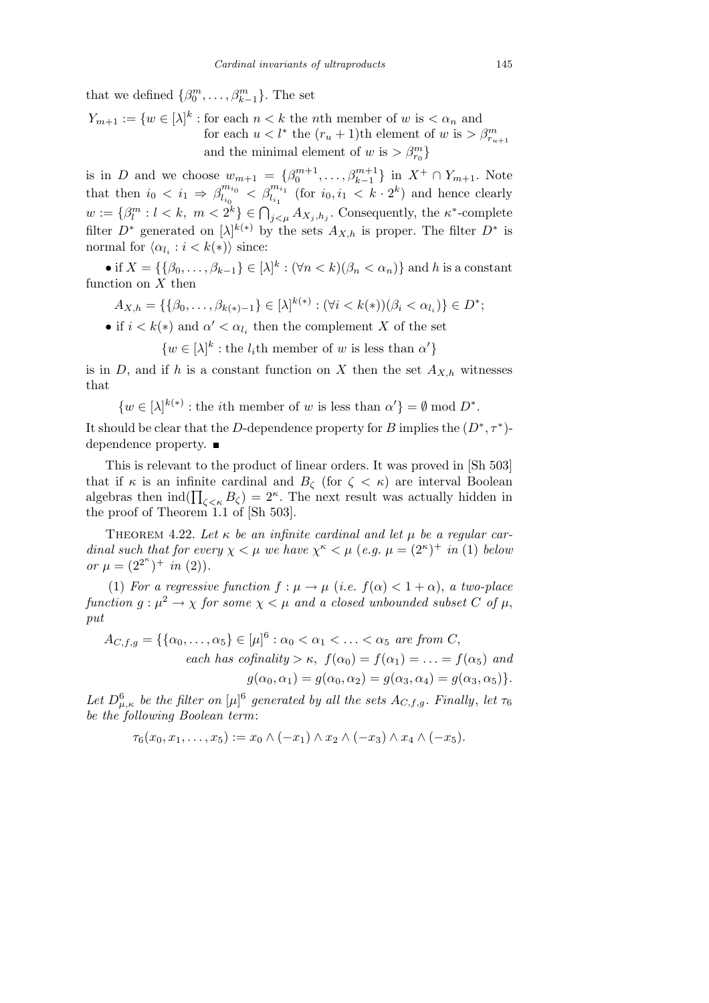that we defined  $\{\beta_0^m, \ldots, \beta_{k-1}^m\}$ . The set

 $Y_{m+1} := \{w \in [\lambda]^k : \text{for each } n < k \text{ the } n \text{th member of } w \text{ is } \langle \alpha_n \rangle \text{ and }$ for each  $u < l^*$  the  $(r_u + 1)$ <sup>th</sup> element of  $w$  is  $> \beta_{r_{u+1}}^m$ and the minimal element of *w* is  $> \beta_{r_0}^m$ 

is in *D* and we choose  $w_{m+1} = {\beta_0^{m+1}, \ldots, \beta_{k-1}^{m+1}}$  in  $X^+ \cap Y_{m+1}$ . Note that then  $i_0 < i_1 \Rightarrow \beta_{l_i}^{m_{i_0}}$  $\int_{l_{i_0}}^{m_{i_0}} \, < \, \beta_{l_{i_1}}^{m_{i_1}} \,$  (for *i*<sub>0</sub>, *i*<sub>1</sub>  $\, < k \cdot 2^k$ ) and hence clearly  $w := \{\beta_l^m : l < k, m < 2^k\} \in \bigcap_{j < \mu} A_{X_j, h_j}$ . Consequently, the *κ*<sup>\*</sup>-complete filter  $D^*$  generated on  $[\lambda]^{k(*)}$  by the sets  $A_{X,h}$  is proper. The filter  $D^*$  is normal for  $\langle \alpha_{l_i} : i < k(*) \rangle$  since:

 $\bullet$  if *X* = {{ $\beta_0, ..., \beta_{k-1}$ } ∈ [ $\lambda$ ]<sup> $k$ </sup> : ( $\forall n < k$ )( $\beta_n < \alpha_n$ )} and *h* is a constant function on *X* then

$$
A_{X,h} = \{ \{\beta_0, \ldots, \beta_{k(*)-1}\} \in [\lambda]^{k(*)} : (\forall i < k(*))(\beta_i < \alpha_{l_i}) \} \in D^*;
$$

• if  $i < k(*)$  and  $\alpha' < \alpha_{l_i}$  then the complement *X* of the set

 $\{w \in [\lambda]^k : \text{the } l_i \text{th member of } w \text{ is less than } \alpha'\}$ 

is in *D*, and if *h* is a constant function on *X* then the set  $A_{X,h}$  witnesses that

 $\{w \in [\lambda]^{k(*)} : \text{the } i\text{th member of } w \text{ is less than } \alpha'\} = \emptyset \text{ mod } D^*.$ 

It should be clear that the *D*-dependence property for *B* implies the  $(D^*, \tau^*)$ dependence property. ■

This is relevant to the product of linear orders. It was proved in [Sh 503] that if  $\kappa$  is an infinite cardinal and  $B_{\zeta}$  (for  $\zeta < \kappa$ ) are interval Boolean that if  $\kappa$  is an immedical and  $D_{\zeta}$  (for  $\zeta \leq \kappa$ ) are interval bootean<br>algebras then  $\text{ind}(\prod_{\zeta \leq \kappa} B_{\zeta}) = 2^{\kappa}$ . The next result was actually hidden in the proof of Theorem 1.1 of [Sh 503].

THEOREM 4.22. Let  $\kappa$  be an infinite cardinal and let  $\mu$  be a regular car*dinal such that for every*  $\chi < \mu$  *we have*  $\chi^{\kappa} < \mu$  (*e.g.*  $\mu = (2^{\kappa})^+$  *in* (1) *below or*  $\mu = (2^{2^{\kappa}})^+$  *in* (2)).

(1) *For a regressive function*  $f : \mu \to \mu$  (*i.e.*  $f(\alpha) < 1 + \alpha$ ), *a two-place function*  $g: \mu^2 \to \chi$  *for some*  $\chi < \mu$  *and a closed unbounded subset C of*  $\mu$ , *put*

$$
A_{C,f,g} = \{ \{ \alpha_0, \dots, \alpha_5 \} \in [\mu]^6 : \alpha_0 < \alpha_1 < \dots < \alpha_5 \text{ are from } C, \\ each \text{ has cofinality} > \kappa, \ f(\alpha_0) = f(\alpha_1) = \dots = f(\alpha_5) \text{ and } \\ g(\alpha_0, \alpha_1) = g(\alpha_0, \alpha_2) = g(\alpha_3, \alpha_4) = g(\alpha_3, \alpha_5) \}.
$$

*Let*  $D_{\mu,\kappa}^6$  *be the filter on*  $[\mu]^6$  generated by all the sets  $A_{C,f,g}$ . Finally, let  $\tau_6$ *be the following Boolean term*:

$$
\tau_6(x_0, x_1, \ldots, x_5) := x_0 \wedge (-x_1) \wedge x_2 \wedge (-x_3) \wedge x_4 \wedge (-x_5).
$$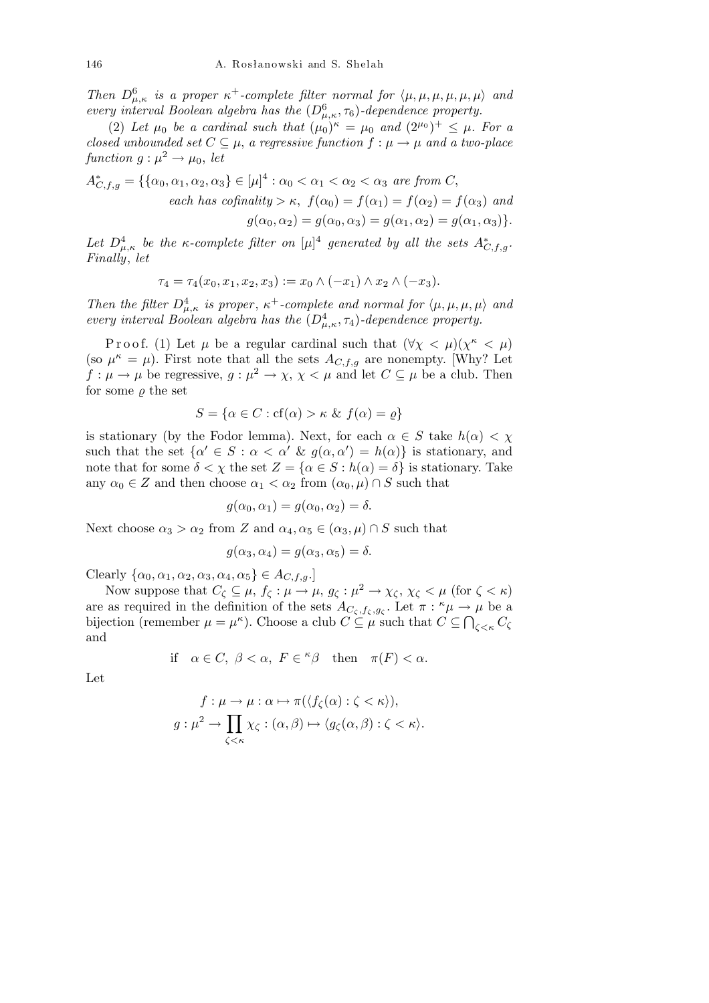*Then*  $D^6_{\mu,\kappa}$  *is a proper*  $\kappa^+$ -complete filter normal for  $\langle \mu, \mu, \mu, \mu, \mu, \mu \rangle$  and *every interval Boolean algebra has the*  $(D_{\mu,\kappa}^6, \tau_6)$ *-dependence property.* 

(2) Let  $\mu_0$  be a cardinal such that  $(\mu_0)^{\kappa} = \mu_0$  and  $(2^{\mu_0})^+ \leq \mu$ . For a *closed unbounded set*  $C \subseteq \mu$ , *a regressive function*  $f : \mu \to \mu$  *and a two-place*  $function g: \mu^2 \rightarrow \mu_0, let$ 

$$
A_{C,f,g}^* = \{ \{ \alpha_0, \alpha_1, \alpha_2, \alpha_3 \} \in [\mu]^4 : \alpha_0 < \alpha_1 < \alpha_2 < \alpha_3 \text{ are from } C,
$$
\n
$$
each \text{ has cofinality} > \kappa, \ f(\alpha_0) = f(\alpha_1) = f(\alpha_2) = f(\alpha_3) \text{ and}
$$
\n
$$
g(\alpha_0, \alpha_2) = g(\alpha_0, \alpha_3) = g(\alpha_1, \alpha_2) = g(\alpha_1, \alpha_3) \}.
$$

Let  $D^4_{\mu,\kappa}$  be the *κ-complete filter on*  $[\mu]^4$  generated by all the sets  $A^*_{C,f,g}$ . *Finally*, *let*

$$
\tau_4 = \tau_4(x_0, x_1, x_2, x_3) := x_0 \wedge (-x_1) \wedge x_2 \wedge (-x_3).
$$

*Then the filter*  $D^4_{\mu,\kappa}$  *is proper,*  $\kappa^+$ -complete and normal for  $\langle \mu, \mu, \mu, \mu \rangle$  and *every interval Boolean algebra has the*  $(D_{\mu,\kappa}^4, \tau_4)$ *-dependence property.* 

P r o o f. (1) Let  $\mu$  be a regular cardinal such that  $(\forall \chi \leq \mu)(\chi^{\kappa} \leq \mu)$ (so  $\mu^k = \mu$ ). First note that all the sets  $A_{C, f, g}$  are nonempty. [Why? Let  $f: \mu \to \mu$  be regressive,  $g: \mu^2 \to \chi, \chi \leq \mu$  and let  $C \subseteq \mu$  be a club. Then for some  $\rho$  the set

$$
S = \{ \alpha \in C : cf(\alpha) > \kappa \ \& \ f(\alpha) = \varrho \}
$$

is stationary (by the Fodor lemma). Next, for each  $\alpha \in S$  take  $h(\alpha) < \chi$ such that the set  $\{\alpha' \in S : \alpha < \alpha' \& g(\alpha, \alpha') = h(\alpha)\}\$ is stationary, and note that for some  $\delta < \chi$  the set  $Z = {\alpha \in S : h(\alpha) = \delta}$  is stationary. Take any  $\alpha_0 \in Z$  and then choose  $\alpha_1 < \alpha_2$  from  $(\alpha_0, \mu) \cap S$  such that

$$
g(\alpha_0, \alpha_1) = g(\alpha_0, \alpha_2) = \delta.
$$

Next choose  $\alpha_3 > \alpha_2$  from *Z* and  $\alpha_4, \alpha_5 \in (\alpha_3, \mu) \cap S$  such that

$$
g(\alpha_3, \alpha_4) = g(\alpha_3, \alpha_5) = \delta.
$$

 $\text{Clearly } \{\alpha_0, \alpha_1, \alpha_2, \alpha_3, \alpha_4, \alpha_5\} \in A_{C, f, g}.$ 

Now suppose that  $C_{\zeta} \subseteq \mu$ ,  $f_{\zeta} : \mu \to \mu$ ,  $g_{\zeta} : \mu^2 \to \chi_{\zeta}$ ,  $\chi_{\zeta} < \mu$  (for  $\zeta < \kappa$ ) are as required in the definition of the sets  $A_{C_\zeta, f_\zeta, g_\zeta}$ . Let  $\pi : \kappa \mu \to \mu$  be a bijection (remember  $\mu = \mu^{\kappa}$ ). Choose a club  $C \subseteq \mu$  such that  $C \subseteq \bigcap_{\zeta \leq \kappa} C_{\zeta}$ and

if 
$$
\alpha \in C
$$
,  $\beta < \alpha$ ,  $F \in {}^{\kappa}\beta$  then  $\pi(F) < \alpha$ .

Let

$$
f: \mu \to \mu: \alpha \mapsto \pi(\langle f_{\zeta}(\alpha) : \zeta < \kappa \rangle),
$$
\n
$$
g: \mu^2 \to \prod_{\zeta < \kappa} \chi_{\zeta} : (\alpha, \beta) \mapsto \langle g_{\zeta}(\alpha, \beta) : \zeta < \kappa \rangle.
$$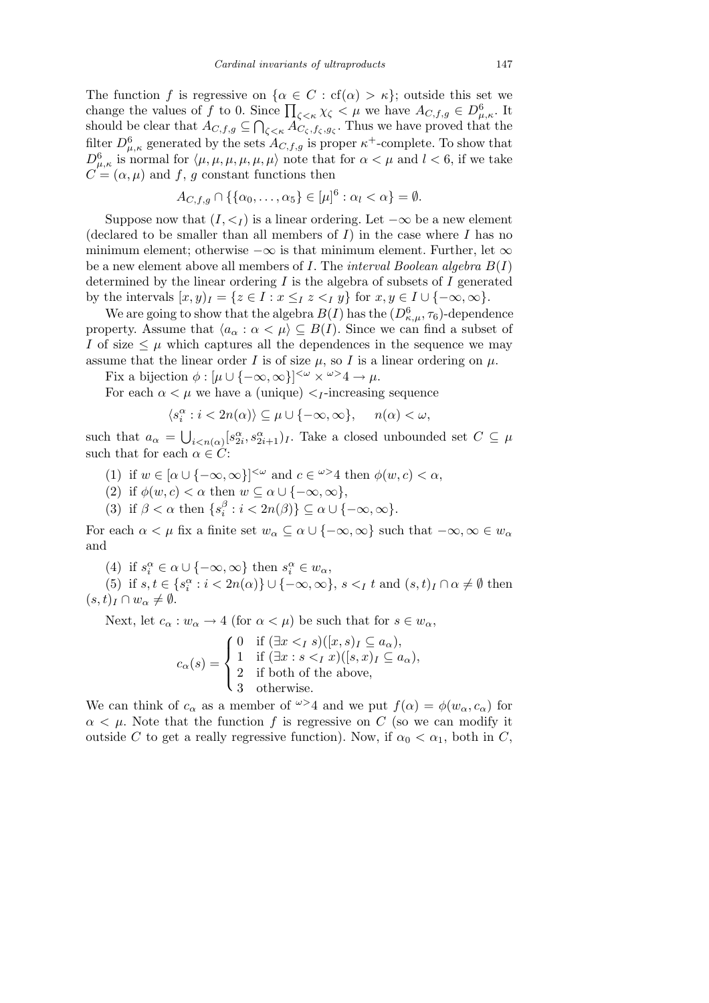The function *f* is regressive on  $\{\alpha \in C : cf(\alpha) > \kappa\}$ ; outside this set we The function *f* is regressive on  $\{\alpha \in C : c_1(\alpha) > \kappa\}$ ; outside this set we change the values of *f* to 0. Since  $\prod_{\zeta \le \kappa} \chi_{\zeta} < \mu$  we have  $A_{C,f,g} \in D^6_{\mu,\kappa}$ . It should be clear that  $A_{C,f,g} \subseteq$  $\tilde{\mathbf{u}}$  $\int_{\zeta \leq \kappa} A_{C_\zeta, f_\zeta, g_\zeta}$ . Thus we have proved that the filter  $D^6_{\mu,\kappa}$  generated by the sets  $A_{C,f,g}$  is proper  $\kappa^+$ -complete. To show that  $D^6_{\mu,\kappa}$  is normal for  $\langle \mu,\mu,\mu,\mu,\mu \rangle$  note that for  $\alpha < \mu$  and  $l < 6$ , if we take  $C = (\alpha, \mu)$  and *f*, *g* constant functions then

$$
A_{C,f,g} \cap \{\{\alpha_0,\ldots,\alpha_5\} \in [\mu]^6 : \alpha_l < \alpha\} = \emptyset.
$$

Suppose now that  $(I, \leq_I)$  is a linear ordering. Let  $-\infty$  be a new element (declared to be smaller than all members of *I*) in the case where *I* has no minimum element; otherwise *−∞* is that minimum element. Further, let *∞* be a new element above all members of *I*. The *interval Boolean algebra B*(*I*) determined by the linear ordering *I* is the algebra of subsets of *I* generated by the intervals  $[x, y)_I = \{z \in I : x \leq_I z <_I y\}$  for  $x, y \in I \cup \{-\infty, \infty\}$ .

We are going to show that the algebra  $B(I)$  has the  $(D_{\kappa,\mu}^6, \tau_6)$ -dependence property. Assume that  $\langle a_{\alpha} : \alpha \langle \mu \rangle \subseteq B(I)$ . Since we can find a subset of *I* of size  $\leq \mu$  which captures all the dependences in the sequence we may assume that the linear order *I* is of size  $\mu$ , so *I* is a linear ordering on  $\mu$ .

Fix a bijection  $\phi : [\mu \cup \{-\infty, \infty\}]^{<\omega} \times {\omega} \rightarrow 4 \rightarrow \mu$ .

For each  $\alpha < \mu$  we have a (unique)  $\lt_I$ -increasing sequence

$$
\langle s_i^{\alpha} : i < 2n(\alpha) \rangle \subseteq \mu \cup \{-\infty, \infty\}, \quad n(\alpha) < \omega,
$$

such that  $a_{\alpha}$  = Í.  $\mu_{i \leq n(\alpha)}[s_{2i}^{\alpha}, s_{2i+1}^{\alpha}]_I$ . Take a closed unbounded set  $C \subseteq \mu$ such that for each  $\alpha \in C$ :

- (1) if  $w \in [\alpha \cup \{-\infty, \infty\}]^{<\omega}$  and  $c \in \omega^{\geq 4}$  then  $\phi(w, c) < \alpha$ ,
- (2) if  $\phi(w, c) < \alpha$  then  $w \subseteq \alpha \cup \{-\infty, \infty\},$
- (3) if  $\beta < \alpha$  then  $\{s_i^{\beta}\}\$  $\{a \mid b \leq a \cup \{-\infty, \infty\}.$

For each  $\alpha < \mu$  fix a finite set  $w_{\alpha} \subseteq \alpha \cup \{-\infty, \infty\}$  such that  $-\infty, \infty \in w_{\alpha}$ and

(4) if  $s_i^{\alpha} \in \alpha \cup \{-\infty, \infty\}$  then  $s_i^{\alpha} \in w_{\alpha}$ ,

(5) if  $s, t \in \{s_i^{\alpha}: i < 2n(\alpha)\} \cup \{-\infty, \infty\}, s <_I t \text{ and } (s, t)_I \cap \alpha \neq \emptyset \text{ then}$  $(s, t)_I \cap w_\alpha \neq \emptyset.$ 

Next, let  $c_{\alpha}: w_{\alpha} \to 4$  (for  $\alpha < \mu$ ) be such that for  $s \in w_{\alpha}$ ,

$$
c_{\alpha}(s) = \begin{cases} 0 & \text{if } (\exists x <_{I} s)([x, s)_{I} \subseteq a_{\alpha}), \\ 1 & \text{if } (\exists x : s <_{I} x)([s, x)_{I} \subseteq a_{\alpha}), \\ 2 & \text{if both of the above,} \\ 3 & \text{otherwise.} \end{cases}
$$

We can think of  $c_{\alpha}$  as a member of  $\omega > 4$  and we put  $f(\alpha) = \phi(w_{\alpha}, c_{\alpha})$  for  $\alpha < \mu$ . Note that the function *f* is regressive on *C* (so we can modify it outside *C* to get a really regressive function). Now, if  $\alpha_0 < \alpha_1$ , both in *C*,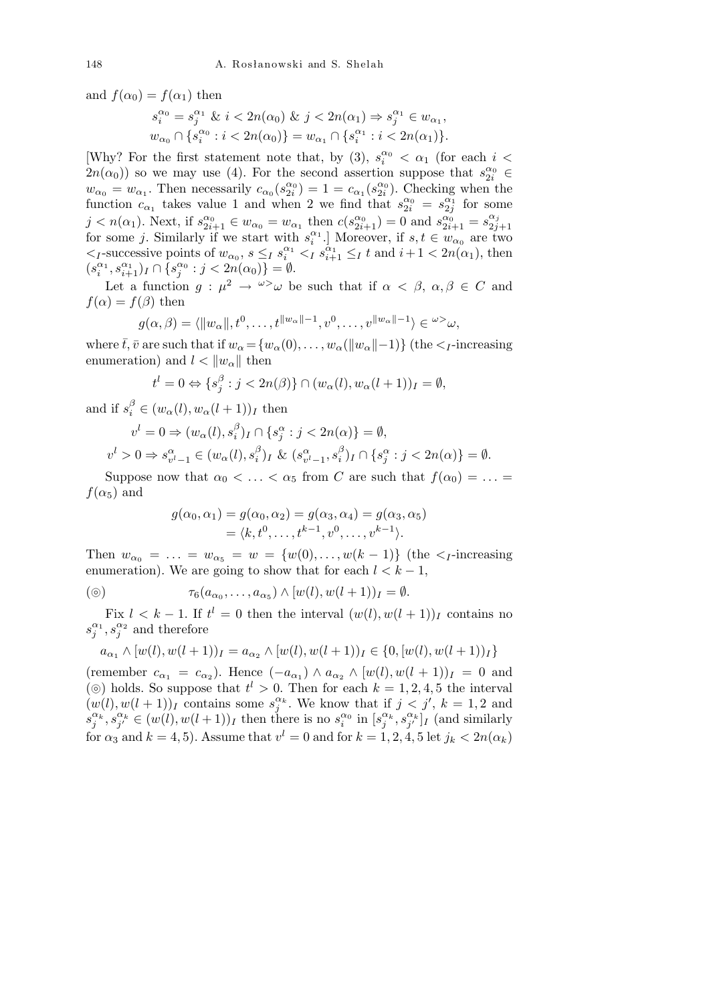and  $f(\alpha_0) = f(\alpha_1)$  then

$$
\begin{aligned} s_i^{\alpha_0} = s_j^{\alpha_1} \ \& \ i < 2n(\alpha_0) \ \& \ j < 2n(\alpha_1) \Rightarrow s_j^{\alpha_1} \in w_{\alpha_1}, \\ w_{\alpha_0} \cap \{s_i^{\alpha_0} : i < 2n(\alpha_0)\} = w_{\alpha_1} \cap \{s_i^{\alpha_1} : i < 2n(\alpha_1)\}. \end{aligned}
$$

[Why? For the first statement note that, by (3),  $s_i^{\alpha_0} < \alpha_1$  (for each  $i <$  $2n(\alpha_0)$  so we may use (4). For the second assertion suppose that  $s_{2i}^{\alpha_0} \in$  $w_{\alpha_0} = w_{\alpha_1}$ . Then necessarily  $c_{\alpha_0}(s_{2i}^{\alpha_0}) = 1 = c_{\alpha_1}(s_{2i}^{\alpha_0})$ . Checking when the function  $c_{\alpha_1}$  takes value 1 and when 2 we find that  $s_{2i}^{\alpha_0} = s_{2j}^{\alpha_1}$  for some  $j < n(\alpha_1)$ . Next, if  $s_{2i+1}^{\alpha_0} \in w_{\alpha_0} = w_{\alpha_1}$  then  $c(s_{2i+1}^{\alpha_0}) = 0$  and  $s_{2i+1}^{\alpha_0} = s_{2j}^{\alpha_j}$  $j \leq n(\alpha_1)$ . Next, if  $s_{2i+1} \in w_{\alpha_0} - w_{\alpha_1}$  then  $c(s_{2i+1}) - 0$  and  $s_{2i+1} - s_{2j+1}$ <br>for some *j*. Similarly if we start with  $s_i^{\alpha_1}$ . Moreover, if  $s, t \in w_{\alpha_0}$  are two  $\langle I_{I}$ -successive points of  $w_{\alpha_0}$ ,  $s \leq I s_i^{\alpha_1} \leq I s_{i+1}^{\alpha_1} \leq I t$  and  $i+1 < 2n(\alpha_1)$ , then  $(s_i^{\alpha_1}, s_{i+1}^{\alpha_1})_I \cap \overline{\{s_j^{\alpha_0} : j < 2n(\alpha_0)\}} = \emptyset.$ 

Let a function  $g: \mu^2 \to \omega^2 \omega$  be such that if  $\alpha < \beta, \alpha, \beta \in C$  and  $f(\alpha) = f(\beta)$  then

$$
g(\alpha,\beta)=\langle ||w_{\alpha}||,t^0,\ldots,t^{||w_{\alpha}||-1},v^0,\ldots,v^{||w_{\alpha}||-1}\rangle\in {}^{\omega\geq\omega},
$$

where  $\bar{t}$ ,  $\bar{v}$  are such that if  $w_{\alpha} = \{w_{\alpha}(0), \ldots, w_{\alpha}(\|w_{\alpha}\|-1)\}$  (the  $\lt_{I}$ -increasing enumeration) and  $l < ||w_{\alpha}||$  then

$$
t^{l} = 0 \Leftrightarrow \{s_j^{\beta} : j < 2n(\beta)\} \cap (w_{\alpha}(l), w_{\alpha}(l+1))_{I} = \emptyset,
$$

and if  $s_i^{\beta} \in (w_{\alpha}(l), w_{\alpha}(l+1))_I$  then

$$
v^{l} = 0 \Rightarrow (w_{\alpha}(l), s_{i}^{\beta})_{I} \cap \{s_{j}^{\alpha} : j < 2n(\alpha)\} = \emptyset,
$$
  

$$
v^{l} > 0 \Rightarrow s_{v^{l}-1}^{\alpha} \in (w_{\alpha}(l), s_{i}^{\beta})_{I} \& (s_{v^{l}-1}^{\alpha}, s_{i}^{\beta})_{I} \cap \{s_{j}^{\alpha} : j < 2n(\alpha)\} = \emptyset.
$$

Suppose now that  $\alpha_0 < \ldots < \alpha_5$  from *C* are such that  $f(\alpha_0) = \ldots =$  $f(\alpha_5)$  and

$$
g(\alpha_0, \alpha_1) = g(\alpha_0, \alpha_2) = g(\alpha_3, \alpha_4) = g(\alpha_3, \alpha_5) = \langle k, t^0, \ldots, t^{k-1}, v^0, \ldots, v^{k-1} \rangle.
$$

Then  $w_{\alpha_0} = \ldots = w_{\alpha_5} = w = \{w(0), \ldots, w(k-1)\}\$  (the  $\lt_{I}$ -increasing enumeration). We are going to show that for each  $l < k-1$ ,

$$
\textcircled{\scriptsize{0}} \qquad \qquad \tau_6(a_{\alpha_0},\ldots,a_{\alpha_5}) \wedge [w(l),w(l+1))_I = \emptyset.
$$

Fix  $l < k-1$ . If  $t^l = 0$  then the interval  $(w(l), w(l+1))_I$  contains no  $s_j^{\alpha_1}, s_j^{\alpha_2}$  and therefore

$$
a_{\alpha_1} \wedge [w(l), w(l+1))_I = a_{\alpha_2} \wedge [w(l), w(l+1))_I \in \{0, [w(l), w(l+1))_I\}
$$

 $(\text{remember } c_{\alpha_1} = c_{\alpha_2})$ . Hence  $(-a_{\alpha_1}) \wedge a_{\alpha_2} \wedge [w(l), w(l+1)]_I = 0$  and ( $\odot$ ) holds. So suppose that  $t^l > 0$ . Then for each  $k = 1, 2, 4, 5$  the interval  $(w(l), w(l + 1))$ *I* contains some  $s_j^{\alpha_k}$ . We know that if  $j < j'$ ,  $k = 1, 2$  and  $s_j^{\alpha_k}, s_{j'}^{\alpha_k} \in (w(l), w(l+1))_I$  then there is no  $s_i^{\alpha_0}$  in  $[s_j^{\alpha_k}, s_{j'}^{\alpha_k}]_I$  (and similarly for  $\alpha_3$  and  $k = 4, 5$ ). Assume that  $v^l = 0$  and for  $k = 1, 2, 4, 5$  let  $j_k < 2n(\alpha_k)$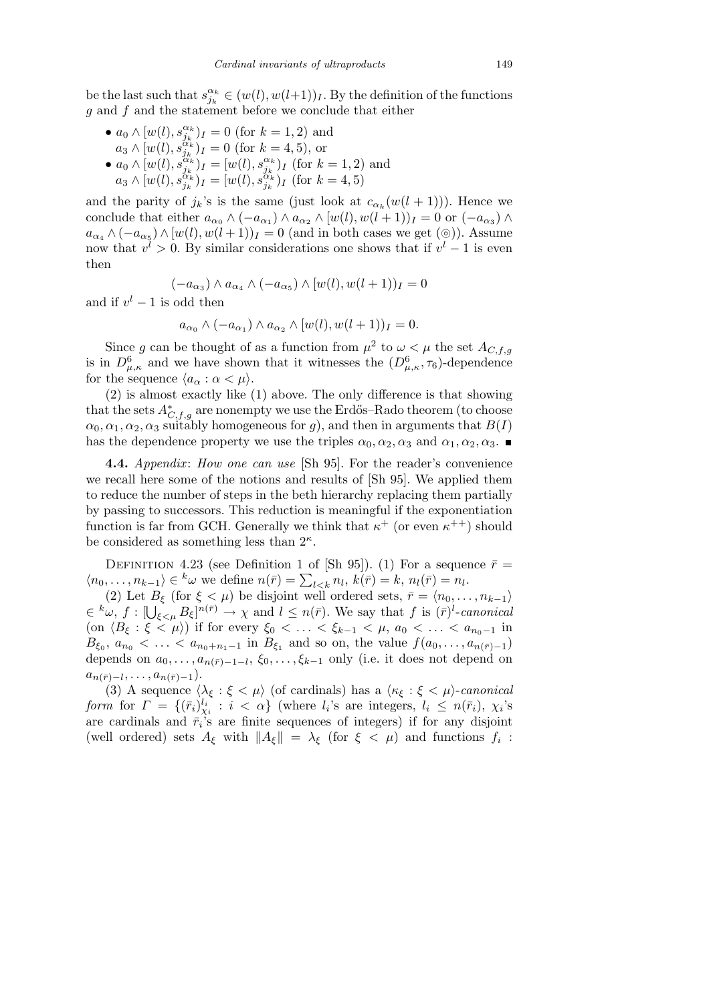be the last such that  $s_{j_k}^{\alpha_k} \in (w(l), w(l+1))_I$ . By the definition of the functions *g* and *f* and the statement before we conclude that either

•  $a_0 \wedge [w(l), s_{j_k}^{\alpha_k}]_I = 0$  (for  $k = 1, 2$ ) and  $a_3 \wedge [w(l), s_{j_k}^{\alpha_k} ]_I = 0$  (for  $k = 4, 5$ ), or •  $a_0 \wedge [w(l), s_{j_k}^{\alpha_k}]_I = [w(l), s_{j_k}^{\alpha_k}]_I$  (for  $k = 1, 2$ ) and  $a_3 \wedge [w(l), s_{j_k}^{\alpha_k})_I = [w(l), s_{j_k}^{\alpha_k})_I$  (for  $k = 4, 5$ )

and the parity of  $j_k$ 's is the same (just look at  $c_{\alpha_k}(w(l+1))$ ). Hence we conclude that either  $a_{\alpha_0} \wedge (-a_{\alpha_1}) \wedge a_{\alpha_2} \wedge [w(l), w(l+1))_I = 0$  or  $(-a_{\alpha_3}) \wedge$  $a_{\alpha_4} \wedge (-a_{\alpha_5}) \wedge [w(l), w(l+1)]_I = 0$  (and in both cases we get (⊚)). Assume now that  $v^l > 0$ . By similar considerations one shows that if  $v^l - 1$  is even then

$$
(-a_{\alpha_3}) \wedge a_{\alpha_4} \wedge (-a_{\alpha_5}) \wedge [w(l), w(l+1))_I = 0
$$

and if  $v^l - 1$  is odd then

$$
a_{\alpha_0} \wedge (-a_{\alpha_1}) \wedge a_{\alpha_2} \wedge [w(l), w(l+1))_I = 0.
$$

Since *g* can be thought of as a function from  $\mu^2$  to  $\omega < \mu$  the set  $A_{C,f,g}$ is in  $D^6_{\mu,\kappa}$  and we have shown that it witnesses the  $(D^6_{\mu,\kappa},\tau_6)$ -dependence for the sequence  $\langle a_{\alpha} : \alpha < \mu \rangle$ .

(2) is almost exactly like (1) above. The only difference is that showing that the sets  $A^*_{C,f,g}$  are nonempty we use the Erdős–Rado theorem (to choose  $\alpha_0, \alpha_1, \alpha_2, \alpha_3$  suitably homogeneous for *g*), and then in arguments that *B*(*I*) has the dependence property we use the triples  $\alpha_0, \alpha_2, \alpha_3$  and  $\alpha_1, \alpha_2, \alpha_3$ .

**4.4.** *Appendix: How one can use* [Sh 95]. For the reader's convenience we recall here some of the notions and results of [Sh 95]. We applied them to reduce the number of steps in the beth hierarchy replacing them partially by passing to successors. This reduction is meaningful if the exponentiation function is far from GCH. Generally we think that  $\kappa^+$  (or even  $\kappa^{++}$ ) should be considered as something less than 2*<sup>κ</sup>* .

DEFINITION 4.23 (see Definition 1 of [Sh 95]). (1) For a sequence  $\bar{r}$  = *h*<sub>*n*</sub>(*n*<sub>0</sub>, . . . , *n*<sub>*k*−1</sub></sub>)  $\in$  <sup>*k*</sup> $\omega$  we define  $n(\bar{r}) = \sum_{l \leq k} n_l$ ,  $k(\bar{r}) = k$ ,  $n_l(\bar{r}) = n_l$ .

(2) Let  $B_{\xi}$  (for  $\xi < \mu$ ) be disjoint well ordered sets,  $\bar{r} = \langle n_0, \ldots, n_{k-1} \rangle$ *∈*<sup>*k*</sup>ω, *f* :  $[\bigcup_{\xi \leq \mu} B_{\xi}]^{n(\bar{r})} \to \chi$  and  $l \leq n(\bar{r})$ . We say that *f* is  $(\bar{r})^l$ -canonical (on  $\langle B_{\xi} : \xi < \mu \rangle$ ) if for every  $\xi_0 < \ldots < \xi_{k-1} < \mu$ ,  $a_0 < \ldots < a_{n_0-1}$  in  $B_{\xi_0}, a_{n_0} < \ldots < a_{n_0+n_1-1}$  in  $B_{\xi_1}$  and so on, the value  $f(a_0, \ldots, a_{n(\bar{r})-1})$ depends on  $a_0, \ldots, a_{n(\bar{r})-1-l}$ ,  $\xi_0, \ldots, \xi_{k-1}$  only (i.e. it does not depend on  $a_{n(\bar{r})-l}, \ldots, a_{n(\bar{r})-1}$ ).

(3) A sequence  $\langle \lambda_{\xi} : \xi \langle \mu \rangle$  (of cardinals) has a  $\langle \kappa_{\xi} : \xi \langle \mu \rangle$ -*canonical* form for  $\Gamma = \{(\bar{r}_i)_{\chi_i}^{l_i} : i < \alpha\}$  (where  $l_i$ 's are integers,  $l_i \leq n(\bar{r}_i)$ ,  $\chi_i$ 's are cardinals and  $\bar{r}_i$ 's are finite sequences of integers) if for any disjoint (well ordered) sets  $A_{\xi}$  with  $||A_{\xi}|| = \lambda_{\xi}$  (for  $\xi < \mu$ ) and functions  $f_i$ :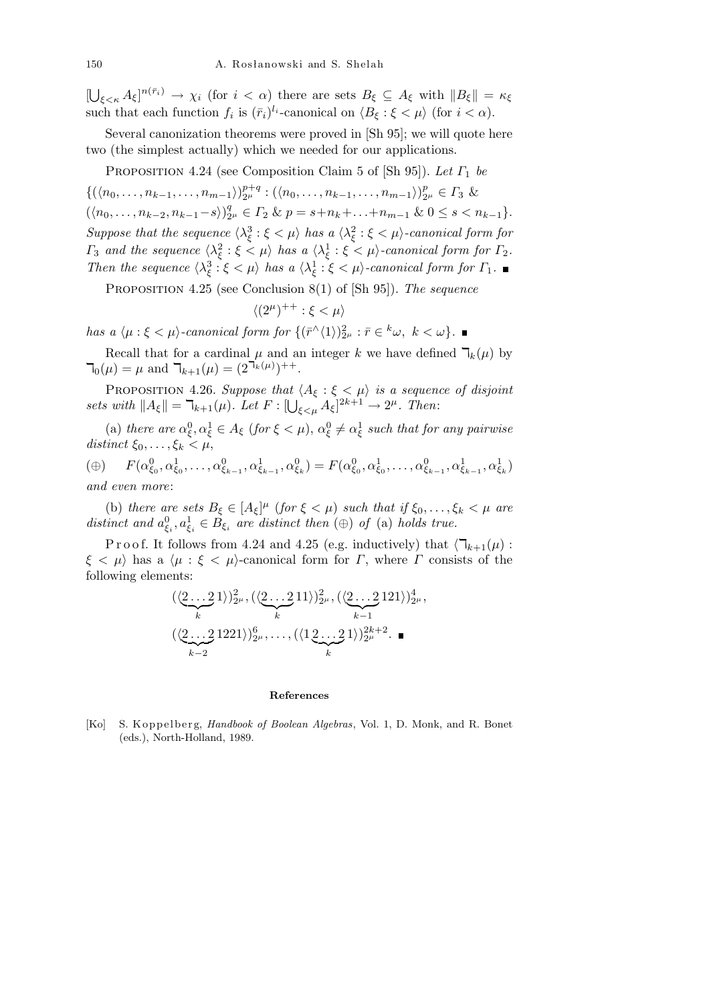[ S  $\mathcal{L}_{\xi \leq \kappa} A_{\xi}$ <sup>n( $\bar{r}_i$ )  $\to \chi_i$  (for  $i < \alpha$ ) there are sets  $B_{\xi} \subseteq A_{\xi}$  with  $||B_{\xi}|| = \kappa_{\xi}$ </sup> such that each function  $f_i$  is  $(\bar{r}_i)^{l_i}$ -canonical on  $\langle B_\xi : \xi < \mu \rangle$  (for  $i < \alpha$ ).

Several canonization theorems were proved in [Sh 95]; we will quote here two (the simplest actually) which we needed for our applications.

Proposition 4.24 (see Composition Claim 5 of [Sh 95]). *Let Γ*<sup>1</sup> *be*

 $\{(\langle n_0, \ldots, n_{k-1}, \ldots, n_{m-1} \rangle)_{2^{\mu}}^{p+q}$  $\binom{p+q}{2^{\mu}}: (\langle n_0, \ldots, n_{k-1}, \ldots, n_{m-1} \rangle) \binom{p}{2}$  $_{2^{\mu}}^p \in \Gamma_3$  &  $(\langle n_0, \ldots, n_{k-2}, n_{k-1}-s \rangle)_2^q$  $P_{2^{\mu}}^q \in \Gamma_2 \& p = s + n_k + \ldots + n_{m-1} \& 0 \leq s < n_{k-1}$ *Suppose that the sequence*  $\langle \lambda_{\xi}^3 : \xi < \mu \rangle$  *has a*  $\langle \lambda_{\xi}^2 : \xi < \mu \rangle$ -canonical form for *Γ*<sub>3</sub> *and the sequence*  $\langle \lambda_{\xi}^2 : \xi \leq \mu \rangle$  *has a*  $\langle \lambda_{\xi}^1 : \xi \leq \mu \rangle$ -canonical form for  $\Gamma_2$ . *Then the sequence*  $\langle \lambda_{\xi}^3 : \xi < \mu \rangle$  *has a*  $\langle \lambda_{\xi}^1 : \xi < \mu \rangle$ -canonical form for  $\Gamma_1$ .

Proposition 4.25 (see Conclusion 8(1) of [Sh 95]). *The sequence*

$$
\langle (2^\mu)^{++}:\xi<\mu\rangle
$$

*has a*  $\langle \mu : \xi < \mu \rangle$ -canonical form for  $\{(\bar{r}^{\wedge} \langle 1 \rangle)_{2^{\mu}}^2 : \bar{r} \in {^k\omega}, k < \omega \}$ .

Recall that for a cardinal  $\mu$  and an integer  $k$  we have defined  $\mathcal{T}_k(\mu)$  by  $\mathcal{T}_0(\mu) = \mu$  and  $\mathcal{T}_{k+1}(\mu) = (2^{\mathcal{T}_k(\mu)})^{++}.$ 

PROPOSITION 4.26. *Suppose that*  $\langle A_{\xi} : \xi \leq \mu \rangle$  *is a sequence of disjoint sets with*  $||A_{\xi}|| = \mathbb{k}_{+1}(\mu)$ . Let  $F : [\bigcup_{\xi \leq \mu} A_{\xi}]^{2k+1} \to 2^{\mu}$ . Then:

(a) *there are*  $\alpha_{\xi}^{0}, \alpha_{\xi}^{1} \in A_{\xi}$  (*for*  $\xi < \mu$ ),  $\alpha_{\xi}^{0} \neq \alpha_{\xi}^{1}$  such *that for any pairwise distinct*  $\xi_0, \ldots, \xi_k < \mu$ ,

( $\oplus$ )  $F(\alpha_{\xi_0}^0, \alpha_{\xi_0}^1, \ldots, \alpha_{\xi_{k-1}}^0, \alpha_{\xi_{k-1}}^1, \alpha_{\xi_k}^0) = F(\alpha_{\xi_0}^0, \alpha_{\xi_0}^1, \ldots, \alpha_{\xi_{k-1}}^0, \alpha_{\xi_{k-1}}^1, \alpha_{\xi_k}^1)$ *and even more*:

(b) *there are sets*  $B_{\xi} \in [A_{\xi}]^{\mu}$  (*for*  $\xi < \mu$ ) *such that if*  $\xi_0, \ldots, \xi_k < \mu$  *are distinct and*  $a_{\xi_i}^0, a_{\xi_i}^1 \in B_{\xi_i}$  are distinct then  $(\oplus)$  of (a) holds true.

P r o o f. It follows from 4.24 and 4.25 (e.g. inductively) that  $\langle \mathcal{T}_{k+1}(\mu) :$  $\xi < \mu$  has a  $\langle \mu : \xi < \mu \rangle$ -canonical form for *Γ*, where *Γ* consists of the following elements:

$$
\frac{(\langle 2...21 \rangle)^2_{2^{\mu}}, (\langle 2...211 \rangle)^2_{2^{\mu}}, (\langle 2...2121 \rangle)^4_{2^{\mu}},}{\langle 2...21221 \rangle^{6}_{2^{\mu}}, \dots, (\langle 12...21 \rangle)^{2k+2}_{2^{\mu}}.}
$$

#### **References**

[Ko] S. Koppelberg, *Handbook of Boolean Algebras*, Vol. 1, D. Monk, and R. Bonet (eds.), North-Holland, 1989.